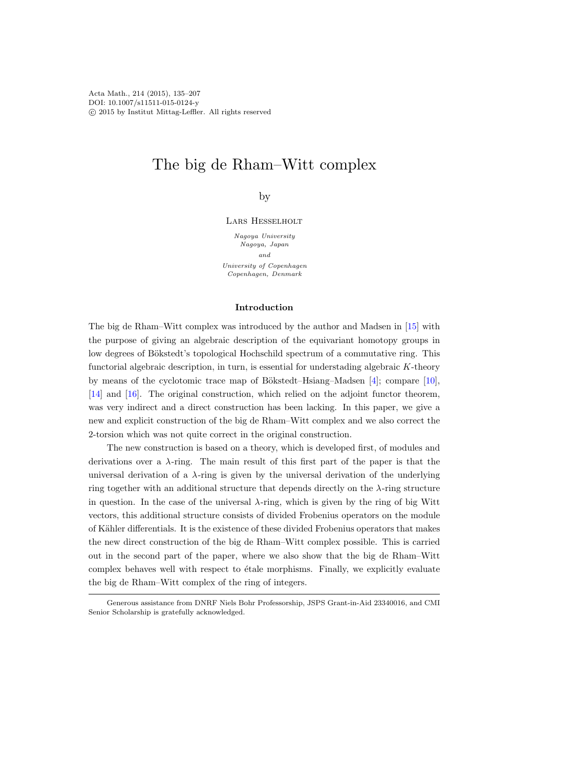Acta Math., 214 (2015), 135–207 DOI: 10.1007/s11511-015-0124-y c 2015 by Institut Mittag-Leffler. All rights reserved

# The big de Rham–Witt complex

# by

# Lars Hesselholt

Nagoya University Nagoya, Japan and University of Copenhagen Copenhagen, Denmark

# Introduction

The big de Rham–Witt complex was introduced by the author and Madsen in [\[15\]](#page-71-0) with the purpose of giving an algebraic description of the equivariant homotopy groups in low degrees of Bökstedt's topological Hochschild spectrum of a commutative ring. This functorial algebraic description, in turn, is essential for understading algebraic K-theory by means of the cyclotomic trace map of Bökstedt–Hsiang–Madsen  $[4]$ ; compare  $[10]$ , [\[14\]](#page-71-2) and [\[16\]](#page-71-3). The original construction, which relied on the adjoint functor theorem, was very indirect and a direct construction has been lacking. In this paper, we give a new and explicit construction of the big de Rham–Witt complex and we also correct the 2-torsion which was not quite correct in the original construction.

The new construction is based on a theory, which is developed first, of modules and derivations over a  $\lambda$ -ring. The main result of this first part of the paper is that the universal derivation of a  $\lambda$ -ring is given by the universal derivation of the underlying ring together with an additional structure that depends directly on the  $\lambda$ -ring structure in question. In the case of the universal  $\lambda$ -ring, which is given by the ring of big Witt vectors, this additional structure consists of divided Frobenius operators on the module of Kähler differentials. It is the existence of these divided Frobenius operators that makes the new direct construction of the big de Rham–Witt complex possible. This is carried out in the second part of the paper, where we also show that the big de Rham–Witt complex behaves well with respect to étale morphisms. Finally, we explicitly evaluate the big de Rham–Witt complex of the ring of integers.

Generous assistance from DNRF Niels Bohr Professorship, JSPS Grant-in-Aid 23340016, and CMI Senior Scholarship is gratefully acknowledged.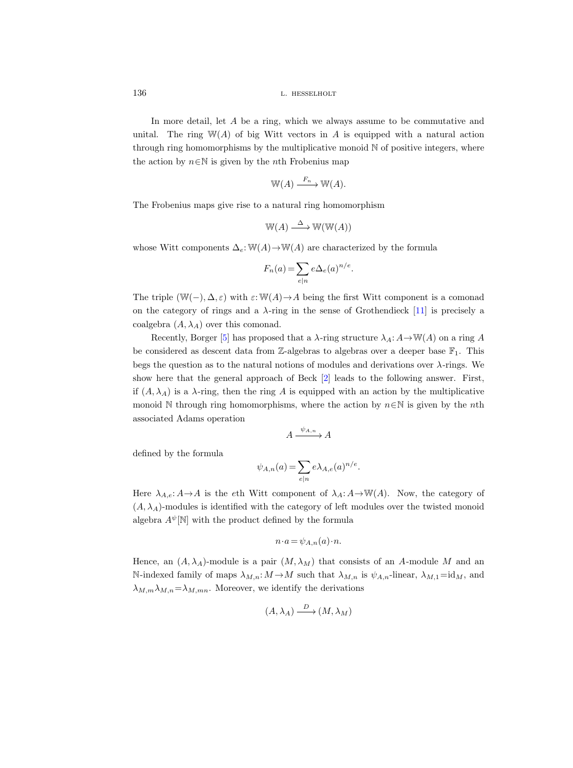In more detail, let A be a ring, which we always assume to be commutative and unital. The ring  $W(A)$  of big Witt vectors in A is equipped with a natural action through ring homomorphisms by the multiplicative monoid  $N$  of positive integers, where the action by  $n \in \mathbb{N}$  is given by the *n*th Frobenius map

$$
\mathbb{W}(A) \xrightarrow{F_n} \mathbb{W}(A).
$$

The Frobenius maps give rise to a natural ring homomorphism

$$
\mathbb{W}(A) \xrightarrow{\Delta} \mathbb{W}(\mathbb{W}(A))
$$

whose Witt components  $\Delta_e: \mathbb{W}(A) \to \mathbb{W}(A)$  are characterized by the formula

$$
F_n(a) = \sum_{e|n} e\Delta_e(a)^{n/e}.
$$

The triple (W(−),  $\Delta$ ,  $\varepsilon$ ) with  $\varepsilon$ : W(A)  $\rightarrow$  A being the first Witt component is a comonad on the category of rings and a  $\lambda$ -ring in the sense of Grothendieck [\[11\]](#page-71-4) is precisely a coalgebra  $(A, \lambda_A)$  over this comonad.

Recently, Borger [\[5\]](#page-70-1) has proposed that a  $\lambda$ -ring structure  $\lambda_A: A \to \mathbb{W}(A)$  on a ring A be considered as descent data from Z-algebras to algebras over a deeper base  $\mathbb{F}_1$ . This begs the question as to the natural notions of modules and derivations over λ-rings. We show here that the general approach of Beck [\[2\]](#page-70-2) leads to the following answer. First, if  $(A, \lambda_A)$  is a  $\lambda$ -ring, then the ring A is equipped with an action by the multiplicative monoid N through ring homomorphisms, where the action by  $n \in \mathbb{N}$  is given by the nth associated Adams operation

$$
A \xrightarrow{\psi_{A,n}} A
$$

defined by the formula

$$
\psi_{A,n}(a) = \sum_{e|n} e\lambda_{A,e}(a)^{n/e}.
$$

Here  $\lambda_{A,e}: A \rightarrow A$  is the eth Witt component of  $\lambda_A: A \rightarrow W(A)$ . Now, the category of  $(A, \lambda_A)$ -modules is identified with the category of left modules over the twisted monoid algebra  $A^{\psi}[\mathbb{N}]$  with the product defined by the formula

$$
n \cdot a = \psi_{A,n}(a) \cdot n.
$$

Hence, an  $(A, \lambda_A)$ -module is a pair  $(M, \lambda_M)$  that consists of an A-module M and an N-indexed family of maps  $\lambda_{M,n}: M \to M$  such that  $\lambda_{M,n}$  is  $\psi_{A,n}$ -linear,  $\lambda_{M,1} = id_M$ , and  $\lambda_{M,m}\lambda_{M,n}=\lambda_{M,mn}$ . Moreover, we identify the derivations

$$
(A, \lambda_A) \xrightarrow{D} (M, \lambda_M)
$$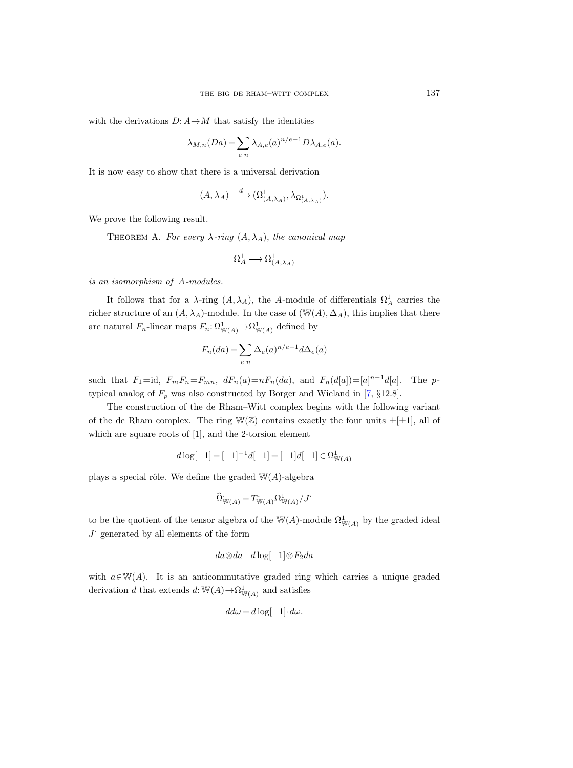with the derivations  $D: A \rightarrow M$  that satisfy the identities

$$
\lambda_{M,n}(Da) = \sum_{e|n} \lambda_{A,e}(a)^{n/e-1} D\lambda_{A,e}(a).
$$

It is now easy to show that there is a universal derivation

$$
(A, \lambda_A) \xrightarrow{d} (\Omega^1_{(A, \lambda_A)}, \lambda_{\Omega^1_{(A, \lambda_A)}}).
$$

<span id="page-2-0"></span>We prove the following result.

THEOREM A. For every  $\lambda$ -ring  $(A, \lambda_A)$ , the canonical map

$$
\Omega^1_A\longrightarrow \Omega^1_{(A,\lambda_A)}
$$

is an isomorphism of A-modules.

It follows that for a  $\lambda$ -ring  $(A, \lambda_A)$ , the A-module of differentials  $\Omega^1_A$  carries the richer structure of an  $(A, \lambda_A)$ -module. In the case of  $(\mathbb{W}(A), \Delta_A)$ , this implies that there are natural  $F_n$ -linear maps  $F_n: \Omega^1_{\mathbb{W}(A)} \to \Omega^1_{\mathbb{W}(A)}$  defined by

$$
F_n(da) = \sum_{e|n} \Delta_e(a)^{n/e-1} d\Delta_e(a)
$$

such that  $F_1 = id$ ,  $F_m F_n = F_{mn}$ ,  $dF_n(a) = nF_n(da)$ , and  $F_n(d[a]) = [a]^{n-1}d[a]$ . The ptypical analog of  $F_p$  was also constructed by Borger and Wieland in [\[7,](#page-71-5) §12.8].

The construction of the de Rham–Witt complex begins with the following variant of the de Rham complex. The ring  $\mathbb{W}(\mathbb{Z})$  contains exactly the four units  $\pm[\pm 1]$ , all of which are square roots of [1], and the 2-torsion element

$$
d \log[-1] = [-1]^{-1} d[-1] = [-1]d[-1] \in \Omega^1_{\mathbb{W}(A)}
$$

plays a special rôle. We define the graded  $W(A)$ -algebra

$$
\widehat{\Omega}_{\mathbb{W}(A)}^{\cdot} = T_{\mathbb{W}(A)}^{\cdot} \Omega_{\mathbb{W}(A)}^1 / J^{\cdot}
$$

to be the quotient of the tensor algebra of the W(A)-module  $\Omega^1_{W(A)}$  by the graded ideal  $J$  generated by all elements of the form

$$
da\otimes da-d\log[-1]\otimes F_2da
$$

with  $a \in \mathbb{W}(A)$ . It is an anticommutative graded ring which carries a unique graded derivation d that extends  $d: \mathbb{W}(A) \to \Omega^1_{\mathbb{W}(A)}$  and satisfies

$$
dd\omega = d\log[-1] \cdot d\omega.
$$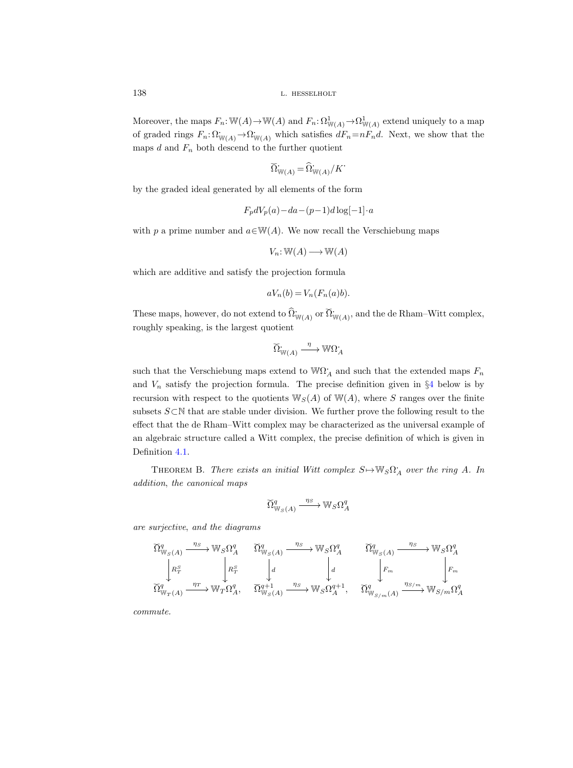Moreover, the maps  $F_n: \mathbb{W}(A) \to \mathbb{W}(A)$  and  $F_n: \Omega^1_{\mathbb{W}(A)} \to \Omega^1_{\mathbb{W}(A)}$  extend uniquely to a map of graded rings  $F_n: \Omega^{\cdot}_{\mathbb{W}(A)} \to \Omega^{\cdot}_{\mathbb{W}(A)}$  which satisfies  $dF_n=nF_nd$ . Next, we show that the maps  $d$  and  $F_n$  both descend to the further quotient

$$
\widetilde{\Omega}_{\mathbb{W}(A)}^{\mathbb{L}} = \widehat{\Omega}_{\mathbb{W}(A)}^{\mathbb{L}} / K^{\mathbb{L}}
$$

by the graded ideal generated by all elements of the form

$$
F_p dV_p(a) - da - (p-1)d \log[-1] \cdot a
$$

with p a prime number and  $a \in W(A)$ . We now recall the Verschiebung maps

$$
V_n \colon \mathbb{W}(A) \longrightarrow \mathbb{W}(A)
$$

which are additive and satisfy the projection formula

$$
aV_n(b) = V_n(F_n(a)b).
$$

These maps, however, do not extend to  $\widehat{\Omega}_{\mathbb{W}(A)}^{\bullet}$  or  $\widecheck{\Omega}_{\mathbb{W}(A)}^{\bullet}$ , and the de Rham–Witt complex, roughly speaking, is the largest quotient

$$
\widecheck{\Omega}_{\mathbb{W}(A)}^{\cdot} \xrightarrow{\eta} \mathbb{W}\Omega_A^{\cdot}
$$

such that the Verschiebung maps extend to  $\mathbb{W}\Omega^1_A$  and such that the extended maps  $F_n$ and  $V_n$  satisfy the projection formula. The precise definition given in  $\S 4$  $\S 4$  below is by recursion with respect to the quotients  $\mathbb{W}_{S}(A)$  of  $\mathbb{W}(A)$ , where S ranges over the finite subsets S⊂N that are stable under division. We further prove the following result to the effect that the de Rham–Witt complex may be characterized as the universal example of an algebraic structure called a Witt complex, the precise definition of which is given in Definition [4.1.](#page-43-1)

<span id="page-3-0"></span>THEOREM B. There exists an initial Witt complex  $S \mapsto \mathbb{W}_S \Omega_A$  over the ring A. In addition, the canonical maps

$$
\widetilde{\Omega}^q_{\mathbb{W}_S(A)} \xrightarrow{\eta_S} \mathbb{W}_S \Omega^q_A
$$

are surjective, and the diagrams

$$
\widetilde{\Omega}^q_{\mathbb{W}_S(A)} \xrightarrow{\eta_S} \mathbb{W}_S \Omega^q_A \qquad \widetilde{\Omega}^q_{\mathbb{W}_S(A)} \xrightarrow{\eta_S} \mathbb{W}_S \Omega^q_A \qquad \widetilde{\Omega}^q_{\mathbb{W}_S(A)} \xrightarrow{\eta_S} \mathbb{W}_S \Omega^q_A
$$
\n
$$
\begin{bmatrix}\nR^S_T & \downarrow d & \downarrow d & \downarrow F_m \\
R^S_T & \downarrow d & \downarrow d & \downarrow F_m & \downarrow F_m \\
\widetilde{\Omega}^q_{\mathbb{W}_T(A)} \xrightarrow{\eta_T} \mathbb{W}_T \Omega^q_A & \widetilde{\Omega}^{q+1}_{\mathbb{W}_S(A)} \xrightarrow{\eta_S} \mathbb{W}_S \Omega^{q+1}_A & \widetilde{\Omega}^q_{\mathbb{W}_{S/m}(A)} \xrightarrow{\eta_{S/m}} \mathbb{W}_{S/m} \Omega^q_A\n\end{bmatrix}
$$

commute.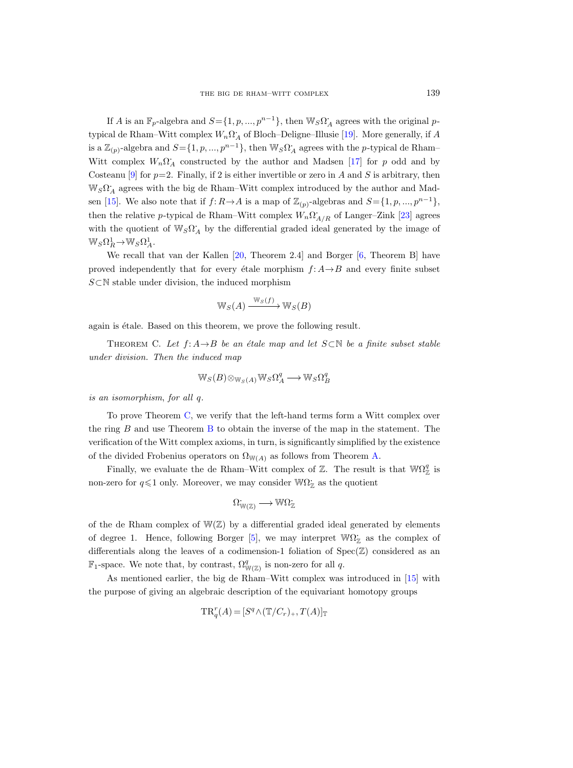If A is an  $\mathbb{F}_p$ -algebra and  $S = \{1, p, ..., p^{n-1}\}\$ , then  $\mathbb{W}_S \Omega_A$  agrees with the original ptypical de Rham–Witt complex  $W_n \Omega_A^*$  of Bloch–Deligne–Illusie [\[19\]](#page-71-6). More generally, if A is a  $\mathbb{Z}_{(p)}$ -algebra and  $S = \{1, p, ..., p^{n-1}\}$ , then  $\mathbb{W}_S \Omega_A$  agrees with the *p*-typical de Rham– Witt complex  $W_n \Omega_A$  constructed by the author and Madsen [\[17\]](#page-71-7) for p odd and by Costeanu [\[9\]](#page-71-8) for  $p=2$ . Finally, if 2 is either invertible or zero in A and S is arbitrary, then  $\mathbb{W}_S \Omega_A$  agrees with the big de Rham–Witt complex introduced by the author and Mad-sen [\[15\]](#page-71-0). We also note that if  $f: R \to A$  is a map of  $\mathbb{Z}_{(p)}$ -algebras and  $S = \{1, p, ..., p^{n-1}\},$ then the relative p-typical de Rham–Witt complex  $W_n \Omega_{A/R}^*$  of Langer–Zink [\[23\]](#page-71-9) agrees with the quotient of  $\mathbb{W}_S \Omega_A^*$  by the differential graded ideal generated by the image of  $\mathbb{W}_S \Omega^1_R \to \mathbb{W}_S \Omega^1_A.$ 

We recall that van der Kallen [\[20,](#page-71-10) Theorem 2.4] and Borger [\[6,](#page-71-11) Theorem B] have proved independently that for every étale morphism  $f: A \rightarrow B$  and every finite subset S⊂N stable under division, the induced morphism

$$
\mathbb{W}_S(A) \xrightarrow{\mathbb{W}_S(f)} \mathbb{W}_S(B)
$$

<span id="page-4-0"></span>again is étale. Based on this theorem, we prove the following result.

THEOREM C. Let  $f: A \rightarrow B$  be an étale map and let  $S \subset \mathbb{N}$  be a finite subset stable under division. Then the induced map

$$
\mathbb{W}_S(B) \otimes_{\mathbb{W}_S(A)} \mathbb{W}_S \Omega^q_A \longrightarrow \mathbb{W}_S \Omega^q_B
$$

is an isomorphism, for all q.

To prove Theorem [C,](#page-4-0) we verify that the left-hand terms form a Witt complex over the ring  $B$  and use Theorem  $B$  to obtain the inverse of the map in the statement. The verification of the Witt complex axioms, in turn, is significantly simplified by the existence of the divided Frobenius operators on  $\Omega_{W(A)}$  as follows from Theorem [A.](#page-2-0)

Finally, we evaluate the de Rham–Witt complex of  $\mathbb{Z}$ . The result is that  $\mathbb{W}\Omega_{\mathbb{Z}}^q$  is non-zero for  $q \leq 1$  only. Moreover, we may consider  $W\Omega_{\mathbb{Z}}^{\times}$  as the quotient

$$
\Omega^{\cdot}_{\mathbb{W}(\mathbb{Z})} \longrightarrow \mathbb{W}\Omega^{\cdot}_{\mathbb{Z}}
$$

of the de Rham complex of  $W(\mathbb{Z})$  by a differential graded ideal generated by elements of degree 1. Hence, following Borger [\[5\]](#page-70-1), we may interpret  $W\Omega_{\mathbb{Z}}$  as the complex of differentials along the leaves of a codimension-1 foliation of  $Spec(\mathbb{Z})$  considered as an  $\mathbb{F}_1$ -space. We note that, by contrast,  $\Omega_{\mathbb{W}(\mathbb{Z})}^q$  is non-zero for all q.

As mentioned earlier, the big de Rham–Witt complex was introduced in [\[15\]](#page-71-0) with the purpose of giving an algebraic description of the equivariant homotopy groups

$$
\mathrm{TR}^r_q(A)=[S^q\wedge(\mathbb{T}/C_r)_+,T(A)]_{\mathbb{T}}
$$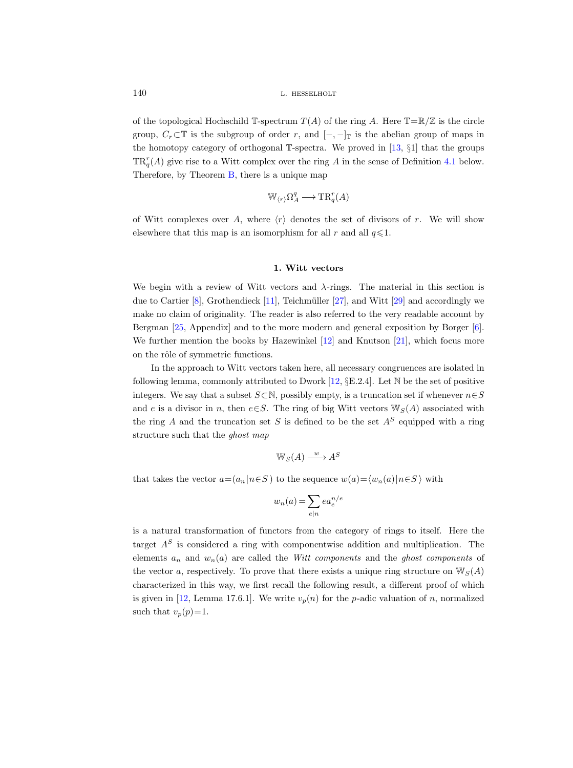of the topological Hochschild T-spectrum  $T(A)$  of the ring A. Here  $T=R/Z$  is the circle group,  $C_r \subset \mathbb{T}$  is the subgroup of order r, and  $[-,-]_{\mathbb{T}}$  is the abelian group of maps in the homotopy category of orthogonal T-spectra. We proved in [\[13,](#page-71-12) §1] that the groups  $TR_q^r(A)$  give rise to a Witt complex over the ring A in the sense of Definition [4.1](#page-43-1) below. Therefore, by Theorem [B,](#page-3-0) there is a unique map

$$
\mathbb{W}_{\langle r \rangle} \Omega^q_A \longrightarrow \mathrm{TR}^r_q(A)
$$

of Witt complexes over A, where  $\langle r \rangle$  denotes the set of divisors of r. We will show elsewhere that this map is an isomorphism for all r and all  $q \leq 1$ .

### 1. Witt vectors

We begin with a review of Witt vectors and  $\lambda$ -rings. The material in this section is due to Cartier  $[8]$ , Grothendieck [\[11\]](#page-71-4), Teichmüller [\[27\]](#page-71-14), and Witt [\[29\]](#page-71-15) and accordingly we make no claim of originality. The reader is also referred to the very readable account by Bergman [\[25,](#page-71-16) Appendix] and to the more modern and general exposition by Borger [\[6\]](#page-71-11). We further mention the books by Hazewinkel [\[12\]](#page-71-17) and Knutson [\[21\]](#page-71-18), which focus more on the rôle of symmetric functions.

In the approach to Witt vectors taken here, all necessary congruences are isolated in following lemma, commonly attributed to Dwork [\[12,](#page-71-17)  $\S E.2.4$ ]. Let N be the set of positive integers. We say that a subset  $S\!\subset\!\mathbb{N},$  possibly empty, is a truncation set if whenever  $n\!\in\!S$ and e is a divisor in n, then e $\in$ S. The ring of big Witt vectors  $\mathbb{W}_{S}(A)$  associated with the ring A and the truncation set S is defined to be the set  $A<sup>S</sup>$  equipped with a ring structure such that the ghost map

$$
\mathbb{W}_S(A) \xrightarrow{w} A^S
$$

that takes the vector  $a=(a_n | n \in S)$  to the sequence  $w(a)=\langle w_n(a)|n\in S\rangle$  with

$$
w_n(a) = \sum_{e|n} ea_e^{n/e}
$$

<span id="page-5-0"></span>is a natural transformation of functors from the category of rings to itself. Here the target  $A<sup>S</sup>$  is considered a ring with componentwise addition and multiplication. The elements  $a_n$  and  $w_n(a)$  are called the *Witt components* and the *ghost components* of the vector a, respectively. To prove that there exists a unique ring structure on  $\mathbb{W}_{S}(A)$ characterized in this way, we first recall the following result, a different proof of which is given in [\[12,](#page-71-17) Lemma 17.6.1]. We write  $v_p(n)$  for the p-adic valuation of n, normalized such that  $v_p(p)=1$ .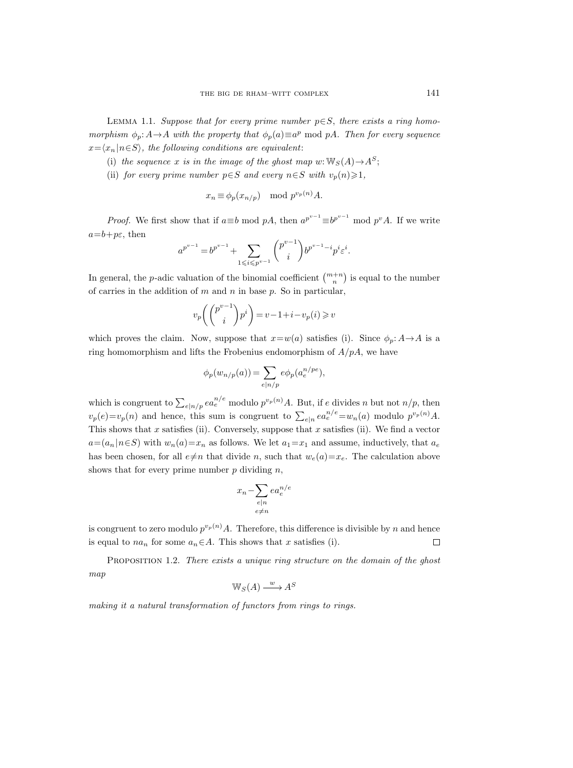LEMMA 1.1. Suppose that for every prime number  $p \in S$ , there exists a ring homomorphism  $\phi_p: A \to A$  with the property that  $\phi_p(a) \equiv a^p \mod pA$ . Then for every sequence  $x=\langle x_n | n\in S \rangle$ , the following conditions are equivalent:

- (i) the sequence x is in the image of the ghost map w:  $\mathbb{W}_S(A) \rightarrow A^S$ ;
- (ii) for every prime number  $p \in S$  and every  $n \in S$  with  $v_p(n) \geq 1$ ,

$$
x_n \equiv \phi_p(x_{n/p}) \mod p^{v_p(n)}A.
$$

*Proof.* We first show that if  $a \equiv b \mod pA$ , then  $a^{p^{v-1}} \equiv b^{p^{v-1}} \mod p^v A$ . If we write  $a=b+p\varepsilon$ , then

$$
a^{p^{v-1}} = b^{p^{v-1}} + \sum_{1 \leq i \leq p^{v-1}} \binom{p^{v-1}}{i} b^{p^{v-1}-i} p^i \varepsilon^i.
$$

In general, the *p*-adic valuation of the binomial coefficient  $\binom{m+n}{n}$  is equal to the number of carries in the addition of  $m$  and  $n$  in base  $p$ . So in particular,

$$
v_p\left(\binom{p^{v-1}}{i}p^i\right) = v - 1 + i - v_p(i) \geq v
$$

which proves the claim. Now, suppose that  $x=w(a)$  satisfies (i). Since  $\phi_p: A \to A$  is a ring homomorphism and lifts the Frobenius endomorphism of  $A/pA$ , we have

$$
\phi_p(w_{n/p}(a)) = \sum_{e|n/p} e\phi_p(a_e^{n/pe}),
$$

which is congruent to  $\sum_{e|n/p} ea_e^{n/e}$  modulo  $p^{v_p(n)}A$ . But, if e divides n but not  $n/p$ , then  $v_p(e)=v_p(n)$  and hence, this sum is congruent to  $\sum_{e|n} ea_e^{n/e} = w_n(a)$  modulo  $p^{v_p(n)}A$ . This shows that x satisfies (ii). Conversely, suppose that x satisfies (ii). We find a vector  $a=(a_n|n\in S)$  with  $w_n(a)=x_n$  as follows. We let  $a_1=x_1$  and assume, inductively, that  $a_e$ has been chosen, for all  $e\neq n$  that divide n, such that  $w_e(a)=x_e$ . The calculation above shows that for every prime number  $p$  dividing  $n$ ,

$$
x_n - \sum_{\substack{e|n \\ e \neq n}} ea_e^{n/e}
$$

is congruent to zero modulo  $p^{v_p(n)}A$ . Therefore, this difference is divisible by n and hence is equal to  $na_n$  for some  $a_n \in A$ . This shows that x satisfies (i).  $\Box$ 

<span id="page-6-0"></span>PROPOSITION 1.2. There exists a unique ring structure on the domain of the ghost map

$$
\mathbb{W}_S(A) \xrightarrow{w} A^S
$$

making it a natural transformation of functors from rings to rings.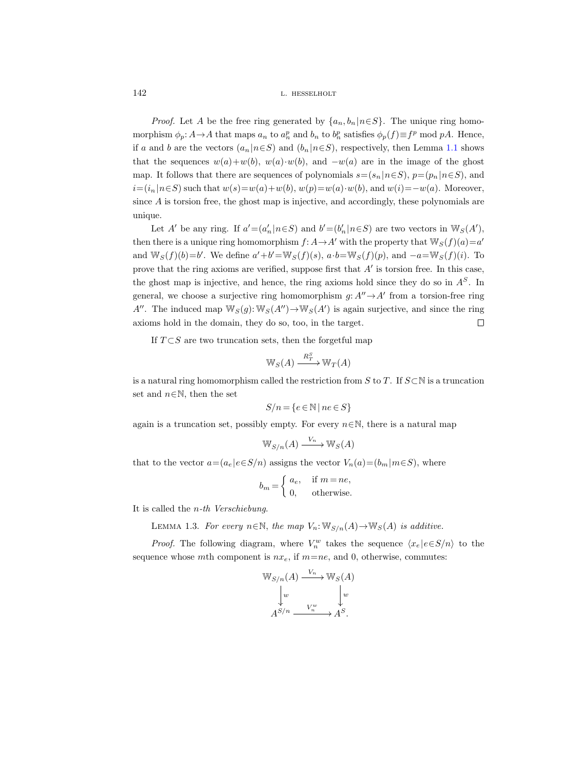*Proof.* Let A be the free ring generated by  $\{a_n, b_n | n \in S\}$ . The unique ring homomorphism  $\phi_p: A \to A$  that maps  $a_n$  to  $a_n^p$  and  $b_n$  to  $b_n^p$  satisfies  $\phi_p(f) \equiv f^p \mod pA$ . Hence, if a and b are the vectors  $(a_n | n \in S)$  and  $(b_n | n \in S)$ , respectively, then Lemma [1.1](#page-5-0) shows that the sequences  $w(a)+w(b)$ ,  $w(a) \cdot w(b)$ , and  $-w(a)$  are in the image of the ghost map. It follows that there are sequences of polynomials  $s=(s_n | n \in S)$ ,  $p=(p_n | n \in S)$ , and  $i=(i_n | n \in S)$  such that  $w(s)=w(a)+w(b), w(p)=w(a) \cdot w(b)$ , and  $w(i)=-w(a)$ . Moreover, since A is torsion free, the ghost map is injective, and accordingly, these polynomials are unique.

Let A' be any ring. If  $a' = (a'_n | n \in S)$  and  $b' = (b'_n | n \in S)$  are two vectors in  $\mathbb{W}_S(A')$ , then there is a unique ring homomorphism  $f: A \to A'$  with the property that  $\mathbb{W}_S(f)(a) = a'$ and  $\mathbb{W}_S(f)(b) = b'$ . We define  $a' + b' = \mathbb{W}_S(f)(s)$ ,  $a \cdot b = \mathbb{W}_S(f)(p)$ , and  $-a = \mathbb{W}_S(f)(i)$ . To prove that the ring axioms are verified, suppose first that  $A'$  is torsion free. In this case, the ghost map is injective, and hence, the ring axioms hold since they do so in  $A<sup>S</sup>$ . In general, we choose a surjective ring homomorphism  $g: A'' \rightarrow A'$  from a torsion-free ring A''. The induced map  $\mathbb{W}_S(g)$ :  $\mathbb{W}_S(A'') \to \mathbb{W}_S(A')$  is again surjective, and since the ring axioms hold in the domain, they do so, too, in the target.  $\Box$ 

If  $T \subset S$  are two truncation sets, then the forgetful map

$$
\mathbb{W}_S(A) \xrightarrow{R^S_T} \mathbb{W}_T(A)
$$

is a natural ring homomorphism called the restriction from S to T. If  $S\subset\mathbb{N}$  is a truncation set and  $n \in \mathbb{N}$ , then the set

$$
S/n = \{e \in \mathbb{N} \mid ne \in S\}
$$

again is a truncation set, possibly empty. For every  $n \in \mathbb{N}$ , there is a natural map

$$
\mathbb{W}_{S/n}(A) \xrightarrow{V_n} \mathbb{W}_S(A)
$$

that to the vector  $a=(a_e|e\in S/n)$  assigns the vector  $V_n(a)=(b_m|m\in S)$ , where

$$
b_m = \begin{cases} a_e, & \text{if } m = ne, \\ 0, & \text{otherwise.} \end{cases}
$$

<span id="page-7-0"></span>It is called the n-th Verschiebung.

LEMMA 1.3. For every  $n \in \mathbb{N}$ , the map  $V_n: \mathbb{W}_{S/n}(A) \to \mathbb{W}_S(A)$  is additive.

*Proof.* The following diagram, where  $V_n^w$  takes the sequence  $\langle x_e | e \in S/n \rangle$  to the sequence whose mth component is  $nx_e$ , if  $m=ne$ , and 0, otherwise, commutes:

$$
\mathbb{W}_{S/n}(A) \xrightarrow{V_n} \mathbb{W}_S(A)
$$

$$
\downarrow^w \qquad \qquad \downarrow^w
$$

$$
A^{S/n} \xrightarrow{V_n^w} A^{S}.
$$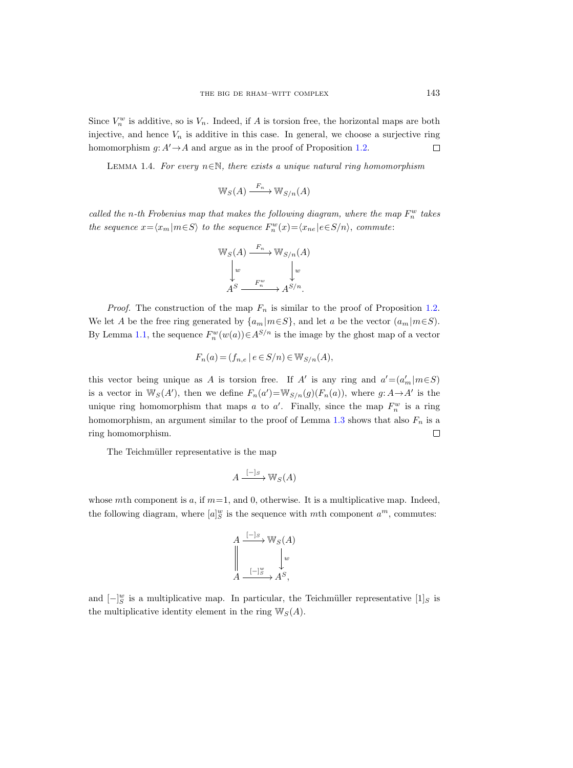Since  $V_n^w$  is additive, so is  $V_n$ . Indeed, if A is torsion free, the horizontal maps are both injective, and hence  $V_n$  is additive in this case. In general, we choose a surjective ring homomorphism  $g: A' \rightarrow A$  and argue as in the proof of Proposition [1.2.](#page-6-0)  $\Box$ 

LEMMA 1.4. For every  $n \in \mathbb{N}$ , there exists a unique natural ring homomorphism

$$
\mathbb{W}_S(A) \xrightarrow{F_n} \mathbb{W}_{S/n}(A)
$$

called the n-th Frobenius map that makes the following diagram, where the map  $F_n^w$  takes the sequence  $x = \langle x_m | m \in S \rangle$  to the sequence  $F_n^w(x) = \langle x_{ne} | e \in S/n \rangle$ , commute:

$$
\mathbb{W}_S(A) \xrightarrow{F_n} \mathbb{W}_{S/n}(A)
$$

$$
\downarrow^w \qquad \qquad \downarrow^w
$$

$$
A^S \xrightarrow{F_n^w} A^{S/n}.
$$

*Proof.* The construction of the map  $F_n$  is similar to the proof of Proposition [1.2.](#page-6-0) We let A be the free ring generated by  $\{a_m|m\in S\}$ , and let a be the vector  $(a_m|m\in S)$ . By Lemma [1.1,](#page-5-0) the sequence  $F_n^w(w(a)) \in A^{S/n}$  is the image by the ghost map of a vector

$$
F_n(a) = (f_{n,e} \mid e \in S/n) \in W_{S/n}(A),
$$

this vector being unique as A is torsion free. If A' is any ring and  $a' = (a'_m | m \in S)$ is a vector in  $\mathbb{W}_S(A')$ , then we define  $F_n(a') = \mathbb{W}_{S/n}(g)(F_n(a))$ , where  $g: A \to A'$  is the unique ring homomorphism that maps a to a'. Finally, since the map  $F_n^w$  is a ring homomorphism, an argument similar to the proof of Lemma [1.3](#page-7-0) shows that also  $F_n$  is a ring homomorphism.  $\Box$ 

The Teichmüller representative is the map

$$
A \xrightarrow{[-]_S} \mathbb{W}_S(A)
$$

whose mth component is  $a$ , if  $m=1$ , and 0, otherwise. It is a multiplicative map. Indeed, the following diagram, where  $[a]_S^w$  is the sequence with mth component  $a^m$ , commutes:

$$
A \xrightarrow{[-]_S} \mathbb{W}_S(A)
$$
  

$$
\downarrow^w
$$
  

$$
A \xrightarrow{[-]_S^w} A^S,
$$

<span id="page-8-0"></span>and  $\left[-\right]_{S}^{w}$  is a multiplicative map. In particular, the Teichmüller representative  $\left[1\right]_{S}$  is the multiplicative identity element in the ring  $\mathbb{W}_S(A)$ .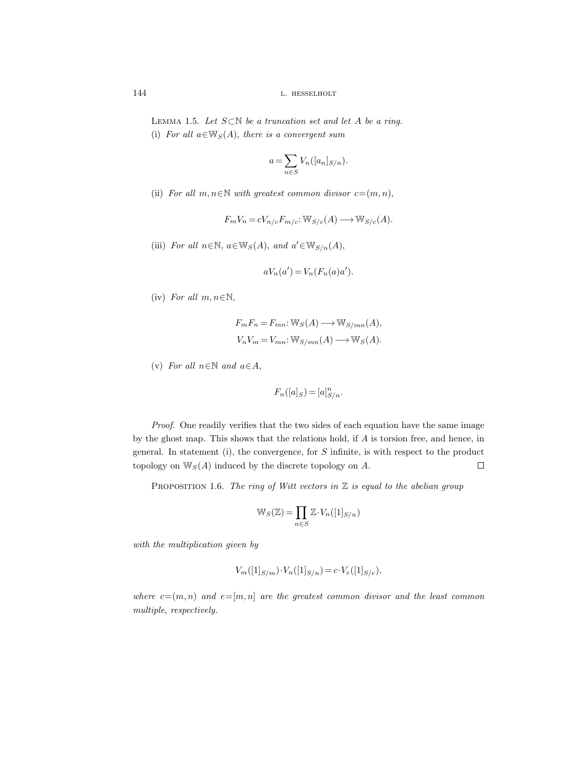LEMMA 1.5. Let  $S \subset \mathbb{N}$  be a truncation set and let A be a ring. (i) For all  $a \in \mathbb{W}_S(A)$ , there is a convergent sum

$$
a = \sum_{n \in S} V_n([a_n]_{S/n}).
$$

(ii) For all  $m, n \in \mathbb{N}$  with greatest common divisor  $c=(m, n)$ ,

$$
F_m V_n = c V_{n/c} F_{m/c} : W_{S/c}(A) \longrightarrow W_{S/c}(A).
$$

(iii) For all  $n \in \mathbb{N}$ ,  $a \in \mathbb{W}_S(A)$ , and  $a' \in \mathbb{W}_{S/n}(A)$ ,

$$
aV_n(a') = V_n(F_n(a)a').
$$

(iv) For all  $m, n \in \mathbb{N}$ ,

$$
F_m F_n = F_{mn}: \mathbb{W}_S(A) \longrightarrow \mathbb{W}_{S/mn}(A),
$$
  

$$
V_n V_m = V_{mn}: \mathbb{W}_{S/mn}(A) \longrightarrow \mathbb{W}_S(A).
$$

(v) For all  $n \in \mathbb{N}$  and  $a \in A$ ,

$$
F_n([a]_S) = [a]_{S/n}^n
$$

Proof. One readily verifies that the two sides of each equation have the same image by the ghost map. This shows that the relations hold, if A is torsion free, and hence, in general. In statement (i), the convergence, for  $S$  infinite, is with respect to the product topology on  $\mathbb{W}_S(A)$  induced by the discrete topology on A.  $\Box$ 

<span id="page-9-0"></span>PROPOSITION 1.6. The ring of Witt vectors in  $\mathbb Z$  is equal to the abelian group

$$
\mathbb{W}_S(\mathbb{Z}) = \prod_{n \in S} \mathbb{Z} \cdot V_n([1]_{S/n})
$$

with the multiplication given by

$$
V_m([1]_{S/m}) \cdot V_n([1]_{S/n}) = c \cdot V_e([1]_{S/e}),
$$

where  $c=(m, n)$  and  $e=[m, n]$  are the greatest common divisor and the least common multiple, respectively.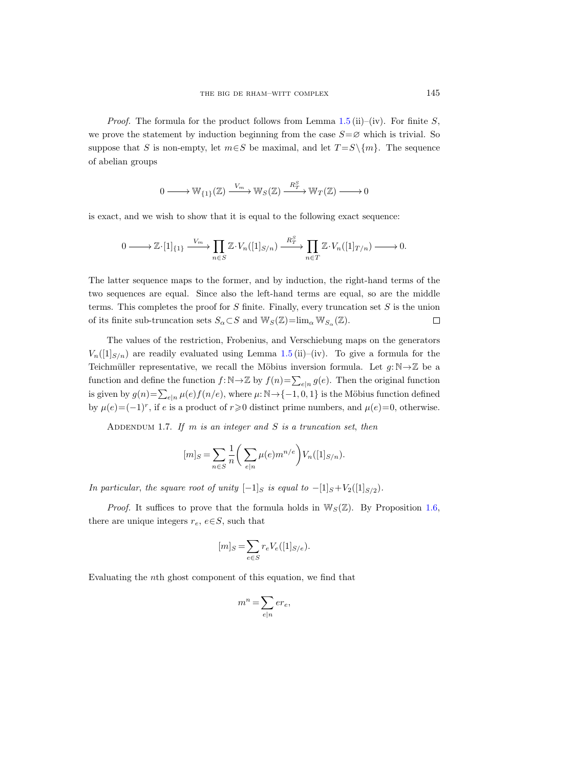*Proof.* The formula for the product follows from Lemma [1.5](#page-8-0) (ii)–(iv). For finite S, we prove the statement by induction beginning from the case  $S = \emptyset$  which is trivial. So suppose that S is non-empty, let  $m \in S$  be maximal, and let  $T = S \setminus \{m\}$ . The sequence of abelian groups

$$
0\longrightarrow \mathbb{W}_{\{1\}}(\mathbb{Z})\xrightarrow{V_m} \mathbb{W}_S(\mathbb{Z})\xrightarrow{R_T^S} \mathbb{W}_T(\mathbb{Z})\longrightarrow 0
$$

is exact, and we wish to show that it is equal to the following exact sequence:

$$
0 \longrightarrow \mathbb{Z} \cdot [1]_{\{1\}} \xrightarrow{V_m} \prod_{n \in S} \mathbb{Z} \cdot V_n([1]_{S/n}) \xrightarrow{R_T^S} \prod_{n \in T} \mathbb{Z} \cdot V_n([1]_{T/n}) \longrightarrow 0.
$$

The latter sequence maps to the former, and by induction, the right-hand terms of the two sequences are equal. Since also the left-hand terms are equal, so are the middle terms. This completes the proof for  $S$  finite. Finally, every truncation set  $S$  is the union of its finite sub-truncation sets  $S_{\alpha} \subset S$  and  $\mathbb{W}_{S}(\mathbb{Z}) = \lim_{\alpha} \mathbb{W}_{S_{\alpha}}(\mathbb{Z})$ .  $\Box$ 

The values of the restriction, Frobenius, and Verschiebung maps on the generators  $V_n([1]_{S/n})$  are readily evaluated using Lemma [1.5](#page-8-0) (ii)–(iv). To give a formula for the Teichmüller representative, we recall the Möbius inversion formula. Let  $g: \mathbb{N} \to \mathbb{Z}$  be a function and define the function  $f: \mathbb{N} \to \mathbb{Z}$  by  $f(n) = \sum_{e|n} g(e)$ . Then the original function is given by  $g(n) = \sum_{e|n} \mu(e) f(n/e)$ , where  $\mu: \mathbb{N} \to \{-1, 0, 1\}$  is the Möbius function defined by  $\mu(e) = (-1)^r$ , if e is a product of  $r \ge 0$  distinct prime numbers, and  $\mu(e) = 0$ , otherwise.

<span id="page-10-0"></span>ADDENDUM 1.7. If m is an integer and  $S$  is a truncation set, then

$$
[m]_S = \sum_{n \in S} \frac{1}{n} \bigg( \sum_{e|n} \mu(e) m^{n/e} \bigg) V_n([1]_{S/n}).
$$

In particular, the square root of unity  $[-1]_S$  is equal to  $-[1]_S+V_2([1]_{S/2})$ .

*Proof.* It suffices to prove that the formula holds in  $\mathbb{W}_S(\mathbb{Z})$ . By Proposition [1.6,](#page-9-0) there are unique integers  $r_e$ ,  $e \in S$ , such that

$$
[m]_S = \sum_{e \in S} r_e V_e([1]_{S/e}).
$$

Evaluating the nth ghost component of this equation, we find that

$$
m^n = \sum_{e|n} er_e,
$$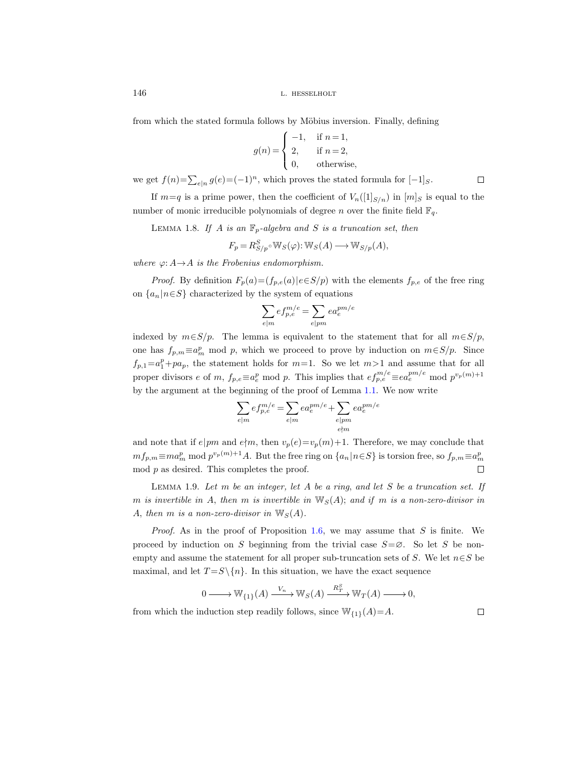from which the stated formula follows by Möbius inversion. Finally, defining

$$
g(n) = \begin{cases} -1, & \text{if } n = 1, \\ 2, & \text{if } n = 2, \\ 0, & \text{otherwise,} \end{cases}
$$

we get  $f(n) = \sum_{e|n} g(e) = (-1)^n$ , which proves the stated formula for  $[-1]_S$ .

If  $m=q$  is a prime power, then the coefficient of  $V_n(1]_{S/n}$  in  $[m]_S$  is equal to the number of monic irreducible polynomials of degree n over the finite field  $\mathbb{F}_q$ .

<span id="page-11-0"></span>LEMMA 1.8. If A is an  $\mathbb{F}_p$ -algebra and S is a truncation set, then

$$
F_p = R_{S/p}^S \circ \mathbb{W}_S(\varphi) : \mathbb{W}_S(A) \longrightarrow \mathbb{W}_{S/p}(A),
$$

where  $\varphi: A \rightarrow A$  is the Frobenius endomorphism.

*Proof.* By definition  $F_p(a) = (f_{p,e}(a))e \in S/p$  with the elements  $f_{p,e}$  of the free ring on  $\{a_n | n \in S\}$  characterized by the system of equations

$$
\sum_{e|m}ef_{p,e}^{m/e}=\sum_{e|pm}ea_{e}^{pm/e}
$$

indexed by  $m \in S/p$ . The lemma is equivalent to the statement that for all  $m \in S/p$ , one has  $f_{p,m} \equiv a_m^p \mod p$ , which we proceed to prove by induction on  $m \in S/p$ . Since  $f_{p,1}=a_1^p+pa_p$ , the statement holds for  $m=1$ . So we let  $m>1$  and assume that for all proper divisors e of m,  $f_{p,e} \equiv a_e^p \mod p$ . This implies that  $e f_{p,e}^{m/e} \equiv e a_e^{pm/e} \mod p^{v_p(m)+1}$ by the argument at the beginning of the proof of Lemma [1.1.](#page-5-0) We now write

$$
\sum_{e|m} ef_{p,e}^{m/e} = \sum_{e|m} ea_e^{pm/e} + \sum_{\substack{e|pm\\e\nmid m}} ea_e^{pm/e}
$$

and note that if  $e|pm$  and  $e/m$ , then  $v_p(e)=v_p(m)+1$ . Therefore, we may conclude that  $mf_{p,m} \equiv ma_m^p \bmod p^{v_p(m)+1}A$ . But the free ring on  $\{a_n | n \in S\}$  is torsion free, so  $f_{p,m} \equiv a_m^p$  $\mod p$  as desired. This completes the proof.  $\Box$ 

<span id="page-11-1"></span>LEMMA 1.9. Let  $m$  be an integer, let  $A$  be a ring, and let  $S$  be a truncation set. If m is invertible in A, then m is invertible in  $\mathbb{W}_S(A)$ ; and if m is a non-zero-divisor in A, then m is a non-zero-divisor in  $W_S(A)$ .

*Proof.* As in the proof of Proposition [1.6,](#page-9-0) we may assume that  $S$  is finite. We proceed by induction on S beginning from the trivial case  $S = \emptyset$ . So let S be nonempty and assume the statement for all proper sub-truncation sets of S. We let  $n \in S$  be maximal, and let  $T = S \setminus \{n\}$ . In this situation, we have the exact sequence

$$
0 \longrightarrow \mathbb{W}_{\{1\}}(A) \xrightarrow{V_n} \mathbb{W}_S(A) \xrightarrow{R_T^S} \mathbb{W}_T(A) \longrightarrow 0,
$$

from which the induction step readily follows, since  $\mathbb{W}_{\{1\}}(A)=A$ .

 $\Box$ 

 $\Box$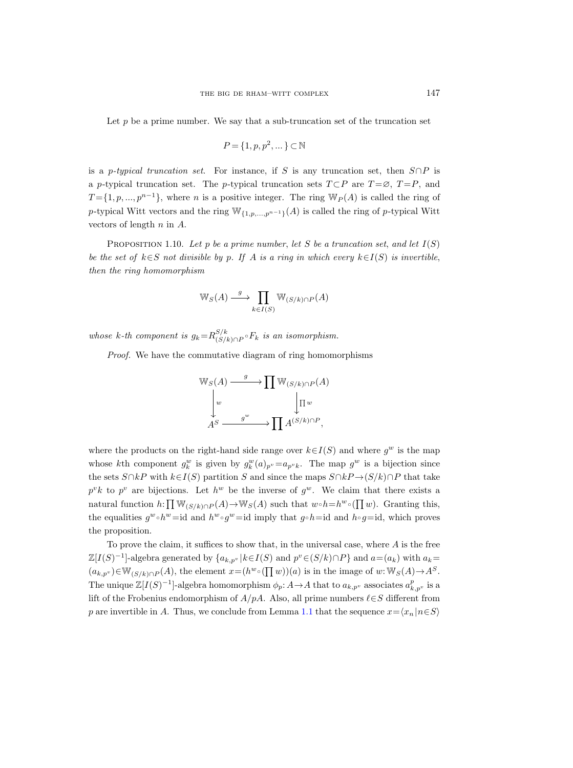Let  $p$  be a prime number. We say that a sub-truncation set of the truncation set

$$
P = \{1, p, p^2, \dots\} \subset \mathbb{N}
$$

is a p-typical truncation set. For instance, if S is any truncation set, then  $S \cap P$  is a p-typical truncation set. The p-typical truncation sets  $T \subset P$  are  $T = \emptyset$ ,  $T = P$ , and  $T = \{1, p, ..., p^{n-1}\}\$ , where n is a positive integer. The ring  $\mathbb{W}_P(A)$  is called the ring of p-typical Witt vectors and the ring  $\mathbb{W}_{\{1,p,\ldots,p^{n-1}\}}(A)$  is called the ring of p-typical Witt vectors of length  $n$  in  $A$ .

<span id="page-12-0"></span>PROPOSITION 1.10. Let p be a prime number, let S be a truncation set, and let  $I(S)$ be the set of  $k \in S$  not divisible by p. If A is a ring in which every  $k \in I(S)$  is invertible, then the ring homomorphism

$$
\mathbb{W}_S(A) \xrightarrow{g} \prod_{k \in I(S)} \mathbb{W}_{(S/k) \cap P}(A)
$$

whose k-th component is  $g_k = R_{(S/k)}^{S/k}$  $\frac{S/k}{(S/k)\cap P}$ °  $F_k$  is an isomorphism.

Proof. We have the commutative diagram of ring homomorphisms



where the products on the right-hand side range over  $k \in I(S)$  and where  $g^w$  is the map whose kth component  $g_k^w$  is given by  $g_k^w(a)_{p^v} = a_{p^v k}$ . The map  $g^w$  is a bijection since the sets  $S \cap kP$  with  $k \in I(S)$  partition S and since the maps  $S \cap kP \rightarrow (S/k) \cap P$  that take  $p^v k$  to  $p^v$  are bijections. Let  $h^w$  be the inverse of  $g^w$ . We claim that there exists a natural function  $h: \prod_{j} \mathbb{W}_{(S/k) \cap P}(A) \to \mathbb{W}_{S}(A)$  such that  $w \circ h=h^{w} \circ (\prod w)$ . Granting this, the equalities  $g^w \circ h^w = id$  and  $h^w \circ g^w = id$  imply that  $g \circ h = id$  and  $h \circ g = id$ , which proves the proposition.

To prove the claim, it suffices to show that, in the universal case, where  $A$  is the free  $\mathbb{Z}[I(S)^{-1}]$ -algebra generated by  $\{a_{k,p^v} | k \in I(S) \text{ and } p^v \in (S/k) \cap P\}$  and  $a = (a_k)$  with  $a_k =$  $(a_{k,p^v}) \in \mathbb{W}_{(S/k)\cap P}(A)$ , the element  $x=(h^w\circ(\prod w))(a)$  is in the image of  $w:\mathbb{W}_S(A) \to A^S$ . The unique  $\mathbb{Z}[I(S)^{-1}]$ -algebra homomorphism  $\phi_p: A \to A$  that to  $a_{k,p^v}$  associates  $a_{k,p^v}^p$  is a lift of the Frobenius endomorphism of  $A/pA$ . Also, all prime numbers  $\ell \in S$  different from p are invertible in A. Thus, we conclude from Lemma [1.1](#page-5-0) that the sequence  $x=\langle x_n | n\in S \rangle$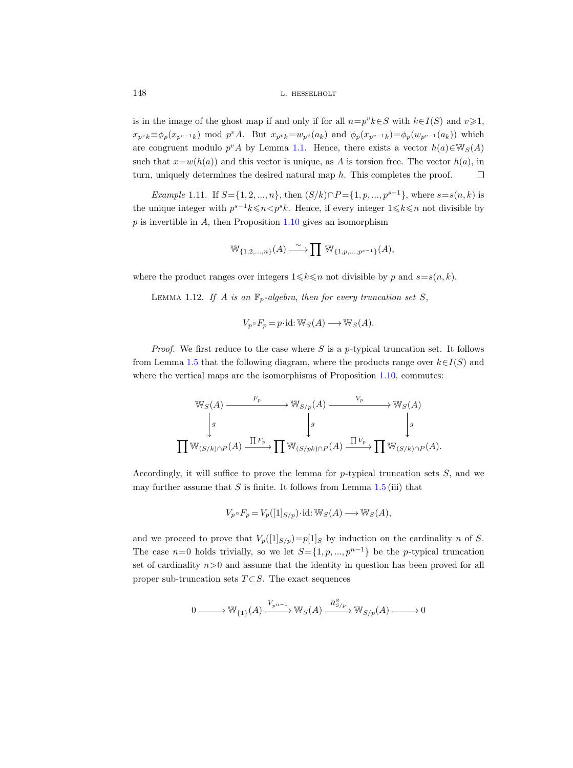is in the image of the ghost map if and only if for all  $n=p^v k\in S$  with  $k\in I(S)$  and  $v\geqslant 1$ ,  $x_{p^v k} \equiv \phi_p(x_{p^{v-1} k}) \mod p^v A$ . But  $x_{p^v k} = w_{p^v}(a_k)$  and  $\phi_p(x_{p^{v-1} k}) = \phi_p(w_{p^{v-1}}(a_k))$  which are congruent modulo  $p^v A$  by Lemma [1.1.](#page-5-0) Hence, there exists a vector  $h(a) \in W_S(A)$ such that  $x=w(h(a))$  and this vector is unique, as A is torsion free. The vector  $h(a)$ , in turn, uniquely determines the desired natural map  $h$ . This completes the proof.  $\Box$ 

<span id="page-13-1"></span>Example 1.11. If  $S = \{1, 2, ..., n\}$ , then  $(S/k) \cap P = \{1, p, ..., p^{s-1}\}$ , where  $s = s(n, k)$  is the unique integer with  $p^{s-1}k \leqslant n \leq p^s k$ . Hence, if every integer  $1 \leqslant k \leqslant n$  not divisible by  $p$  is invertible in  $A$ , then Proposition [1.10](#page-12-0) gives an isomorphism

$$
\mathbb{W}_{\{1,2,\ldots,n\}}(A) \xrightarrow{\sim} \prod \mathbb{W}_{\{1,p,\ldots,p^{s-1}\}}(A),
$$

<span id="page-13-0"></span>where the product ranges over integers  $1 \leq k \leq n$  not divisible by p and  $s=s(n, k)$ .

LEMMA 1.12. If A is an  $\mathbb{F}_p$ -algebra, then for every truncation set S,

$$
V_p \circ F_p = p \cdot \text{id}: \mathbb{W}_S(A) \longrightarrow \mathbb{W}_S(A).
$$

*Proof.* We first reduce to the case where  $S$  is a p-typical truncation set. It follows from Lemma [1.5](#page-8-0) that the following diagram, where the products range over  $k \in I(S)$  and where the vertical maps are the isomorphisms of Proposition [1.10,](#page-12-0) commutes:

$$
\begin{array}{ccc}\n\mathbb{W}_{S}(A) & \xrightarrow{F_p} & \mathbb{W}_{S/p}(A) & \xrightarrow{V_p} & \mathbb{W}_{S}(A) \\
\downarrow g & \downarrow g & \downarrow g \\
\prod \mathbb{W}_{(S/k)\cap P}(A) & \xrightarrow{\prod F_p} & \prod \mathbb{W}_{(S/pk)\cap P}(A) & \xrightarrow{\prod V_p} & \prod \mathbb{W}_{(S/k)\cap P}(A).\n\end{array}
$$

Accordingly, it will suffice to prove the lemma for  $p$ -typical truncation sets  $S$ , and we may further assume that  $S$  is finite. It follows from Lemma [1.5](#page-8-0) (iii) that

$$
V_p \circ F_p = V_p([1]_{S/p}) \cdot \mathrm{id} \colon \mathbb{W}_S(A) \longrightarrow \mathbb{W}_S(A),
$$

and we proceed to prove that  $V_p([1]_{S/p})=p[1]_S$  by induction on the cardinality n of S. The case  $n=0$  holds trivially, so we let  $S=\{1, p, ..., p^{n-1}\}\)$  be the p-typical truncation set of cardinality  $n>0$  and assume that the identity in question has been proved for all proper sub-truncation sets  $T \subset S$ . The exact sequences

$$
0\longrightarrow \mathbb{W}_{\{1\}}(A)\xrightarrow{V_{p^{n-1}}}\mathbb{W}_{S}(A)\xrightarrow{R^{S}_{S/p}}\mathbb{W}_{S/p}(A)\longrightarrow 0
$$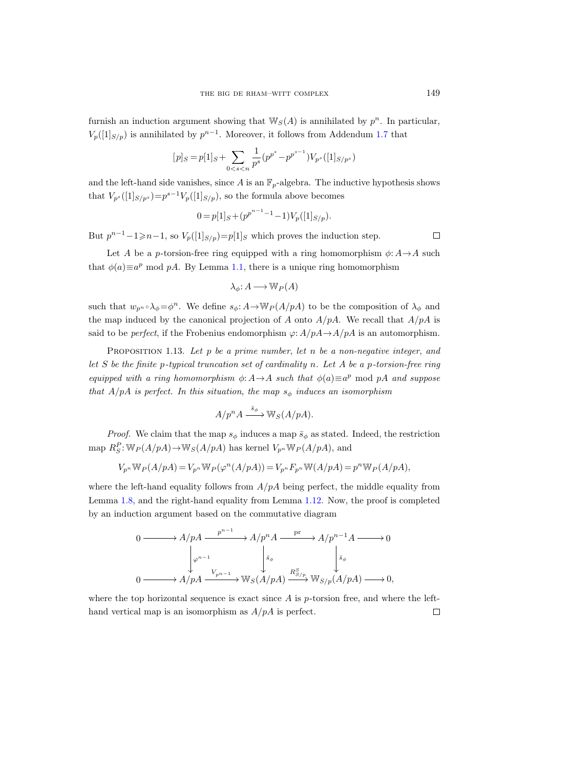furnish an induction argument showing that  $\mathbb{W}_S(A)$  is annihilated by  $p^n$ . In particular,  $V_p([1]_{S/p})$  is annihilated by  $p^{n-1}$ . Moreover, it follows from Addendum [1.7](#page-10-0) that

$$
[p]_S = p[1]_S + \sum_{0 < s < n} \frac{1}{p^s} (p^{p^s} - p^{p^{s-1}}) V_{p^s}([1]_{S/p^s})
$$

and the left-hand side vanishes, since A is an  $\mathbb{F}_p$ -algebra. The inductive hypothesis shows that  $V_{p^s}([1]_{S/p^s})=p^{s-1}V_p([1]_{S/p}),$  so the formula above becomes

$$
0 = p[1]_S + (p^{p^{n-1}-1} - 1)V_p([1]_{S/p}).
$$

But  $p^{n-1}-1\geqslant n-1$ , so  $V_p([1]_{S/p})=p[1]_S$  which proves the induction step.

Let A be a p-torsion-free ring equipped with a ring homomorphism  $\phi: A \rightarrow A$  such that  $\phi(a) \equiv a^p \mod{p}$ . By Lemma [1.1,](#page-5-0) there is a unique ring homomorphism

$$
\lambda_{\phi} \colon A \longrightarrow \mathbb{W}_P(A)
$$

such that  $w_{p^n} \circ \lambda_{\phi} = \phi^n$ . We define  $s_{\phi}: A \to \mathbb{W}_P(A/pA)$  to be the composition of  $\lambda_{\phi}$  and the map induced by the canonical projection of A onto  $A/pA$ . We recall that  $A/pA$  is said to be *perfect*, if the Frobenius endomorphism  $\varphi$ :  $A/pA \rightarrow A/pA$  is an automorphism.

PROPOSITION 1.13. Let  $p$  be a prime number, let  $n$  be a non-negative integer, and let  $S$  be the finite p-typical truncation set of cardinality n. Let  $A$  be a p-torsion-free ring equipped with a ring homomorphism  $\phi: A \rightarrow A$  such that  $\phi(a) \equiv a^p \mod pA$  and suppose that  $A/pA$  is perfect. In this situation, the map  $s_{\phi}$  induces an isomorphism

$$
A/p^n A \xrightarrow{\bar{s}_{\phi}} \mathbb{W}_S(A/pA).
$$

*Proof.* We claim that the map  $s_{\phi}$  induces a map  $\bar{s}_{\phi}$  as stated. Indeed, the restriction map  $R_S^P$ :  $\mathbb{W}_P(A/pA) \rightarrow \mathbb{W}_S(A/pA)$  has kernel  $V_{p^n}\mathbb{W}_P(A/pA)$ , and

$$
V_{p^n}\mathbb{W}_P(A/pA) = V_{p^n}\mathbb{W}_P(\varphi^n(A/pA)) = V_{p^n}F_{p^n}\mathbb{W}(A/pA) = p^n\mathbb{W}_P(A/pA),
$$

where the left-hand equality follows from  $A/pA$  being perfect, the middle equality from Lemma [1.8,](#page-11-0) and the right-hand equality from Lemma [1.12.](#page-13-0) Now, the proof is completed by an induction argument based on the commutative diagram

$$
0 \longrightarrow A/pA \xrightarrow{p^{n-1}} A/p^n A \xrightarrow{\text{pr}} A/p^{n-1} A \longrightarrow 0
$$
  

$$
\downarrow_{\varphi^{n-1}} \qquad \qquad \downarrow_{\bar{s}_{\phi}} \qquad \qquad \downarrow_{\bar{s}_{\phi}}
$$
  

$$
0 \longrightarrow A/pA \xrightarrow{V_{p^{n-1}}} \mathbb{W}_S(A/pA) \xrightarrow{R^S_{S/p}} \mathbb{W}_{S/p}(A/pA) \longrightarrow 0,
$$

where the top horizontal sequence is exact since  $A$  is  $p$ -torsion free, and where the lefthand vertical map is an isomorphism as  $A/pA$  is perfect.  $\Box$ 

 $\Box$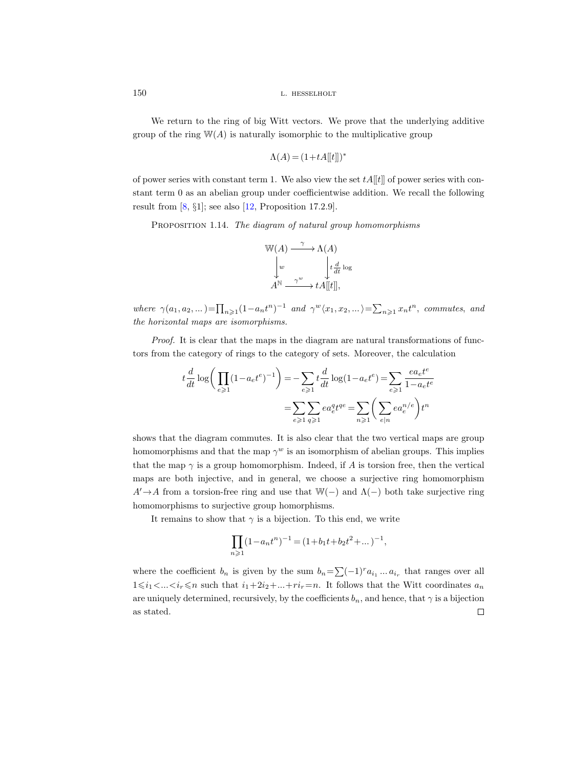We return to the ring of big Witt vectors. We prove that the underlying additive group of the ring  $W(A)$  is naturally isomorphic to the multiplicative group

$$
\Lambda(A) = (1 + tA[[t]])^*
$$

of power series with constant term 1. We also view the set  $tA[[t]]$  of power series with constant term 0 as an abelian group under coefficientwise addition. We recall the following result from  $[8, \S1]$  $[8, \S1]$ ; see also  $[12,$  Proposition 17.2.9].

<span id="page-15-1"></span>PROPOSITION 1.14. The diagram of natural group homomorphisms

$$
\begin{array}{ccc}\n\mathbb{W}(A) & \xrightarrow{\gamma} & \Lambda(A) \\
\downarrow w & & \downarrow t \frac{d}{dt} \log \\
A^{\mathbb{N}} & \xrightarrow{\gamma^w} & t A[[t]],\n\end{array}
$$

where  $\gamma(a_1, a_2, \dots) = \prod_{n \geq 1} (1 - a_n t^n)^{-1}$  and  $\gamma^w \langle x_1, x_2, \dots \rangle = \sum_{n \geq 1} x_n t^n$ , commutes, and the horizontal maps are isomorphisms.

Proof. It is clear that the maps in the diagram are natural transformations of functors from the category of rings to the category of sets. Moreover, the calculation

$$
t\frac{d}{dt}\log\bigg(\prod_{e\geqslant 1}(1-a_e t^e)^{-1}\bigg)=-\sum_{e\geqslant 1}t\frac{d}{dt}\log(1-a_e t^e)=\sum_{e\geqslant 1}\frac{ea_e t^e}{1-a_e t^e}
$$

$$
=\sum_{e\geqslant 1}\sum_{q\geqslant 1}ea_e^q t^{qe}=\sum_{n\geqslant 1}\bigg(\sum_{e|n}ea_e^{n/e}\bigg)t^n
$$

shows that the diagram commutes. It is also clear that the two vertical maps are group homomorphisms and that the map  $\gamma^w$  is an isomorphism of abelian groups. This implies that the map  $\gamma$  is a group homomorphism. Indeed, if A is torsion free, then the vertical maps are both injective, and in general, we choose a surjective ring homomorphism  $A' \rightarrow A$  from a torsion-free ring and use that W(−) and  $\Lambda$ (−) both take surjective ring homomorphisms to surjective group homorphisms.

It remains to show that  $\gamma$  is a bijection. To this end, we write

$$
\prod_{n\geqslant 1} (1-a_nt^n)^{-1}=(1+b_1t+b_2t^2+\dots)^{-1},
$$

<span id="page-15-0"></span>where the coefficient  $b_n$  is given by the sum  $b_n = \sum (-1)^r a_{i_1} \dots a_{i_r}$  that ranges over all  $1\leq i_1\leq \ldots \leq i_r\leq n$  such that  $i_1+2i_2+\ldots+ri_r=n$ . It follows that the Witt coordinates  $a_n$ are uniquely determined, recursively, by the coefficients  $b_n$ , and hence, that  $\gamma$  is a bijection as stated. $\Box$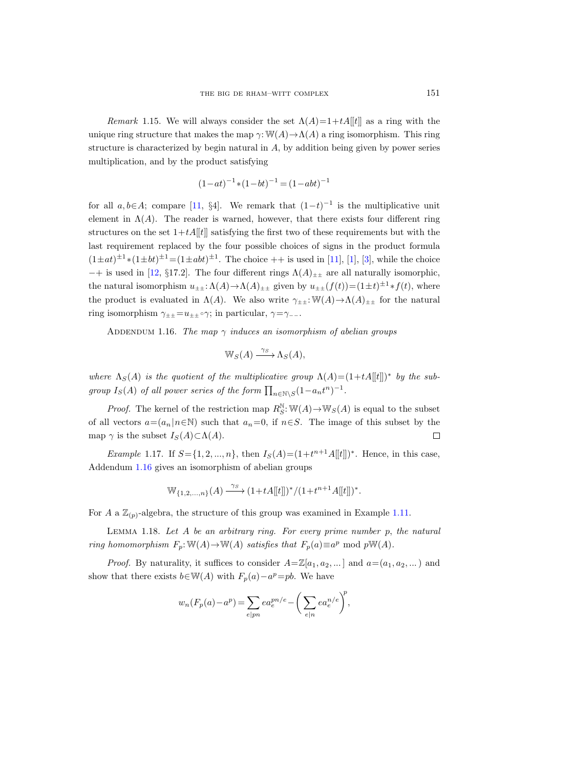Remark 1.15. We will always consider the set  $\Lambda(A)=1+tA[[t]]$  as a ring with the unique ring structure that makes the map  $\gamma: W(A) \to \Lambda(A)$  a ring isomorphism. This ring structure is characterized by begin natural in A, by addition being given by power series multiplication, and by the product satisfying

$$
(1 - at)^{-1} * (1 - bt)^{-1} = (1 - abt)^{-1}
$$

for all  $a, b \in A$ ; compare [\[11,](#page-71-4) §4]. We remark that  $(1-t)^{-1}$  is the multiplicative unit element in  $\Lambda(A)$ . The reader is warned, however, that there exists four different ring structures on the set  $1+tA[[t]]$  satisfying the first two of these requirements but with the last requirement replaced by the four possible choices of signs in the product formula  $(1 \pm at)^{\pm 1} * (1 \pm bt)^{\pm 1} = (1 \pm abt)^{\pm 1}$ . The choice  $++$  is used in [\[11\]](#page-71-4), [\[1\]](#page-70-3), [\[3\]](#page-70-4), while the choice  $-+$  is used in [\[12,](#page-71-17) §17.2]. The four different rings  $\Lambda(A)_{\pm\pm}$  are all naturally isomorphic, the natural isomorphism  $u_{\pm\pm} \cdot \Lambda(A) \to \Lambda(A)_{\pm\pm}$  given by  $u_{\pm\pm}(f(t)) = (1 \pm t)^{\pm 1} * f(t)$ , where the product is evaluated in  $\Lambda(A)$ . We also write  $\gamma_{\pm\pm}:\mathbb{W}(A)\to\Lambda(A)_{\pm\pm}$  for the natural ring isomorphism  $\gamma_{\pm\pm} = u_{\pm\pm} \circ \gamma$ ; in particular,  $\gamma = \gamma_{--}$ .

<span id="page-16-0"></span>ADDENDUM 1.16. The map  $\gamma$  induces an isomorphism of abelian groups

$$
\mathbb{W}_S(A) \xrightarrow{\gamma_S} \Lambda_S(A),
$$

where  $\Lambda_S(A)$  is the quotient of the multiplicative group  $\Lambda(A) = (1 + tA[[t]])^*$  by the subgroup  $I_S(A)$  of all power series of the form  $\prod_{n \in \mathbb{N} \setminus S} (1 - a_n t^n)^{-1}$ .

*Proof.* The kernel of the restriction map  $R_S^{\mathbb{N}}$ :  $\mathbb{W}(A) \rightarrow \mathbb{W}_S(A)$  is equal to the subset of all vectors  $a=(a_n|n\in\mathbb{N})$  such that  $a_n=0$ , if  $n\in S$ . The image of this subset by the map  $\gamma$  is the subset  $I_S(A) \subset \Lambda(A)$ .  $\Box$ 

*Example* 1.17. If  $S = \{1, 2, ..., n\}$ , then  $I_S(A) = (1 + t^{n+1}A[[t]])^*$ . Hence, in this case, Addendum [1.16](#page-16-0) gives an isomorphism of abelian groups

$$
\mathbb{W}_{\{1,2,\ldots,n\}}(A) \xrightarrow{\gamma_S} (1+tA[[t]])^*/(1+t^{n+1}A[[t]])^*.
$$

For A a  $\mathbb{Z}_{(p)}$ -algebra, the structure of this group was examined in Example [1.11.](#page-13-1)

<span id="page-16-1"></span>LEMMA 1.18. Let  $A$  be an arbitrary ring. For every prime number  $p$ , the natural ring homomorphism  $F_p: \mathbb{W}(A) \to \mathbb{W}(A)$  satisfies that  $F_p(a) \equiv a^p \mod p \mathbb{W}(A)$ .

*Proof.* By naturality, it suffices to consider  $A = \mathbb{Z}[a_1, a_2, \dots]$  and  $a = (a_1, a_2, \dots)$  and show that there exists  $b \in \mathbb{W}(A)$  with  $F_p(a) - a^p = pb$ . We have

$$
w_n(F_p(a) - a^p) = \sum_{e \mid pn} ea_e^{pn/e} - \bigg(\sum_{e \mid n} ea_e^{n/e}\bigg)^p,
$$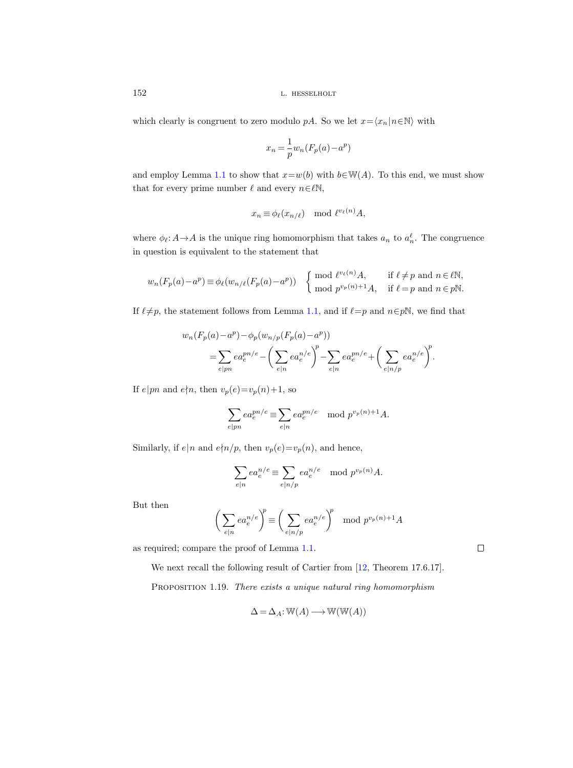which clearly is congruent to zero modulo pA. So we let  $x=\langle x_n | n \in \mathbb{N} \rangle$  with

$$
x_n = \frac{1}{p} w_n (F_p(a) - a^p)
$$

and employ Lemma [1.1](#page-5-0) to show that  $x=w(b)$  with  $b\in W(A)$ . To this end, we must show that for every prime number  $\ell$  and every  $n\in\ell\mathbb{N}$ ,

$$
x_n \equiv \phi_\ell(x_{n/\ell}) \mod \ell^{v_\ell(n)}A,
$$

where  $\phi_{\ell}: A \to A$  is the unique ring homomorphism that takes  $a_n$  to  $a_n^{\ell}$ . The congruence in question is equivalent to the statement that

$$
w_n(F_p(a) - a^p) \equiv \phi_\ell(w_{n/\ell}(F_p(a) - a^p)) \quad \left\{ \begin{array}{ll} \mod{\ell^{v_\ell(n)}}A, & \text{if } \ell \neq p \text{ and } n \in \ell \mathbb{N}, \\ \mod{p^{v_p(n)+1}}A, & \text{if } \ell = p \text{ and } n \in p \mathbb{N}. \end{array} \right.
$$

If  $\ell \neq p$ , the statement follows from Lemma [1.1,](#page-5-0) and if  $\ell=p$  and  $n\in p\mathbb{N}$ , we find that

$$
w_n(F_p(a) - a^p) - \phi_p(w_{n/p}(F_p(a) - a^p))
$$
  
=  $\sum_{e \mid pn} ea_e^{pn/e} - \left(\sum_{e \mid n} ea_e^{n/e}\right)^p - \sum_{e \mid n} ea_e^{pn/e} + \left(\sum_{e \mid n/p} ea_e^{n/e}\right)^p$ .

If  $e|pn$  and  $e\nmid n$ , then  $v_p(e)=v_p(n)+1$ , so

$$
\sum_{e \mid pn} e a_e^{pn/e} \equiv \sum_{e \mid n} e a_e^{pn/e} \mod p^{v_p(n)+1} A.
$$

Similarly, if  $e|n$  and  $e \nmid n/p$ , then  $v_p(e)=v_p(n)$ , and hence,

$$
\sum_{e|n} ea_e^{n/e} \equiv \sum_{e|n/p} ea_e^{n/e} \mod p^{v_p(n)}A.
$$

But then

$$
\left(\sum_{e|n} ea_e^{n/e}\right)^p \equiv \left(\sum_{e|n/p} ea_e^{n/e}\right)^p \mod p^{v_p(n)+1}A
$$

as required; compare the proof of Lemma [1.1.](#page-5-0)

We next recall the following result of Cartier from  $[12,$  Theorem 17.6.17].

<span id="page-17-0"></span>PROPOSITION 1.19. There exists a unique natural ring homomorphism

 $\Delta = \Delta_A: \mathbb{W}(A) \longrightarrow \mathbb{W}(\mathbb{W}(A))$ 

 $\Box$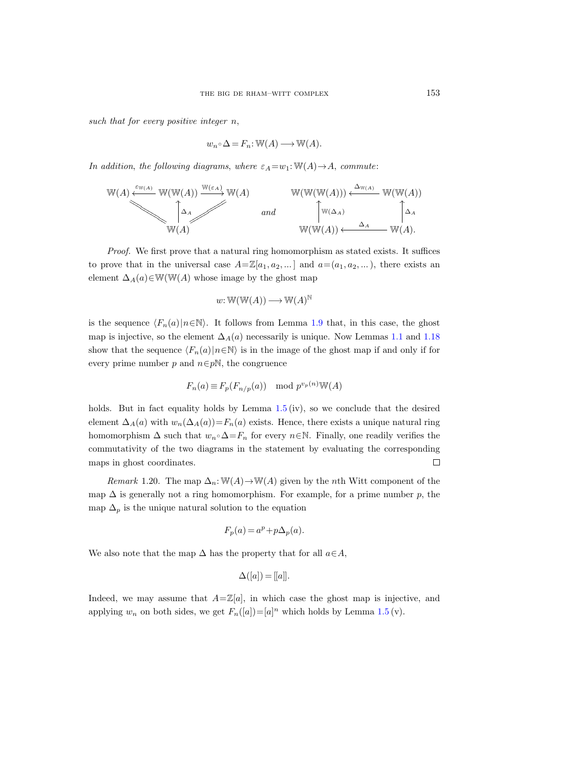such that for every positive integer  $n$ ,

$$
w_n \circ \Delta = F_n : \mathbb{W}(A) \longrightarrow \mathbb{W}(A).
$$

In addition, the following diagrams, where  $\varepsilon_A = w_1$ : W(A)  $\rightarrow$  A, commute:

$$
\mathbb{W}(A) \xleftarrow{\varepsilon_{\mathbb{W}(A)}} \mathbb{W}(\mathbb{W}(A)) \xrightarrow{\mathbb{W}(\varepsilon_A)} \mathbb{W}(A) \qquad \qquad \mathbb{W}(\mathbb{W}(\mathbb{W}(A))) \xleftarrow{\Delta_{\mathbb{W}(A)}} \mathbb{W}(\mathbb{W}(A))
$$
\n
$$
\downarrow \qquad \qquad \text{and} \qquad \qquad \downarrow \qquad \qquad \downarrow \qquad \qquad \downarrow \qquad \downarrow \qquad \downarrow \qquad \downarrow \qquad \downarrow \qquad \downarrow \qquad \downarrow \qquad \downarrow \qquad \downarrow \qquad \downarrow \qquad \downarrow \qquad \downarrow \qquad \downarrow \qquad \downarrow \qquad \downarrow \qquad \downarrow \qquad \downarrow \qquad \downarrow \qquad \downarrow \qquad \downarrow \qquad \downarrow \qquad \downarrow \qquad \downarrow \qquad \downarrow \qquad \downarrow \qquad \downarrow \qquad \downarrow \qquad \downarrow \qquad \downarrow \qquad \downarrow \qquad \downarrow \qquad \downarrow \qquad \downarrow \qquad \downarrow \qquad \downarrow \qquad \downarrow \qquad \downarrow \qquad \downarrow \qquad \downarrow \qquad \downarrow \qquad \downarrow \qquad \downarrow \qquad \downarrow \qquad \downarrow \qquad \downarrow \qquad \downarrow \qquad \downarrow \qquad \downarrow \qquad \downarrow \qquad \downarrow \qquad \downarrow \qquad \downarrow \qquad \downarrow \qquad \downarrow \qquad \downarrow \qquad \downarrow \qquad \downarrow \qquad \downarrow \qquad \downarrow \qquad \downarrow \qquad \downarrow \qquad \downarrow \qquad \downarrow \qquad \downarrow \qquad \downarrow \qquad \downarrow \qquad \downarrow \qquad \downarrow \qquad \downarrow \qquad \downarrow \qquad \downarrow \qquad \downarrow \qquad \downarrow \qquad \downarrow \qquad \downarrow \qquad \downarrow \qquad \downarrow \qquad \downarrow \qquad \downarrow \qquad \downarrow \qquad \downarrow \qquad \downarrow \qquad \downarrow \qquad \downarrow \qquad \downarrow \qquad \downarrow \qquad \downarrow \qquad \downarrow \qquad \downarrow \qquad \downarrow \qquad \downarrow \qquad \downarrow \qquad \downarrow \qquad \downarrow \qquad \downarrow \qquad \downarrow \qquad \downarrow \qquad \downarrow \qquad \downarrow \qquad \down
$$

Proof. We first prove that a natural ring homomorphism as stated exists. It suffices to prove that in the universal case  $A = \mathbb{Z}[a_1, a_2, \dots]$  and  $a = (a_1, a_2, \dots)$ , there exists an element  $\Delta_A(a) \in W(W(A))$  whose image by the ghost map

$$
w: \mathbb{W}(\mathbb{W}(A)) \longrightarrow \mathbb{W}(A)^{\mathbb{N}}
$$

is the sequence  $\langle F_n(a)|n\in\mathbb{N}\rangle$ . It follows from Lemma [1.9](#page-11-1) that, in this case, the ghost map is injective, so the element  $\Delta_A(a)$  necessarily is unique. Now Lemmas [1.1](#page-5-0) and [1.18](#page-16-1) show that the sequence  $\langle F_n(a)|n\in\mathbb{N}\rangle$  is in the image of the ghost map if and only if for every prime number p and  $n \in p\mathbb{N}$ , the congruence

$$
F_n(a) \equiv F_p(F_{n/p}(a)) \mod p^{v_p(n)} \mathbb{W}(A)
$$

holds. But in fact equality holds by Lemma  $1.5 \, \text{(iv)}$  $1.5 \, \text{(iv)}$ , so we conclude that the desired element  $\Delta_A(a)$  with  $w_n(\Delta_A(a))=F_n(a)$  exists. Hence, there exists a unique natural ring homomorphism  $\Delta$  such that  $w_n \Delta = F_n$  for every  $n \in \mathbb{N}$ . Finally, one readily verifies the commutativity of the two diagrams in the statement by evaluating the corresponding maps in ghost coordinates.  $\Box$ 

<span id="page-18-0"></span>*Remark* 1.20. The map  $\Delta_n$ : W(A)  $\rightarrow$  W(A) given by the *n*th Witt component of the map  $\Delta$  is generally not a ring homomorphism. For example, for a prime number p, the map  $\Delta_p$  is the unique natural solution to the equation

$$
F_p(a) = a^p + p\Delta_p(a).
$$

We also note that the map  $\Delta$  has the property that for all  $a \in A$ ,

$$
\Delta([a]) = [[a]].
$$

Indeed, we may assume that  $A = \mathbb{Z}[a]$ , in which case the ghost map is injective, and applying  $w_n$  on both sides, we get  $F_n([a]) = [a]^n$  which holds by Lemma [1.5](#page-8-0) (v).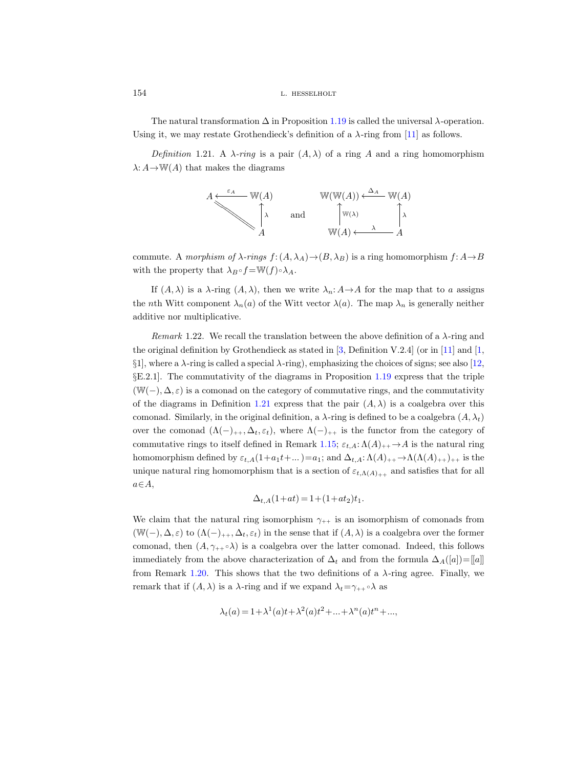The natural transformation  $\Delta$  in Proposition [1.19](#page-17-0) is called the universal  $\lambda$ -operation. Using it, we may restate Grothendieck's definition of a  $\lambda$ -ring from [\[11\]](#page-71-4) as follows.

<span id="page-19-0"></span>Definition 1.21. A  $\lambda$ -ring is a pair  $(A, \lambda)$  of a ring A and a ring homomorphism  $\lambda: A \to W(A)$  that makes the diagrams



commute. A morphism of  $\lambda$ -rings  $f: (A, \lambda_A) \to (B, \lambda_B)$  is a ring homomorphism  $f: A \to B$ with the property that  $\lambda_B \circ f = \mathbb{W}(f) \circ \lambda_A$ .

If  $(A, \lambda)$  is a  $\lambda$ -ring  $(A, \lambda)$ , then we write  $\lambda_n: A \to A$  for the map that to a assigns the nth Witt component  $\lambda_n(a)$  of the Witt vector  $\lambda(a)$ . The map  $\lambda_n$  is generally neither additive nor multiplicative.

Remark 1.22. We recall the translation between the above definition of a  $\lambda$ -ring and the original definition by Grothendieck as stated in [\[3,](#page-70-4) Definition V.2.4] (or in [\[11\]](#page-71-4) and [\[1,](#page-70-3)  $\S1$ , where a  $\lambda$ -ring is called a special  $\lambda$ -ring), emphasizing the choices of signs; see also [\[12,](#page-71-17) §E.2.1]. The commutativity of the diagrams in Proposition [1.19](#page-17-0) express that the triple  $(\mathbb{W}(-), \Delta, \varepsilon)$  is a comonad on the category of commutative rings, and the commutativity of the diagrams in Definition [1.21](#page-19-0) express that the pair  $(A, \lambda)$  is a coalgebra over this comonad. Similarly, in the original definition, a  $\lambda$ -ring is defined to be a coalgebra  $(A, \lambda_t)$ over the comonad  $(\Lambda(-)_{++}, \Delta_t, \varepsilon_t)$ , where  $\Lambda(-)_{++}$  is the functor from the category of commutative rings to itself defined in Remark [1.15;](#page-15-0)  $\varepsilon_{t,A}: \Lambda(A)_{++} \to A$  is the natural ring homomorphism defined by  $\varepsilon_{t,A}(1+a_1t+...)=a_1$ ; and  $\Delta_{t,A}:\Lambda(A)_{++}\to\Lambda(\Lambda(A)_{++})_{++}$  is the unique natural ring homomorphism that is a section of  $\varepsilon_{t,\Lambda(A)_{++}}$  and satisfies that for all  $a \in A$ ,

$$
\Delta_{t,A}(1+at) = 1 + (1+at_2)t_1.
$$

We claim that the natural ring isomorphism  $\gamma_{++}$  is an isomorphism of comonads from  $(\mathbb{W}(-), \Delta, \varepsilon)$  to  $(\Lambda(-)_{++}, \Delta_t, \varepsilon_t)$  in the sense that if  $(A, \lambda)$  is a coalgebra over the former comonad, then  $(A, \gamma_{++} \, \delta)$  is a coalgebra over the latter comonad. Indeed, this follows immediately from the above characterization of  $\Delta_t$  and from the formula  $\Delta_A([a])=[a]]$ from Remark [1.20.](#page-18-0) This shows that the two definitions of a  $\lambda$ -ring agree. Finally, we remark that if  $(A, \lambda)$  is a  $\lambda$ -ring and if we expand  $\lambda_t = \gamma_{++} \circ \lambda$  as

$$
\lambda_t(a) = 1 + \lambda^1(a)t + \lambda^2(a)t^2 + \dots + \lambda^n(a)t^n + \dots,
$$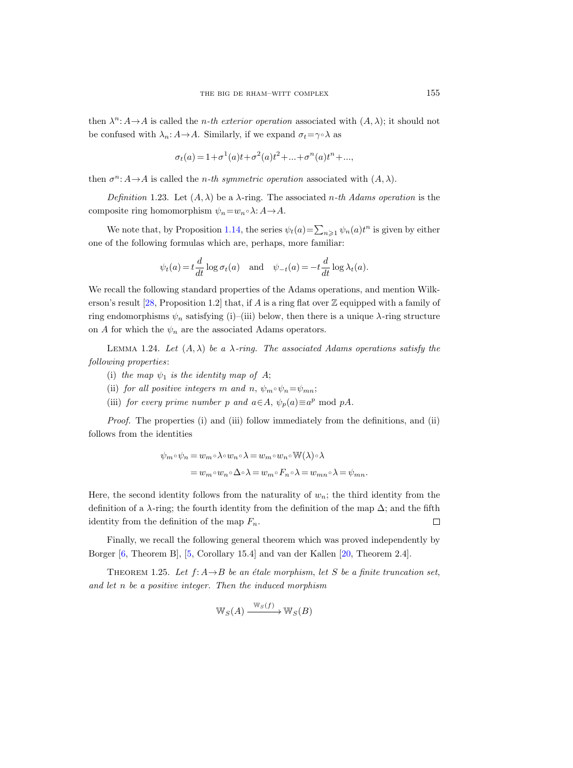then  $\lambda^n: A \to A$  is called the *n*-th exterior operation associated with  $(A, \lambda)$ ; it should not be confused with  $\lambda_n: A \to A$ . Similarly, if we expand  $\sigma_t = \gamma \circ \lambda$  as

$$
\sigma_t(a) = 1 + \sigma^1(a)t + \sigma^2(a)t^2 + \dots + \sigma^n(a)t^n + \dots,
$$

then  $\sigma^n: A \to A$  is called the *n*-th symmetric operation associated with  $(A, \lambda)$ .

<span id="page-20-1"></span>Definition 1.23. Let  $(A, \lambda)$  be a  $\lambda$ -ring. The associated *n*-th Adams operation is the composite ring homomorphism  $\psi_n = w_n \circ \lambda: A \to A$ .

We note that, by Proposition [1.14,](#page-15-1) the series  $\psi_t(a) = \sum_{n \geq 1} \psi_n(a) t^n$  is given by either one of the following formulas which are, perhaps, more familiar:

$$
\psi_t(a) = t \frac{d}{dt} \log \sigma_t(a)
$$
 and  $\psi_{-t}(a) = -t \frac{d}{dt} \log \lambda_t(a)$ .

We recall the following standard properties of the Adams operations, and mention Wilk-erson's result [\[28,](#page-71-19) Proposition 1.2] that, if A is a ring flat over  $\mathbb Z$  equipped with a family of ring endomorphisms  $\psi_n$  satisfying (i)–(iii) below, then there is a unique  $\lambda$ -ring structure on A for which the  $\psi_n$  are the associated Adams operators.

LEMMA 1.24. Let  $(A, \lambda)$  be a  $\lambda$ -ring. The associated Adams operations satisfy the following properties:

- (i) the map  $\psi_1$  is the identity map of A;
- (ii) for all positive integers m and n,  $\psi_m \circ \psi_n = \psi_{mn}$ ;
- (iii) for every prime number p and  $a \in A$ ,  $\psi_p(a) \equiv a^p \mod pA$ .

Proof. The properties (i) and (iii) follow immediately from the definitions, and (ii) follows from the identities

$$
\psi_m \circ \psi_n = w_m \circ \lambda \circ w_n \circ \lambda = w_m \circ w_n \circ \mathbb{W}(\lambda) \circ \lambda
$$
  
= 
$$
w_m \circ w_n \circ \Delta \circ \lambda = w_m \circ F_n \circ \lambda = w_{mn} \circ \lambda = \psi_{mn}.
$$

Here, the second identity follows from the naturality of  $w_n$ ; the third identity from the definition of a  $\lambda$ -ring; the fourth identity from the definition of the map  $\Delta$ ; and the fifth identity from the definition of the map  $F_n$ .  $\Box$ 

Finally, we recall the following general theorem which was proved independently by Borger [\[6,](#page-71-11) Theorem B], [\[5,](#page-70-1) Corollary 15.4] and van der Kallen [\[20,](#page-71-10) Theorem 2.4].

<span id="page-20-0"></span>THEOREM 1.25. Let  $f: A \rightarrow B$  be an étale morphism, let S be a finite truncation set, and let n be a positive integer. Then the induced morphism

$$
\mathbb{W}_S(A) \xrightarrow{\mathbb{W}_S(f)} \mathbb{W}_S(B)
$$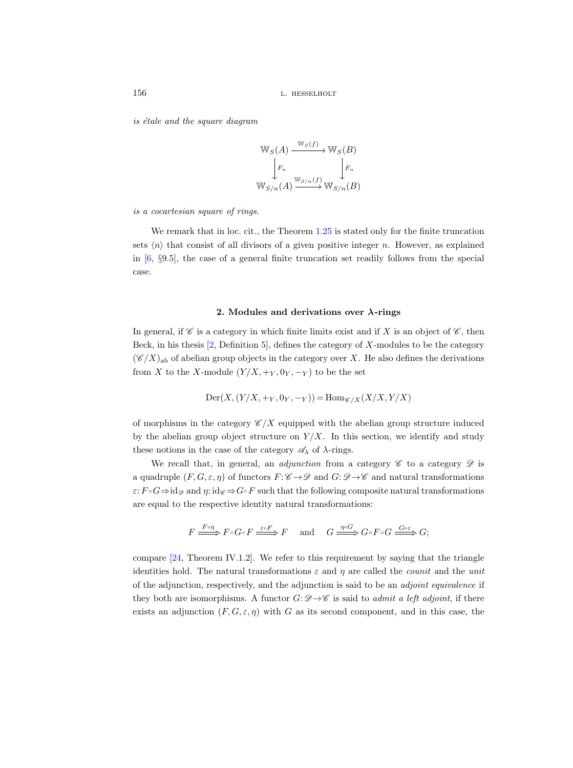is étale and the square diagram

$$
\mathbb{W}_S(A) \xrightarrow{\mathbb{W}_S(f)} \mathbb{W}_S(B)
$$

$$
\downarrow F_n \qquad \qquad \downarrow F_n
$$

$$
\mathbb{W}_{S/n}(A) \xrightarrow{\mathbb{W}_{S/n}(f)} \mathbb{W}_{S/n}(B)
$$

is a cocartesian square of rings.

We remark that in loc. cit., the Theorem  $1.25$  is stated only for the finite truncation sets  $\langle n \rangle$  that consist of all divisors of a given positive integer n. However, as explained in  $[6, \, 89.5]$  $[6, \, 89.5]$ , the case of a general finite truncation set readily follows from the special case.

# 2. Modules and derivations over  $\lambda$ -rings

In general, if  $\mathscr C$  is a category in which finite limits exist and if X is an object of  $\mathscr C$ , then Beck, in his thesis  $[2,$  Definition 5, defines the category of X-modules to be the category  $(\mathscr{C}/X)_{ab}$  of abelian group objects in the category over X. He also defines the derivations from X to the X-module  $(Y/X, +Y, 0_Y, -Y)$  to be the set

$$
\mathrm{Der}(X,(Y/X, +_Y, 0_Y, -_Y)) = \mathrm{Hom}_{\mathscr{C}/X}(X/X, Y/X)
$$

of morphisms in the category  $\mathscr{C}/X$  equipped with the abelian group structure induced by the abelian group object structure on  $Y/X$ . In this section, we identify and study these notions in the case of the category  $\mathscr{A}_{\lambda}$  of  $\lambda$ -rings.

We recall that, in general, an *adjunction* from a category  $\mathscr C$  to a category  $\mathscr D$  is a quadruple  $(F, G, \varepsilon, \eta)$  of functors  $F: \mathscr{C} \to \mathscr{D}$  and  $G: \mathscr{D} \to \mathscr{C}$  and natural transformations  $\varepsilon: F \circ G \Rightarrow id_{\mathscr{D}}$  and  $\eta: id_{\mathscr{C}} \Rightarrow G \circ F$  such that the following composite natural transformations are equal to the respective identity natural transformations:

$$
F \xrightarrow{F \circ \eta} F \circ G \circ F \xrightarrow{\varepsilon \circ F} F \quad \text{and} \quad G \xrightarrow{\eta \circ G} G \circ F \circ G \xrightarrow{G \circ \varepsilon} G;
$$

compare [\[24,](#page-71-20) Theorem IV.1.2]. We refer to this requirement by saying that the triangle identities hold. The natural transformations  $\varepsilon$  and  $\eta$  are called the *counit* and the *unit* of the adjunction, respectively, and the adjunction is said to be an adjoint equivalence if they both are isomorphisms. A functor  $G: \mathscr{D} \to \mathscr{C}$  is said to *admit a left adjoint*, if there exists an adjunction  $(F, G, \varepsilon, \eta)$  with G as its second component, and in this case, the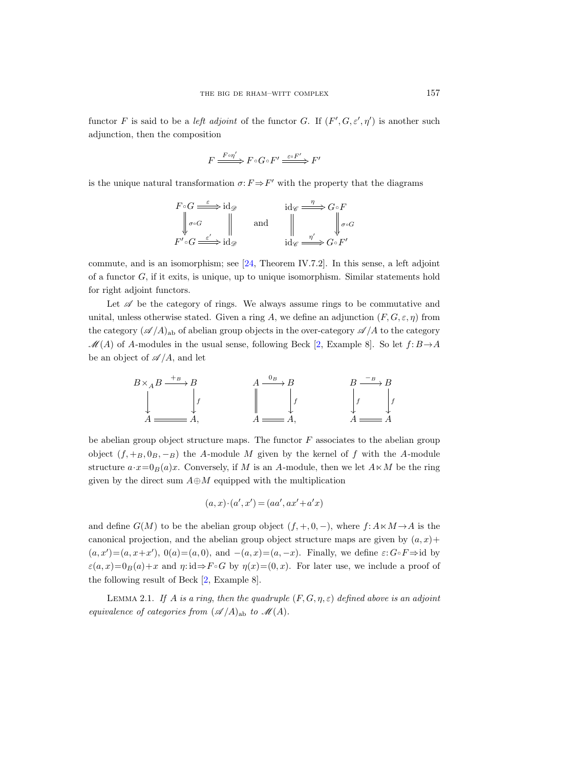functor F is said to be a *left adjoint* of the functor G. If  $(F', G, \varepsilon', \eta')$  is another such adjunction, then the composition

$$
F \xrightarrow{F \circ \eta'} F \circ G \circ F' \xrightarrow{\varepsilon \circ F'} F'
$$

is the unique natural transformation  $\sigma: F \Rightarrow F'$  with the property that the diagrams

$$
F \circ G \xrightarrow{\varepsilon} \mathrm{id}_{\mathscr{D}} \qquad \qquad \mathrm{id}_{\mathscr{C}} \xrightarrow{\varepsilon} G \circ F
$$
\n
$$
\downarrow \sigma \circ G \xrightarrow{\varepsilon'} \mathrm{id}_{\mathscr{D}} \qquad \qquad \mathrm{and} \qquad \qquad \downarrow \qquad \qquad \downarrow \sigma \circ G
$$
\n
$$
F' \circ G \xrightarrow{\varepsilon'} \mathrm{id}_{\mathscr{D}} \qquad \qquad \mathrm{id}_{\mathscr{C}} \xrightarrow{\eta'} G \circ F'
$$

commute, and is an isomorphism; see  $[24,$  Theorem IV.7.2. In this sense, a left adjoint of a functor  $G$ , if it exits, is unique, up to unique isomorphism. Similar statements hold for right adjoint functors.

Let  $\mathscr A$  be the category of rings. We always assume rings to be commutative and unital, unless otherwise stated. Given a ring A, we define an adjunction  $(F, G, \varepsilon, \eta)$  from the category  $(\mathscr{A}/A)_{ab}$  of abelian group objects in the over-category  $\mathscr{A}/A$  to the category  $\mathcal{M}(A)$  of A-modules in the usual sense, following Beck [\[2,](#page-70-2) Example 8]. So let  $f: B \rightarrow A$ be an object of  $\mathscr{A}/A$ , and let



be abelian group object structure maps. The functor  $F$  associates to the abelian group object  $(f, +_B, 0_B, -_B)$  the A-module M given by the kernel of f with the A-module structure  $a \cdot x = 0_B(a)x$ . Conversely, if M is an A-module, then we let  $A \ltimes M$  be the ring given by the direct sum  $A \oplus M$  equipped with the multiplication

$$
(a, x) \cdot (a', x') = (aa', ax' + a'x)
$$

and define  $G(M)$  to be the abelian group object  $(f, +, 0, -)$ , where  $f: A \times M \rightarrow A$  is the canonical projection, and the abelian group object structure maps are given by  $(a, x)$ +  $(a, x') = (a, x+x')$ ,  $0(a) = (a, 0)$ , and  $-(a, x) = (a, -x)$ . Finally, we define  $\varepsilon: G \circ F \Rightarrow \text{id}$  by  $\varepsilon(a, x)=0_B(a)+x$  and  $\eta: id \Rightarrow F \circ G$  by  $\eta(x)=(0, x)$ . For later use, we include a proof of the following result of Beck [\[2,](#page-70-2) Example 8].

<span id="page-22-0"></span>LEMMA 2.1. If A is a ring, then the quadruple  $(F, G, \eta, \varepsilon)$  defined above is an adjoint equivalence of categories from  $({\mathscr A}/A)_{ab}$  to  ${\mathscr M}(A)$ .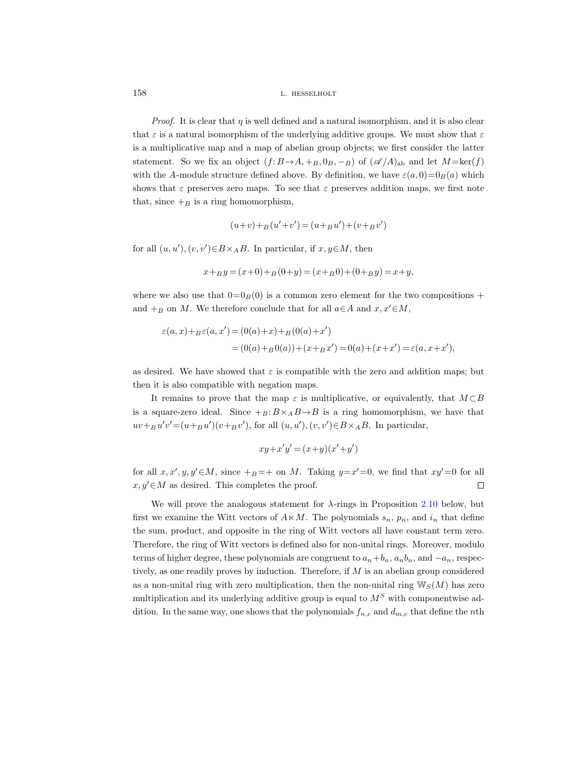*Proof.* It is clear that  $\eta$  is well defined and a natural isomorphism, and it is also clear that  $\varepsilon$  is a natural isomorphism of the underlying additive groups. We must show that  $\varepsilon$ is a multiplicative map and a map of abelian group objects; we first consider the latter statement. So we fix an object  $(f: B \to A, +B, 0_B, -B)$  of  $(\mathscr{A}/A)_{ab}$  and let  $M = \text{ker}(f)$ with the A-module structure defined above. By definition, we have  $\varepsilon(a,0)=0_B(a)$  which shows that  $\varepsilon$  preserves zero maps. To see that  $\varepsilon$  preserves addition maps, we first note that, since  $+$ <sub>B</sub> is a ring homomorphism,

$$
(u+v)+_B(u'+v') = (u+_B u') + (v+_B v')
$$

for all  $(u, u'), (v, v') \in B \times_A B$ . In particular, if  $x, y \in M$ , then

$$
x +_{B} y = (x+0) +_{B} (0+y) = (x+_{B} 0) + (0+_{B} y) = x + y,
$$

where we also use that  $0=0_B(0)$  is a common zero element for the two compositions + and  $+<sub>B</sub>$  on M. We therefore conclude that for all  $a \in A$  and  $x, x' \in M$ ,

$$
\varepsilon(a,x) + B\varepsilon(a,x') = (0(a) + x) + B(0(a) + x')
$$
  
= (0(a) + B(0a)) + (x + Bx') = 0(a) + (x + x') = \varepsilon(a, x + x'),

as desired. We have showed that  $\varepsilon$  is compatible with the zero and addition maps; but then it is also compatible with negation maps.

It remains to prove that the map  $\varepsilon$  is multiplicative, or equivalently, that  $M \subset B$ is a square-zero ideal. Since  $+_{B}: B \times_{A} B \rightarrow B$  is a ring homomorphism, we have that  $uv +_{B} u'v' = (u +_{B} u')(v +_{B} v')$ , for all  $(u, u'), (v, v') \in B \times_A B$ . In particular,

$$
xy + x'y' = (x+y)(x'+y')
$$

for all  $x, x', y, y' \in M$ , since  $+_{B} = +$  on M. Taking  $y=x'=0$ , we find that  $xy'=0$  for all  $x, y' \in M$  as desired. This completes the proof.  $\Box$ 

We will prove the analogous statement for  $\lambda$ -rings in Proposition [2.10](#page-28-0) below, but first we examine the Witt vectors of  $A \times M$ . The polynomials  $s_n$ ,  $p_n$ , and  $i_n$  that define the sum, product, and opposite in the ring of Witt vectors all have constant term zero. Therefore, the ring of Witt vectors is defined also for non-unital rings. Moreover, modulo terms of higher degree, these polynomials are congruent to  $a_n+b_n$ ,  $a_nb_n$ , and  $-a_n$ , respectively, as one readily proves by induction. Therefore, if M is an abelian group considered as a non-unital ring with zero multiplication, then the non-unital ring  $\mathbb{W}_S(M)$  has zero multiplication and its underlying additive group is equal to  $M<sup>S</sup>$  with componentwise addition. In the same way, one shows that the polynomials  $f_{n,e}$  and  $d_{m,e}$  that define the nth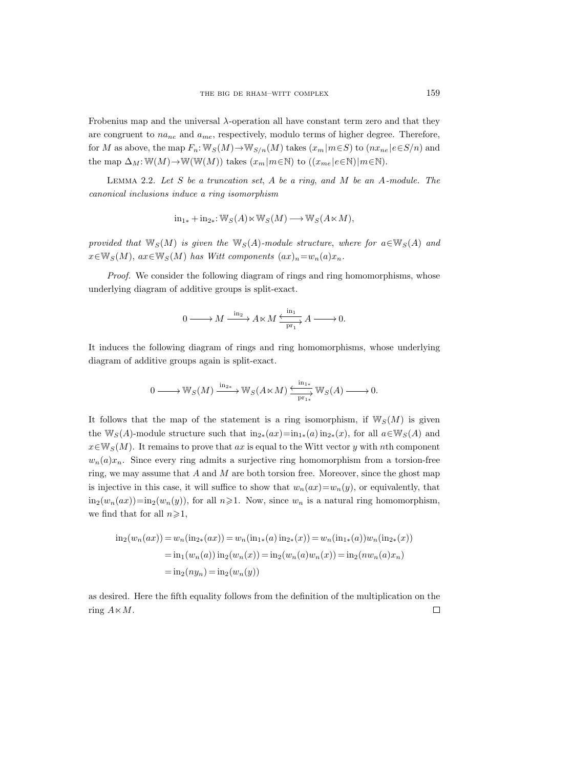Frobenius map and the universal λ-operation all have constant term zero and that they are congruent to  $na_{ne}$  and  $a_{me}$ , respectively, modulo terms of higher degree. Therefore, for  $M$  as above, the map  $F_n\!:\!\mathbb{W}_S(M){\rightarrow}\mathbb{W}_{S/n}(M)$  takes  $(x_m|m{\in}S)$  to  $(nx_{ne}|e{\in}S/n)$  and the map  $\Delta_M: \mathbb{W}(M) \to \mathbb{W}(\mathbb{W}(M))$  takes  $(x_m|m \in \mathbb{N})$  to  $((x_{me} | e \in \mathbb{N})|m \in \mathbb{N}).$ 

<span id="page-24-0"></span>LEMMA 2.2. Let  $S$  be a truncation set,  $A$  be a ring, and  $M$  be an  $A$ -module. The canonical inclusions induce a ring isomorphism

$$
\mathrm{in}_{1*} + \mathrm{in}_{2*} \colon \mathbb{W}_S(A) \ltimes \mathbb{W}_S(M) \longrightarrow \mathbb{W}_S(A \ltimes M),
$$

provided that  $\mathbb{W}_S(M)$  is given the  $\mathbb{W}_S(A)$ -module structure, where for  $a \in \mathbb{W}_S(A)$  and  $x \in \mathbb{W}_S(M)$ ,  $ax \in \mathbb{W}_S(M)$  has Witt components  $(ax)_n = w_n(a)x_n$ .

Proof. We consider the following diagram of rings and ring homomorphisms, whose underlying diagram of additive groups is split-exact.

$$
0 \longrightarrow M \xrightarrow{\text{ in }2} A \ltimes M \xrightarrow{\text{ in }1 \atop \text{ pr}_1} A \longrightarrow 0.
$$

It induces the following diagram of rings and ring homomorphisms, whose underlying diagram of additive groups again is split-exact.

$$
0\longrightarrow \mathbb{W}_S(M)\xrightarrow{\operatorname{in}_{2*}}\mathbb{W}_S(A\ltimes M)\xrightarrow{\operatorname{in}_{1*}}\mathbb{W}_S(A)\longrightarrow 0.
$$

It follows that the map of the statement is a ring isomorphism, if  $\mathbb{W}_{S}(M)$  is given the W<sub>S</sub>(A)-module structure such that  $\text{in}_{2*}(ax) = \text{in}_{1*}(a) \text{in}_{2*}(x)$ , for all  $a \in \mathbb{W}_S(A)$  and  $x \in \mathbb{W}_{S}(M)$ . It remains to prove that ax is equal to the Witt vector y with nth component  $w_n(a)x_n$ . Since every ring admits a surjective ring homomorphism from a torsion-free ring, we may assume that  $A$  and  $M$  are both torsion free. Moreover, since the ghost map is injective in this case, it will suffice to show that  $w_n(ax)=w_n(y)$ , or equivalently, that  $\text{in}_2(w_n(ax))=\text{in}_2(w_n(y))$ , for all  $n\geqslant 1$ . Now, since  $w_n$  is a natural ring homomorphism, we find that for all  $n\geqslant 1$ ,

$$
\text{in}_2(w_n(ax)) = w_n(\text{in}_{2*}(ax)) = w_n(\text{in}_{1*}(a)\text{ in}_{2*}(x)) = w_n(\text{in}_{1*}(a))w_n(\text{in}_{2*}(x))
$$
\n
$$
= \text{in}_1(w_n(a))\text{ in}_2(w_n(x)) = \text{in}_2(w_n(a)w_n(x)) = \text{in}_2(nw_n(a)x_n)
$$
\n
$$
= \text{in}_2(ny_n) = \text{in}_2(w_n(y))
$$

<span id="page-24-1"></span>as desired. Here the fifth equality follows from the definition of the multiplication on the ring  $A \ltimes M$ .  $\Box$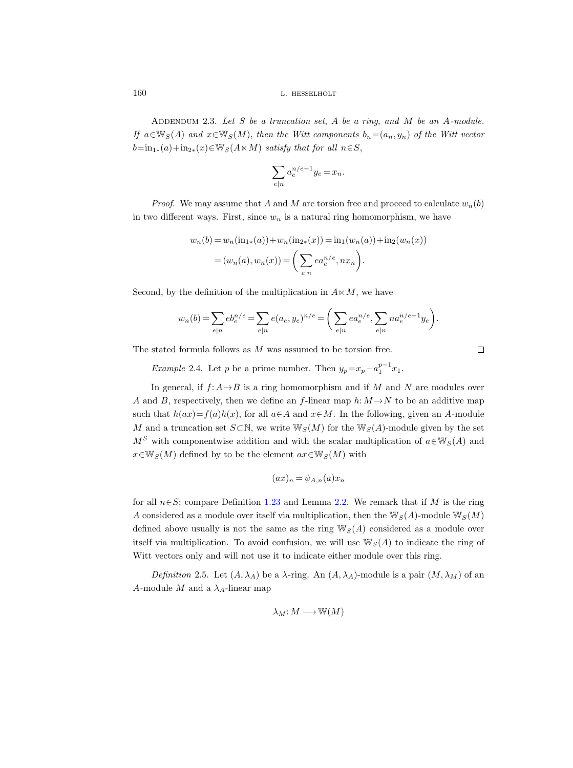ADDENDUM 2.3. Let  $S$  be a truncation set,  $A$  be a ring, and  $M$  be an  $A$ -module. If  $a \in \mathbb{W}_S(A)$  and  $x \in \mathbb{W}_S(M)$ , then the Witt components  $b_n=(a_n, y_n)$  of the Witt vector  $b=\text{in}_{1*}(a)+\text{in}_{2*}(x)\in W_S(A\ltimes M)$  satisfy that for all  $n\in S$ ,

$$
\sum_{e|n} a_e^{n/e-1} y_e = x_n.
$$

*Proof.* We may assume that A and M are torsion free and proceed to calculate  $w_n(b)$ in two different ways. First, since  $w_n$  is a natural ring homomorphism, we have

$$
w_n(b) = w_n(\text{in}_{1*}(a)) + w_n(\text{in}_{2*}(x)) = \text{in}_1(w_n(a)) + \text{in}_2(w_n(x))
$$
  
=  $(w_n(a), w_n(x)) = \left(\sum_{e|n} ea_e^{n/e}, nx_n\right).$ 

Second, by the definition of the multiplication in  $A \times M$ , we have

$$
w_n(b) = \sum_{e|n} e b_e^{n/e} = \sum_{e|n} e(a_e, y_e)^{n/e} = \left(\sum_{e|n} e a_e^{n/e}, \sum_{e|n} n a_e^{n/e-1} y_e\right).
$$

The stated formula follows as M was assumed to be torsion free.

Example 2.4. Let p be a prime number. Then  $y_p = x_p - a_1^{p-1} x_1$ .

In general, if  $f: A \rightarrow B$  is a ring homomorphism and if M and N are modules over A and B, respectively, then we define an f-linear map  $h: M \to N$  to be an additive map such that  $h(ax)=f(a)h(x)$ , for all  $a\in A$  and  $x\in M$ . In the following, given an A-module M and a truncation set  $S\subset\mathbb{N}$ , we write  $\mathbb{W}_S(M)$  for the  $\mathbb{W}_S(A)$ -module given by the set  $M<sup>S</sup>$  with componentwise addition and with the scalar multiplication of  $a \in W<sub>S</sub>(A)$  and  $x \in \mathbb{W}_{S}(M)$  defined by to be the element  $ax \in \mathbb{W}_{S}(M)$  with

$$
(ax)_n = \psi_{A,n}(a)x_n
$$

for all  $n \in S$ ; compare Definition [1.23](#page-20-1) and Lemma [2.2.](#page-24-0) We remark that if M is the ring A considered as a module over itself via multiplication, then the  $\mathbb{W}_S(A)$ -module  $\mathbb{W}_S(M)$ defined above usually is not the same as the ring  $W_S(A)$  considered as a module over itself via multiplication. To avoid confusion, we will use  $\mathbb{W}_{S}(A)$  to indicate the ring of Witt vectors only and will not use it to indicate either module over this ring.

<span id="page-25-0"></span>Definition 2.5. Let  $(A, \lambda_A)$  be a  $\lambda$ -ring. An  $(A, \lambda_A)$ -module is a pair  $(M, \lambda_M)$  of an A-module M and a  $\lambda_A$ -linear map

$$
\lambda_M\hbox{\rm :}\ M\longrightarrow \Bbb W(M)
$$

 $\Box$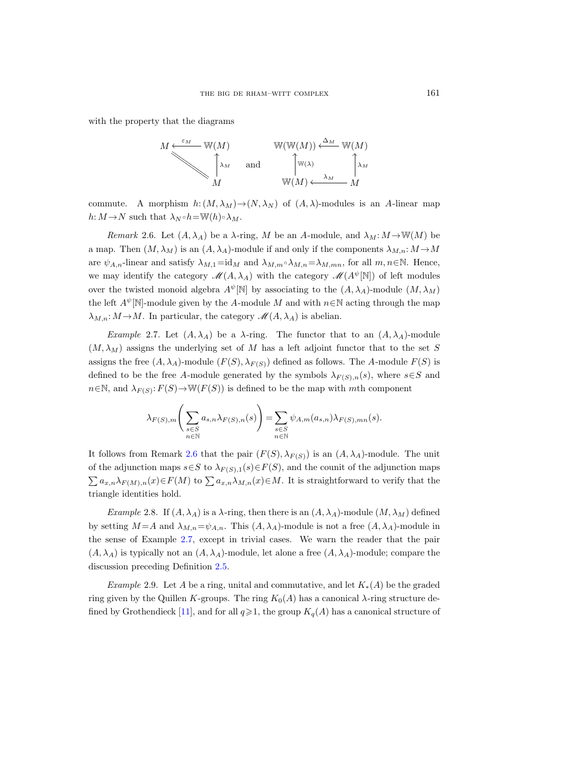with the property that the diagrams



commute. A morphism  $h: (M, \lambda_M) \to (N, \lambda_N)$  of  $(A, \lambda)$ -modules is an A-linear map  $h: M \to N$  such that  $\lambda_N \circ h = \mathbb{W}(h) \circ \lambda_M$ .

<span id="page-26-0"></span>Remark 2.6. Let  $(A, \lambda_A)$  be a  $\lambda$ -ring, M be an A-module, and  $\lambda_M : M \to W(M)$  be a map. Then  $(M, \lambda_M)$  is an  $(A, \lambda_A)$ -module if and only if the components  $\lambda_{M,n}: M \to M$ are  $\psi_{A,n}$ -linear and satisfy  $\lambda_{M,1} = id_M$  and  $\lambda_{M,m} \circ \lambda_{M,n} = \lambda_{M,mn}$ , for all  $m, n \in \mathbb{N}$ . Hence, we may identify the category  $\mathcal{M}(A, \lambda_A)$  with the category  $\mathcal{M}(A^{\psi}[\mathbb{N}])$  of left modules over the twisted monoid algebra  $A^{\psi}[\mathbb{N}]$  by associating to the  $(A, \lambda_A)$ -module  $(M, \lambda_M)$ the left  $A^{\psi}[\mathbb{N}]$ -module given by the A-module M and with  $n \in \mathbb{N}$  acting through the map  $\lambda_{M,n}: M \to M$ . In particular, the category  $\mathscr{M}(A, \lambda_A)$  is abelian.

<span id="page-26-1"></span>Example 2.7. Let  $(A, \lambda_A)$  be a  $\lambda$ -ring. The functor that to an  $(A, \lambda_A)$ -module  $(M, \lambda_M)$  assigns the underlying set of M has a left adjoint functor that to the set S assigns the free  $(A, \lambda_A)$ -module  $(F(S), \lambda_{F(S)})$  defined as follows. The A-module  $F(S)$  is defined to be the free A-module generated by the symbols  $\lambda_{F(S),n}(s)$ , where  $s \in S$  and  $n \in \mathbb{N}$ , and  $\lambda_{F(S)}$ :  $F(S) \rightarrow W(F(S))$  is defined to be the map with mth component

$$
\lambda_{F(S),m} \left( \sum_{\substack{s \in S \\ n \in \mathbb{N}}} a_{s,n} \lambda_{F(S),n}(s) \right) = \sum_{\substack{s \in S \\ n \in \mathbb{N}}} \psi_{A,m}(a_{s,n}) \lambda_{F(S),mn}(s).
$$

It follows from Remark [2.6](#page-26-0) that the pair  $(F(S), \lambda_{F(S)})$  is an  $(A, \lambda_A)$ -module. The unit of the adjunction maps  $s \in S$  to  $\lambda_{F(S),1}(s) \in F(S)$ , and the counit of the adjunction maps  $\sum a_{x,n}\lambda_{F(M),n}(x) \in F(M)$  to  $\sum a_{x,n}\lambda_{M,n}(x) \in M$ . It is straightforward to verify that the triangle identities hold.

Example 2.8. If  $(A, \lambda_A)$  is a  $\lambda$ -ring, then there is an  $(A, \lambda_A)$ -module  $(M, \lambda_M)$  defined by setting  $M = A$  and  $\lambda_{M,n} = \psi_{A,n}$ . This  $(A, \lambda_A)$ -module is not a free  $(A, \lambda_A)$ -module in the sense of Example [2.7,](#page-26-1) except in trivial cases. We warn the reader that the pair  $(A, \lambda_A)$  is typically not an  $(A, \lambda_A)$ -module, let alone a free  $(A, \lambda_A)$ -module; compare the discussion preceding Definition [2.5.](#page-25-0)

Example 2.9. Let A be a ring, unital and commutative, and let  $K_*(A)$  be the graded ring given by the Quillen K-groups. The ring  $K_0(A)$  has a canonical  $\lambda$ -ring structure de-fined by Grothendieck [\[11\]](#page-71-4), and for all  $q\geq 1$ , the group  $K_q(A)$  has a canonical structure of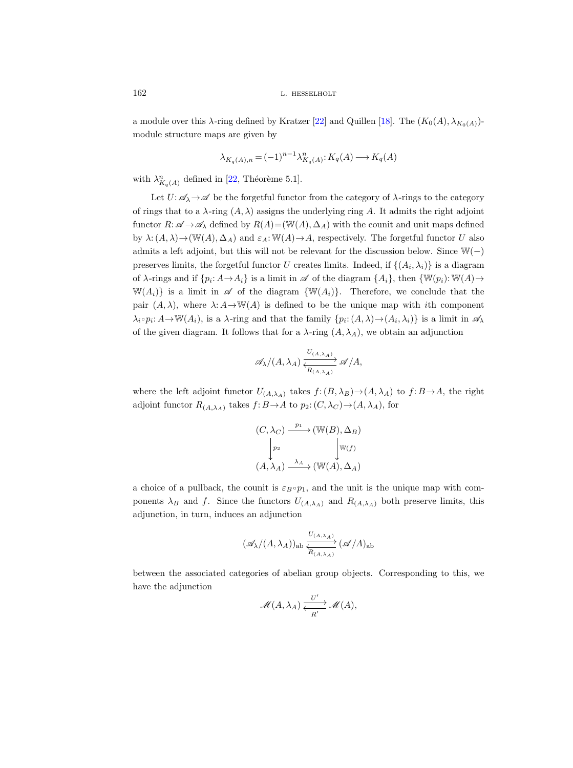a module over this  $\lambda$ -ring defined by Kratzer [\[22\]](#page-71-21) and Quillen [\[18\]](#page-71-22). The  $(K_0(A), \lambda_{K_0(A)})$ module structure maps are given by

$$
\lambda_{K_q(A),n} = (-1)^{n-1} \lambda_{K_q(A)}^n \colon K_q(A) \longrightarrow K_q(A)
$$

with  $\lambda_{K_q(A)}^n$  defined in [\[22,](#page-71-21) Théorème 5.1].

Let  $U: \mathscr{A}_{\lambda} \to \mathscr{A}$  be the forgetful functor from the category of  $\lambda$ -rings to the category of rings that to a  $\lambda$ -ring  $(A, \lambda)$  assigns the underlying ring A. It admits the right adjoint functor  $R: \mathscr{A} \to \mathscr{A}_{\lambda}$  defined by  $R(A)=(\mathbb{W}(A), \Delta_A)$  with the counit and unit maps defined by  $\lambda: (A, \lambda) \to (\mathbb{W}(A), \Delta_A)$  and  $\varepsilon_A: \mathbb{W}(A) \to A$ , respectively. The forgetful functor U also admits a left adjoint, but this will not be relevant for the discussion below. Since W(−) preserves limits, the forgetful functor U creates limits. Indeed, if  $\{(A_i, \lambda_i)\}\)$  is a diagram of  $\lambda$ -rings and if  $\{p_i: A \to A_i\}$  is a limit in  $\mathscr A$  of the diagram  $\{A_i\}$ , then  $\{\mathbb W(p_i): \mathbb W(A) \to$  $\mathbb{W}(A_i)$  is a limit in  $\mathscr A$  of the diagram  $\{\mathbb W(A_i)\}\$ . Therefore, we conclude that the pair  $(A, \lambda)$ , where  $\lambda: A \rightarrow W(A)$  is defined to be the unique map with ith component  $\lambda_i \circ p_i: A \to \mathbb{W}(A_i)$ , is a  $\lambda$ -ring and that the family  $\{p_i: (A, \lambda) \to (A_i, \lambda_i)\}\$ is a limit in  $\mathscr{A}_\lambda$ of the given diagram. It follows that for a  $\lambda$ -ring  $(A, \lambda_A)$ , we obtain an adjunction

$$
\mathscr{A}_{\lambda}/(A,\lambda_A) \xrightarrow[V_{(A,\lambda_A)}]{} \mathscr{A}/A,
$$

where the left adjoint functor  $U_{(A,\lambda_A)}$  takes  $f:(B,\lambda_B) \to (A,\lambda_A)$  to  $f:B \to A$ , the right adjoint functor  $R_{(A,\lambda_A)}$  takes  $f: B \to A$  to  $p_2: (C, \lambda_C) \to (A, \lambda_A)$ , for

$$
(C, \lambda_C) \xrightarrow{p_1} (\mathbb{W}(B), \Delta_B)
$$

$$
\downarrow^{p_2} \qquad \qquad \downarrow^{\mathbb{W}(f)}
$$

$$
(A, \lambda_A) \xrightarrow{\lambda_A} (\mathbb{W}(A), \Delta_A)
$$

a choice of a pullback, the counit is  $\varepsilon_B \circ p_1$ , and the unit is the unique map with components  $\lambda_B$  and f. Since the functors  $U_{(A,\lambda_A)}$  and  $R_{(A,\lambda_A)}$  both preserve limits, this adjunction, in turn, induces an adjunction

$$
(\mathscr{A}_{\lambda}/(A,\lambda_A))_{\mathrm{ab}}\xrightarrow[R_{(A,\lambda_A)}(\mathscr{A}/A)_{\mathrm{ab}}
$$

between the associated categories of abelian group objects. Corresponding to this, we have the adjunction

$$
\mathscr{M}(A,\lambda_A)\xrightarrow[K]{U'}\mathscr{M}(A),
$$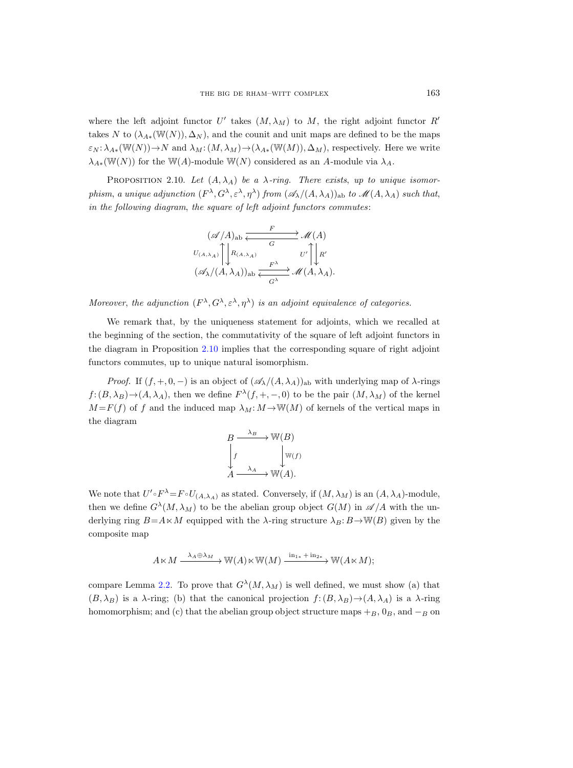where the left adjoint functor U' takes  $(M, \lambda_M)$  to M, the right adjoint functor R' takes N to  $(\lambda_{A*}(\mathbb{W}(N)), \Delta_N)$ , and the counit and unit maps are defined to be the maps  $\varepsilon_N : \lambda_{A*}(\mathbb{W}(N)) \to N$  and  $\lambda_M : (M, \lambda_M) \to (\lambda_{A*}(\mathbb{W}(M)), \Delta_M)$ , respectively. Here we write  $\lambda_{A*}(\mathbb{W}(N))$  for the W(A)-module W(N) considered as an A-module via  $\lambda_A$ .

<span id="page-28-0"></span>PROPOSITION 2.10. Let  $(A, \lambda_A)$  be a  $\lambda$ -ring. There exists, up to unique isomorphism, a unique adjunction  $(F^{\lambda}, G^{\lambda}, \varepsilon^{\lambda}, \eta^{\lambda})$  from  $(\mathscr{A}_{\lambda}/(A, \lambda_A))_{ab}$  to  $\mathscr{M}(A, \lambda_A)$  such that, in the following diagram, the square of left adjoint functors commutes:

$$
(\mathscr{A}/A)_{ab} \xleftarrow{F} \mathscr{M}(A)
$$
  
\n
$$
U_{(A,\lambda_A)} \uparrow \downarrow R_{(A,\lambda_A)} \qquad G \qquad U' \uparrow \downarrow R'
$$
  
\n
$$
(\mathscr{A}_{\lambda}/(A,\lambda_A))_{ab} \xleftarrow{F^{\lambda}} \mathscr{M}(A,\lambda_A).
$$

Moreover, the adjunction  $(F^{\lambda}, G^{\lambda}, \varepsilon^{\lambda}, \eta^{\lambda})$  is an adjoint equivalence of categories.

We remark that, by the uniqueness statement for adjoints, which we recalled at the beginning of the section, the commutativity of the square of left adjoint functors in the diagram in Proposition [2.10](#page-28-0) implies that the corresponding square of right adjoint functors commutes, up to unique natural isomorphism.

*Proof.* If  $(f, +, 0, -)$  is an object of  $(\mathscr{A}_{\lambda}/(A, \lambda_A))_{ab}$  with underlying map of  $\lambda$ -rings  $f: (B, \lambda_B) \to (A, \lambda_A)$ , then we define  $F^{\lambda}(f, +, -, 0)$  to be the pair  $(M, \lambda_M)$  of the kernel  $M = F(f)$  of f and the induced map  $\lambda_M: M \to W(M)$  of kernels of the vertical maps in the diagram

$$
B \xrightarrow{\lambda_B} \mathbb{W}(B)
$$
  
\n
$$
\downarrow f \qquad \qquad \downarrow \mathbb{W}(f)
$$
  
\n
$$
A \xrightarrow{\lambda_A} \mathbb{W}(A).
$$

We note that  $U' \circ F^{\lambda} = F \circ U_{(A,\lambda_A)}$  as stated. Conversely, if  $(M, \lambda_M)$  is an  $(A, \lambda_A)$ -module, then we define  $G^{\lambda}(M, \lambda_M)$  to be the abelian group object  $G(M)$  in  $\mathscr{A}/A$  with the underlying ring  $B = A \times M$  equipped with the  $\lambda$ -ring structure  $\lambda_B: B \to W(B)$  given by the composite map

$$
A\ltimes M\stackrel{\lambda_A\oplus\lambda_M}{-\!\!\!-\!\!\!-\!\!\!-\!\!\!-\!\!\!\longrightarrow} \mathbb{W}(A)\ltimes \mathbb{W}(M)\stackrel{\operatorname{in}_{1*}+\operatorname{in}_{2*}}{-\!\!\!-\!\!\!\longrightarrow} \mathbb{W}(A\ltimes M);
$$

compare Lemma [2.2.](#page-24-0) To prove that  $G^{\lambda}(M, \lambda_M)$  is well defined, we must show (a) that  $(B, \lambda_B)$  is a  $\lambda$ -ring; (b) that the canonical projection  $f: (B, \lambda_B) \to (A, \lambda_A)$  is a  $\lambda$ -ring homomorphism; and (c) that the abelian group object structure maps  $+B$ ,  $0_B$ , and  $-B$  on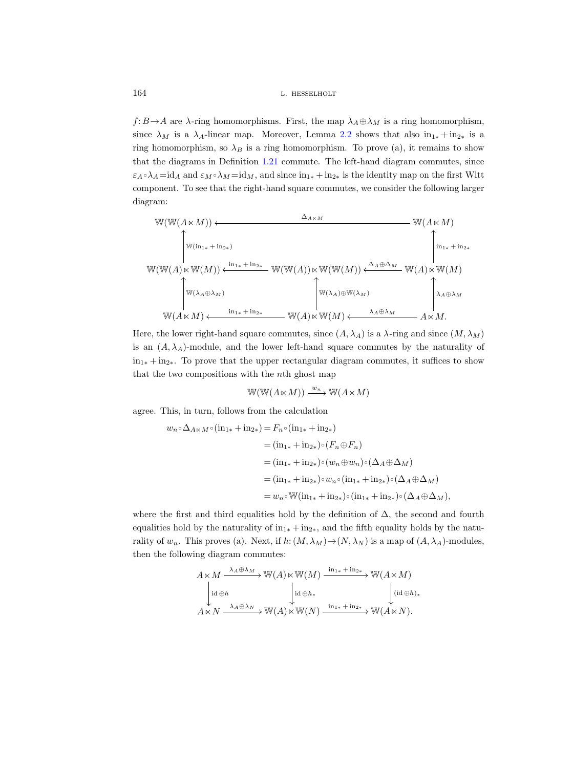$f: B \to A$  are  $\lambda$ -ring homomorphisms. First, the map  $\lambda_A \oplus \lambda_M$  is a ring homomorphism, since  $\lambda_M$  is a  $\lambda_A$ -linear map. Moreover, Lemma [2.2](#page-24-0) shows that also  $in_{1*} + in_{2*}$  is a ring homomorphism, so  $\lambda_B$  is a ring homomorphism. To prove (a), it remains to show that the diagrams in Definition [1.21](#page-19-0) commute. The left-hand diagram commutes, since  $\varepsilon_A \circ \lambda_A = id_A$  and  $\varepsilon_M \circ \lambda_M = id_M$ , and since  $in_{1*} + in_{2*}$  is the identity map on the first Witt component. To see that the right-hand square commutes, we consider the following larger diagram:

$$
W(W(A\ltimes M)) \leftarrow \frac{\Delta_{A\ltimes M}}{\sqrt{\mathbb{W}(\ln_{1*} + \ln_{2*})}} \quad \text{W}(A\ltimes M)
$$
\n
$$
W(W(A)\ltimes W(M)) \leftarrow \frac{\ln_{1*} + \ln_{2*}}{\mathbb{W}(\mathbb{W}(A)\ltimes W(W(A)) \times \mathbb{W}(\mathbb{W}(M))} \leftarrow \frac{\Delta_A \oplus \Delta_M}{\sqrt{\mathbb{W}(A)\ltimes \mathbb{W}(M)}} \quad \text{W}(A) \ltimes W(M)
$$
\n
$$
W(A\ltimes M) \leftarrow \frac{\ln_{1*} + \ln_{2*}}{\mathbb{W}(A)\ltimes \mathbb{W}(A)\ltimes \mathbb{W}(M)} \leftarrow \frac{\lambda_A \oplus \lambda_M}{\lambda_A \oplus \lambda_M} \quad A\ltimes M.
$$

Here, the lower right-hand square commutes, since  $(A, \lambda_A)$  is a  $\lambda$ -ring and since  $(M, \lambda_M)$ is an  $(A, \lambda_A)$ -module, and the lower left-hand square commutes by the naturality of  $in_{1*} + in_{2*}$ . To prove that the upper rectangular diagram commutes, it suffices to show that the two compositions with the nth ghost map

$$
\mathbb{W}(\mathbb{W}(A\ltimes M)) \xrightarrow{w_n} \mathbb{W}(A\ltimes M)
$$

agree. This, in turn, follows from the calculation

$$
w_n \circ \Delta_{A \ltimes M} \circ (\text{in}_{1*} + \text{in}_{2*}) = F_n \circ (\text{in}_{1*} + \text{in}_{2*})
$$
  
\n
$$
= (\text{in}_{1*} + \text{in}_{2*}) \circ (F_n \oplus F_n)
$$
  
\n
$$
= (\text{in}_{1*} + \text{in}_{2*}) \circ (w_n \oplus w_n) \circ (\Delta_A \oplus \Delta_M)
$$
  
\n
$$
= (\text{in}_{1*} + \text{in}_{2*}) \circ w_n \circ (\text{in}_{1*} + \text{in}_{2*}) \circ (\Delta_A \oplus \Delta_M)
$$
  
\n
$$
= w_n \circ \mathbb{W}(\text{in}_{1*} + \text{in}_{2*}) \circ (\text{in}_{1*} + \text{in}_{2*}) \circ (\Delta_A \oplus \Delta_M),
$$

where the first and third equalities hold by the definition of  $\Delta$ , the second and fourth equalities hold by the naturality of  $in_{1*} + in_{2*}$ , and the fifth equality holds by the naturality of  $w_n$ . This proves (a). Next, if  $h: (M, \lambda_M) \to (N, \lambda_N)$  is a map of  $(A, \lambda_A)$ -modules, then the following diagram commutes:

$$
A \ltimes M \xrightarrow{\lambda_A \oplus \lambda_M} \mathbb{W}(A) \ltimes \mathbb{W}(M) \xrightarrow{\text{in}_{1*} + \text{in}_{2*}} \mathbb{W}(A \ltimes M)
$$
  
\n
$$
\downarrow \text{id} \oplus h \qquad \qquad \downarrow \text{id} \oplus h_* \qquad \qquad \downarrow \text{id} \oplus h_*
$$
  
\n
$$
A \ltimes N \xrightarrow{\lambda_A \oplus \lambda_N} \mathbb{W}(A) \ltimes \mathbb{W}(N) \xrightarrow{\text{in}_{1*} + \text{in}_{2*}} \mathbb{W}(A \ltimes N).
$$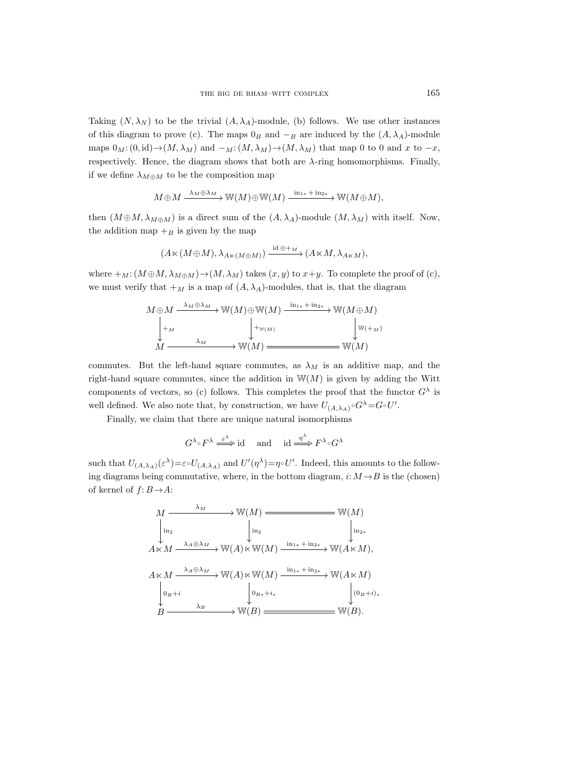Taking  $(N, \lambda_N)$  to be the trivial  $(A, \lambda_A)$ -module, (b) follows. We use other instances of this diagram to prove (c). The maps  $0_B$  and  $-B$  are induced by the  $(A, \lambda_A)$ -module maps  $0_M: (0, \text{id}) \to (M, \lambda_M)$  and  $-M: (M, \lambda_M) \to (M, \lambda_M)$  that map 0 to 0 and x to  $-x$ , respectively. Hence, the diagram shows that both are  $\lambda$ -ring homomorphisms. Finally, if we define  $\lambda_{M\oplus M}$  to be the composition map

$$
M \oplus M \xrightarrow{\lambda_M \oplus \lambda_M} \mathbb{W}(M) \oplus \mathbb{W}(M) \xrightarrow{\text{in}_{1*} + \text{in}_{2*}} \mathbb{W}(M \oplus M),
$$

then  $(M \oplus M, \lambda_{M \oplus M})$  is a direct sum of the  $(A, \lambda_A)$ -module  $(M, \lambda_M)$  with itself. Now, the addition map  $+$ <sub>B</sub> is given by the map

$$
(A\ltimes (M\oplus M), \lambda_{A\ltimes (M\oplus M)})\xrightarrow{\mathrm{id}\oplus \pm_{M}} (A\ltimes M, \lambda_{A\ltimes M}),
$$

where  $+_M: (M \oplus M, \lambda_{M \oplus M}) \rightarrow (M, \lambda_M)$  takes  $(x, y)$  to  $x+y$ . To complete the proof of (c), we must verify that  $+_{M}$  is a map of  $(A, \lambda_{A})$ -modules, that is, that the diagram

$$
M \oplus M \xrightarrow{\lambda_M \oplus \lambda_M} W(M) \oplus W(M) \xrightarrow{\text{in}_{1*} + \text{in}_{2*}} W(M \oplus M)
$$
  
\n
$$
\downarrow^{\text{+M}} \qquad \qquad \downarrow^{\text{+W}(M)} \qquad \qquad \downarrow^{\text{W}(+M)}
$$
  
\n
$$
M \xrightarrow{\lambda_M} W(M) \xrightarrow{\text{W}(M)} W(M)
$$

commutes. But the left-hand square commutes, as  $\lambda_M$  is an additive map, and the right-hand square commutes, since the addition in  $W(M)$  is given by adding the Witt components of vectors, so (c) follows. This completes the proof that the functor  $G^{\lambda}$  is well defined. We also note that, by construction, we have  $U_{(A,\lambda_A)} \circ G^{\lambda} = G \circ U'$ .

Finally, we claim that there are unique natural isomorphisms

$$
G^{\lambda} \circ F^{\lambda} \xrightarrow{\varepsilon^{\lambda}} id
$$
 and  $id \xrightarrow{\eta^{\lambda}} F^{\lambda} \circ G^{\lambda}$ 

such that  $U_{(A,\lambda_A)}(\varepsilon^{\lambda}) = \varepsilon \circ U_{(A,\lambda_A)}$  and  $U'(\eta^{\lambda}) = \eta \circ U'$ . Indeed, this amounts to the following diagrams being commutative, where, in the bottom diagram,  $i: M \rightarrow B$  is the (chosen) of kernel of  $f: B \rightarrow A$ :

$$
M \xrightarrow{\lambda_M} \mathbb{W}(M) \xrightarrow{\lambda_{12}} \mathbb{W}(M)
$$
  
\n
$$
\downarrow \text{in}_2 \qquad \qquad \downarrow \text{in}_2
$$
  
\n
$$
A \ltimes M \xrightarrow{\lambda_A \oplus \lambda_M} \mathbb{W}(A) \ltimes \mathbb{W}(M) \xrightarrow{\text{in}_{1*} + \text{in}_{2*}} \mathbb{W}(A \ltimes M),
$$
  
\n
$$
A \ltimes M \xrightarrow{\lambda_A \oplus \lambda_M} \mathbb{W}(A) \ltimes \mathbb{W}(M) \xrightarrow{\text{in}_{1*} + \text{in}_{2*}} \mathbb{W}(A \ltimes M)
$$
  
\n
$$
\downarrow \text{0}_{B+i} \qquad \qquad \downarrow \text{0}_{B+i+1} \qquad \qquad \downarrow \text{0}_{B+i+1} \qquad \qquad \downarrow \text{0}_{B+i}.
$$
  
\n
$$
B \xrightarrow{\lambda_B} \mathbb{W}(B) \xrightarrow{\text{0}_{B+i}} \mathbb{W}(B).
$$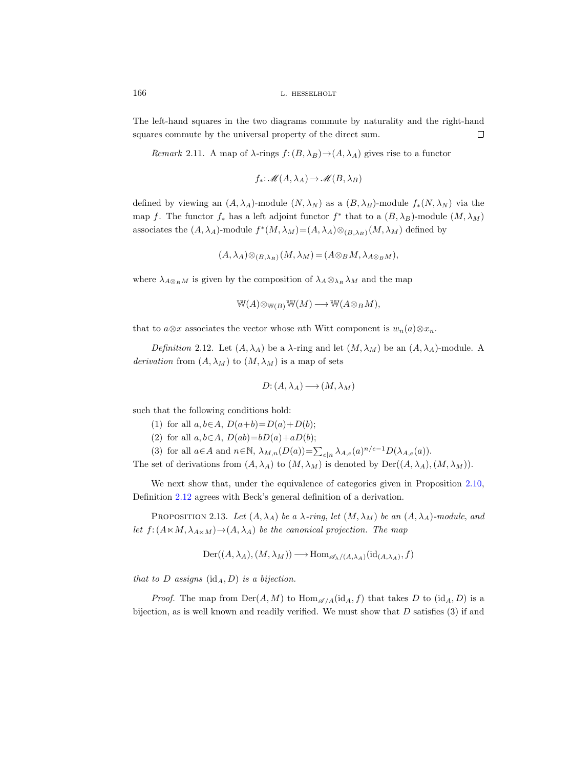The left-hand squares in the two diagrams commute by naturality and the right-hand squares commute by the universal property of the direct sum.  $\Box$ 

<span id="page-31-1"></span>Remark 2.11. A map of  $\lambda$ -rings  $f:(B, \lambda_B) \to (A, \lambda_A)$  gives rise to a functor

$$
f_*\colon \mathscr{M}(A,\lambda_A)\to \mathscr{M}(B,\lambda_B)
$$

defined by viewing an  $(A, \lambda_A)$ -module  $(N, \lambda_N)$  as a  $(B, \lambda_B)$ -module  $f_*(N, \lambda_N)$  via the map f. The functor  $f_*$  has a left adjoint functor  $f^*$  that to a  $(B, \lambda_B)$ -module  $(M, \lambda_M)$ associates the  $(A, \lambda_A)$ -module  $f^*(M, \lambda_M) = (A, \lambda_A) \otimes_{(B, \lambda_B)} (M, \lambda_M)$  defined by

$$
(A, \lambda_A) \otimes_{(B, \lambda_B)} (M, \lambda_M) = (A \otimes_B M, \lambda_{A \otimes_B M}),
$$

where  $\lambda_{A\otimes_B M}$  is given by the composition of  $\lambda_A\otimes_{\lambda_B}\lambda_M$  and the map

$$
\mathbb{W}(A) \otimes_{\mathbb{W}(B)} \mathbb{W}(M) \longrightarrow \mathbb{W}(A \otimes_B M),
$$

that to  $a\otimes x$  associates the vector whose nth Witt component is  $w_n(a)\otimes x_n$ .

<span id="page-31-0"></span>Definition 2.12. Let  $(A, \lambda_A)$  be a  $\lambda$ -ring and let  $(M, \lambda_M)$  be an  $(A, \lambda_A)$ -module. A derivation from  $(A, \lambda_M)$  to  $(M, \lambda_M)$  is a map of sets

$$
D: (A, \lambda_A) \longrightarrow (M, \lambda_M)
$$

such that the following conditions hold:

- (1) for all  $a, b \in A$ ,  $D(a+b)=D(a)+D(b)$ ;
- (2) for all  $a, b \in A$ ,  $D(ab) = bD(a) + aD(b)$ ;
- (3) for all  $a \in A$  and  $n \in \mathbb{N}$ ,  $\lambda_{M,n}(D(a)) = \sum_{e|n} \lambda_{A,e}(a)^{n/e-1} D(\lambda_{A,e}(a)).$

The set of derivations from  $(A, \lambda_A)$  to  $(M, \lambda_M)$  is denoted by  $Der((A, \lambda_A), (M, \lambda_M))$ .

We next show that, under the equivalence of categories given in Proposition [2.10,](#page-28-0) Definition [2.12](#page-31-0) agrees with Beck's general definition of a derivation.

PROPOSITION 2.13. Let  $(A, \lambda_A)$  be a  $\lambda$ -ring, let  $(M, \lambda_M)$  be an  $(A, \lambda_A)$ -module, and let  $f: (A \ltimes M, \lambda_{A \ltimes M}) \to (A, \lambda_A)$  be the canonical projection. The map

$$
\mathrm{Der}((A,\lambda_A),(M,\lambda_M))\longrightarrow \mathrm{Hom}_{\mathscr{A}_{\lambda}/(A,\lambda_A)}(\mathrm{id}_{(A,\lambda_A)},f)
$$

that to  $D$  assigns  $(id_A, D)$  is a bijection.

*Proof.* The map from  $\text{Der}(A, M)$  to  $\text{Hom}_{\mathscr{A}/A}(\text{id}_A, f)$  that takes D to  $(\text{id}_A, D)$  is a bijection, as is well known and readily verified. We must show that  $D$  satisfies (3) if and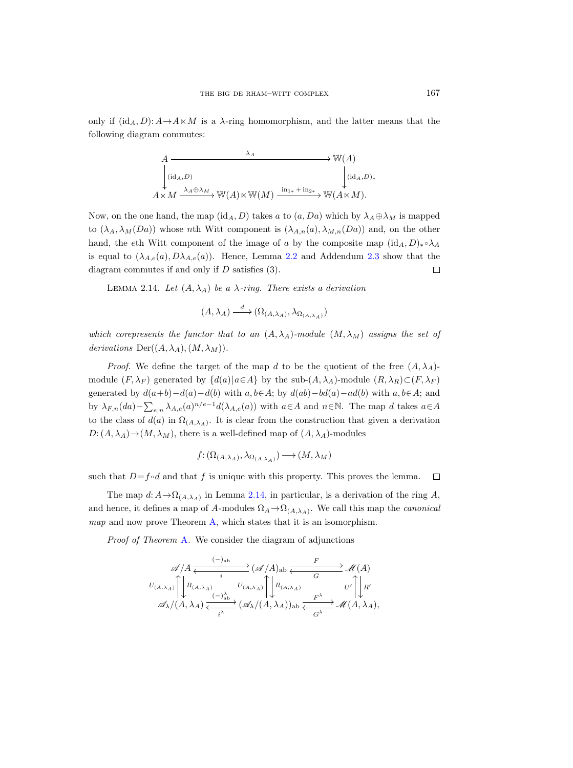only if  $(id_A, D): A \rightarrow A \ltimes M$  is a  $\lambda$ -ring homomorphism, and the latter means that the following diagram commutes:

$$
A \longrightarrow W(A)
$$
  
\n
$$
\downarrow (id_A, D)
$$
  
\n
$$
A \times M \xrightarrow{\lambda_A \oplus \lambda_M} W(A) \times W(M) \xrightarrow{\text{in}_{1*} + \text{in}_{2*}} W(A \times M).
$$

Now, on the one hand, the map  $(id_A, D)$  takes a to  $(a, Da)$  which by  $\lambda_A \oplus \lambda_M$  is mapped to  $(\lambda_A, \lambda_M(Da))$  whose nth Witt component is  $(\lambda_{A,n}(a), \lambda_{M,n}(Da))$  and, on the other hand, the eth Witt component of the image of a by the composite map  $(id_A, D)_* \circ \lambda_A$ is equal to  $(\lambda_{A,e}(a), D\lambda_{A,e}(a))$ . Hence, Lemma [2.2](#page-24-0) and Addendum [2.3](#page-24-1) show that the diagram commutes if and only if D satisfies (3).  $\Box$ 

<span id="page-32-0"></span>LEMMA 2.14. Let  $(A, \lambda_A)$  be a  $\lambda$ -ring. There exists a derivation

$$
(A, \lambda_A) \xrightarrow{d} (\Omega_{(A, \lambda_A)}, \lambda_{\Omega_{(A, \lambda_A)}})
$$

which corepresents the functor that to an  $(A, \lambda_A)$ -module  $(M, \lambda_M)$  assigns the set of derivations  $Der((A, \lambda_A), (M, \lambda_M)).$ 

*Proof.* We define the target of the map d to be the quotient of the free  $(A, \lambda_A)$ module  $(F, \lambda_F)$  generated by  $\{d(a)|a \in A\}$  by the sub- $(A, \lambda_A)$ -module  $(R, \lambda_R) \subset (F, \lambda_F)$ generated by  $d(a+b)-d(a)-d(b)$  with  $a, b\in A$ ; by  $d(ab)-bd(a)-ad(b)$  with  $a, b\in A$ ; and by  $\lambda_{F,n}(da) - \sum_{e|n} \lambda_{A,e}(a)^{n/e-1} d(\lambda_{A,e}(a))$  with  $a \in A$  and  $n \in \mathbb{N}$ . The map d takes  $a \in A$ to the class of  $d(a)$  in  $\Omega_{(A,\lambda_A)}$ . It is clear from the construction that given a derivation  $D: (A, \lambda_A) \to (M, \lambda_M)$ , there is a well-defined map of  $(A, \lambda_A)$ -modules

$$
f\!:\!(\Omega_{(A,\lambda_A)},\lambda_{\Omega_{(A,\lambda_A)}})\longrightarrow (M,\lambda_M)
$$

such that  $D=f \circ d$  and that f is unique with this property. This proves the lemma.  $\Box$ 

The map  $d: A \to \Omega_{(A,\lambda_A)}$  in Lemma [2.14,](#page-32-0) in particular, is a derivation of the ring A, and hence, it defines a map of A-modules  $\Omega_A \to \Omega_{(A,\lambda_A)}$ . We call this map the *canonical* map and now prove Theorem [A,](#page-2-0) which states that it is an isomorphism.

Proof of Theorem [A](#page-2-0). We consider the diagram of adjunctions

$$
\mathscr{A}/A \xleftarrow{\text{(--)ab}} (\mathscr{A}/A)_{\text{ab}} \xleftarrow{\text{F}} \mathscr{M}(A)
$$
\n
$$
U_{(A,\lambda_A)} \uparrow \downarrow R_{(A,\lambda_A)} \qquad \qquad U_{(A,\lambda_A)} \uparrow \downarrow R_{(A,\lambda_A)} \qquad \qquad U' \uparrow \downarrow R' \qquad \qquad \mathscr{A}_{\lambda}/(A,\lambda_A) \xleftarrow{\text{(--)ab}} (\mathscr{A}_{\lambda}/(A,\lambda_A))_{\text{ab}} \xleftarrow{\text{F}^{\lambda}} \mathscr{M}(A,\lambda_A),
$$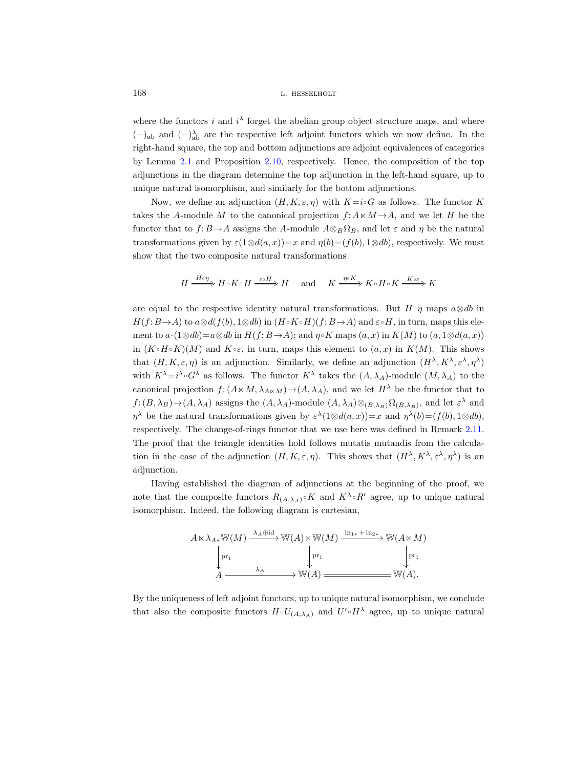where the functors i and  $i^{\lambda}$  forget the abelian group object structure maps, and where  $(-)$ <sub>ab</sub> and  $(-)$ <sup> $\lambda$ </sup><sub>a</sub>b are the respective left adjoint functors which we now define. In the right-hand square, the top and bottom adjunctions are adjoint equivalences of categories by Lemma [2.1](#page-22-0) and Proposition [2.10,](#page-28-0) respectively. Hence, the composition of the top adjunctions in the diagram determine the top adjunction in the left-hand square, up to unique natural isomorphism, and similarly for the bottom adjunctions.

Now, we define an adjunction  $(H, K, \varepsilon, \eta)$  with  $K=i\circ G$  as follows. The functor K takes the A-module M to the canonical projection  $f: A \times M \rightarrow A$ , and we let H be the functor that to  $f: B \to A$  assigns the A-module  $A \otimes_B \Omega_B$ , and let  $\varepsilon$  and  $\eta$  be the natural transformations given by  $\varepsilon(1\otimes d(a,x))=x$  and  $\eta(b)=(f(b), 1\otimes db)$ , respectively. We must show that the two composite natural transformations

 $H \xrightarrow{H \circ \eta} H \circ K \circ H \xrightarrow{\varepsilon \circ H} H$  and  $K \xrightarrow{\eta \circ K} K \circ H \circ K \xrightarrow{K \circ \varepsilon} K$ 

are equal to the respective identity natural transformations. But  $H \circ \eta$  maps  $a \otimes db$  in  $H(f: B \to A)$  to  $a \otimes d(f(b), 1 \otimes db)$  in  $(H \circ K \circ H)(f: B \to A)$  and  $\varepsilon \circ H$ , in turn, maps this element to  $a \cdot (1 \otimes db) = a \otimes db$  in  $H(f: B \rightarrow A)$ ; and  $\eta \circ K$  maps  $(a, x)$  in  $K(M)$  to  $(a, 1 \otimes d(a, x))$ in  $(K \circ H \circ K)(M)$  and  $K \circ \varepsilon$ , in turn, maps this element to  $(a, x)$  in  $K(M)$ . This shows that  $(H, K, \varepsilon, \eta)$  is an adjunction. Similarly, we define an adjunction  $(H^{\lambda}, K^{\lambda}, \varepsilon^{\lambda}, \eta^{\lambda})$ with  $K^{\lambda} = i^{\lambda} \circ G^{\lambda}$  as follows. The functor  $K^{\lambda}$  takes the  $(A, \lambda_A)$ -module  $(M, \lambda_A)$  to the canonical projection  $f: (A \ltimes M, \lambda_{A \ltimes M}) \to (A, \lambda_A)$ , and we let  $H^{\lambda}$  be the functor that to  $f:(B,\lambda_B) \to (A,\lambda_A)$  assigns the  $(A, \lambda_A)$ -module  $(A, \lambda_A) \otimes_{(B,\lambda_B)} \Omega_{(B,\lambda_B)}$ , and let  $\varepsilon^{\lambda}$  and  $\eta^{\lambda}$  be the natural transformations given by  $\varepsilon^{\lambda}(1 \otimes d(a, x)) = x$  and  $\eta^{\lambda}(b) = (f(b), 1 \otimes db)$ , respectively. The change-of-rings functor that we use here was defined in Remark [2.11.](#page-31-1) The proof that the triangle identities hold follows mutatis mutandis from the calculation in the case of the adjunction  $(H, K, \varepsilon, \eta)$ . This shows that  $(H^{\lambda}, K^{\lambda}, \varepsilon^{\lambda}, \eta^{\lambda})$  is an adjunction.

Having established the diagram of adjunctions at the beginning of the proof, we note that the composite functors  $R_{(A,\lambda_A)} \circ K$  and  $K^{\lambda} \circ R'$  agree, up to unique natural isomorphism. Indeed, the following diagram is cartesian,



By the uniqueness of left adjoint functors, up to unique natural isomorphism, we conclude that also the composite functors  $H \circ U_{(A,\lambda_A)}$  and  $U' \circ H^{\lambda}$  agree, up to unique natural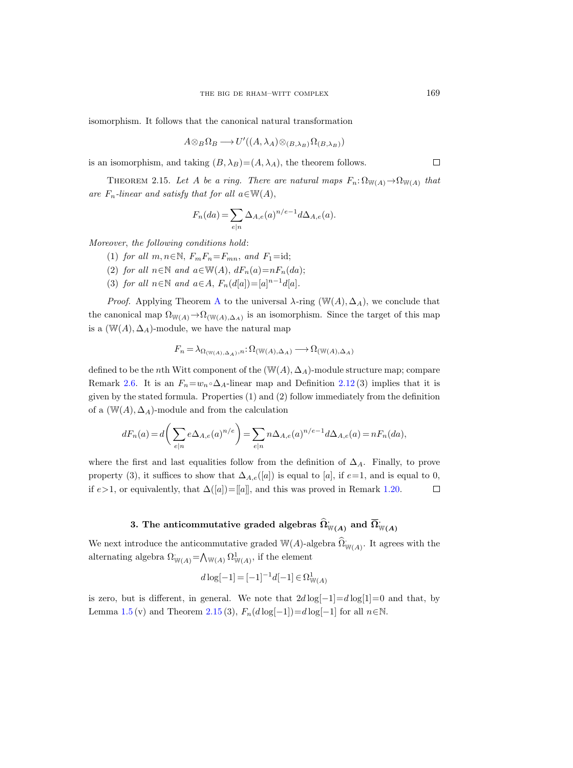isomorphism. It follows that the canonical natural transformation

$$
A \otimes_B \Omega_B \longrightarrow U'((A, \lambda_A) \otimes_{(B, \lambda_B)} \Omega_{(B, \lambda_B)})
$$

is an isomorphism, and taking  $(B, \lambda_B) = (A, \lambda_A)$ , the theorem follows.

<span id="page-34-0"></span>THEOREM 2.15. Let A be a ring. There are natural maps  $F_n: \Omega_{\mathbb{W}(A)} \to \Omega_{\mathbb{W}(A)}$  that are  $F_n$ -linear and satisfy that for all  $a \in W(A)$ ,

$$
F_n(da) = \sum_{e|n} \Delta_{A,e}(a)^{n/e-1} d\Delta_{A,e}(a).
$$

Moreover, the following conditions hold:

- (1) for all  $m, n \in \mathbb{N}$ ,  $F_m F_n = F_{mn}$ , and  $F_1 = id$ ;
- (2) for all  $n \in \mathbb{N}$  and  $a \in \mathbb{W}(A)$ ,  $dF_n(a) = nF_n(da)$ ;
- (3) for all  $n \in \mathbb{N}$  and  $a \in A$ ,  $F_n(d[a]) = [a]^{n-1}d[a]$ .

*Proof.* [A](#page-2-0)pplying Theorem A to the universal  $\lambda$ -ring (W(A),  $\Delta_A$ ), we conclude that the canonical map  $\Omega_{W(A)} \to \Omega_{W(A), \Delta_A)}$  is an isomorphism. Since the target of this map is a  $(W(A), \Delta_A)$ -module, we have the natural map

$$
F_n = \lambda_{\Omega_{(\mathbb{W}(A), \Delta_A)}, n} \colon \Omega_{(\mathbb{W}(A), \Delta_A)} \longrightarrow \Omega_{(\mathbb{W}(A), \Delta_A)}
$$

defined to be the nth Witt component of the  $(\mathbb{W}(A), \Delta_A)$ -module structure map; compare Remark [2.6.](#page-26-0) It is an  $F_n=w_n \circ \Delta_A$ -linear map and Definition [2.12](#page-31-0) (3) implies that it is given by the stated formula. Properties (1) and (2) follow immediately from the definition of a  $(\mathbb{W}(A), \Delta_A)$ -module and from the calculation

$$
dF_n(a) = d\bigg(\sum_{e|n} e\Delta_{A,e}(a)^{n/e}\bigg) = \sum_{e|n} n\Delta_{A,e}(a)^{n/e-1} d\Delta_{A,e}(a) = nF_n(da),
$$

where the first and last equalities follow from the definition of  $\Delta_A$ . Finally, to prove property (3), it suffices to show that  $\Delta_{A,e}([a])$  is equal to [a], if  $e=1$ , and is equal to 0, equivalently, that  $\Delta([a])=[[a]]$ , and this was proved in Remark 1.2(<br>3. The anticommutative graded algebras  $\widehat{\Omega}_{\mathbb{W}(A)}^{\cdot}$  and  $\overline{\Omega}_{\mathbb{W}(A)}^{\cdot}$ if  $e>1$ , or equivalently, that  $\Delta([a])=[a]$ , and this was proved in Remark [1.20.](#page-18-0)  $\Box$ 

We next introduce the anticommutative graded  $\mathbb{W}(A)$ -algebra  $\widehat{\Omega}_{\mathbb{W}(A)}^{\cdot}$ . It agrees with the alternating algebra  $\Omega^{\cdot}_{\mathbb{W}(A)} = \bigwedge_{\mathbb{W}(A)} \Omega^1_{\mathbb{W}(A)}$ , if the element

$$
d\log[-1] = [-1]^{-1}d[-1] \in \Omega^1_{\mathbb{W}(A)}
$$

is zero, but is different, in general. We note that  $2d \log[-1] = d \log[1] = 0$  and that, by Lemma [1.5](#page-8-0) (v) and Theorem [2.15](#page-34-0) (3),  $F_n(d \log[-1])=d \log[-1]$  for all  $n \in \mathbb{N}$ .

 $\Box$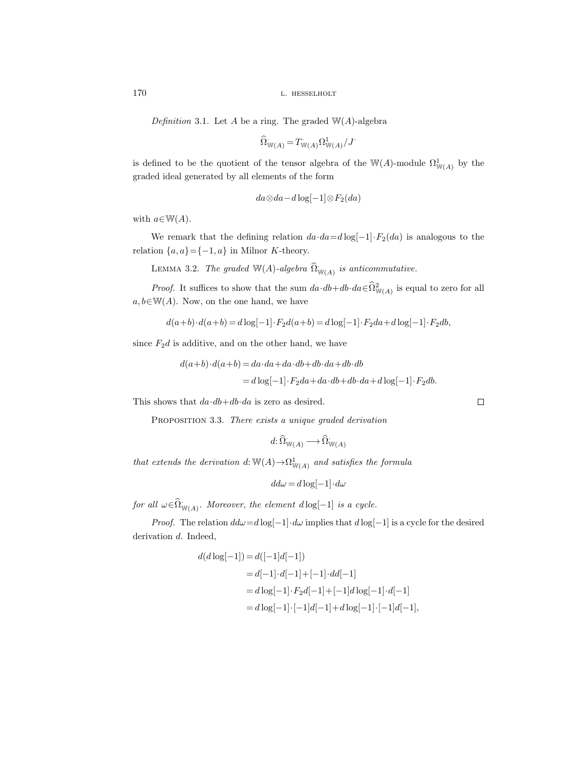Definition 3.1. Let A be a ring. The graded  $W(A)$ -algebra

$$
\widehat{\Omega}_{\mathbb{W}(A)} = T_{\mathbb{W}(A)} \Omega^1_{\mathbb{W}(A)} / J.
$$

is defined to be the quotient of the tensor algebra of the  $\mathbb{W}(A)$ -module  $\Omega^1_{\mathbb{W}(A)}$  by the graded ideal generated by all elements of the form

$$
da\otimes da-d\log[-1]\otimes F_2(da)
$$

with  $a \in W(A)$ .

We remark that the defining relation  $da \cdot da = d \log[-1] \cdot F_2(da)$  is analogous to the relation  $\{a, a\} = \{-1, a\}$  in Milnor K-theory.

LEMMA 3.2. The graded  $\mathbb{W}(A)$ -algebra  $\widehat{\Omega}_{\mathbb{W}(A)}^{\cdot}$  is anticommutative.

*Proof.* It suffices to show that the sum  $da \cdot db + db \cdot da \in \Omega^2_{\mathbb{W}(A)}$  is equal to zero for all  $a, b \in \mathbb{W}(A)$ . Now, on the one hand, we have

$$
d(a+b) \cdot d(a+b) = d \log[-1] \cdot F_2 d(a+b) = d \log[-1] \cdot F_2 da + d \log[-1] \cdot F_2 db,
$$

since  $F_2d$  is additive, and on the other hand, we have

$$
d(a+b)\cdot d(a+b) = da\cdot da + da\cdot db + db\cdot da + db\cdot db
$$

$$
= d\log[-1]\cdot F_2da + da\cdot db + db\cdot da + d\log[-1]\cdot F_2db.
$$

This shows that  $da \cdot db + db \cdot da$  is zero as desired.

PROPOSITION 3.3. There exists a unique graded derivation

$$
d\colon\widehat{\Omega}^{\cdot}_{\mathbb{W}(A)}\longrightarrow\widehat{\Omega}^{\cdot}_{\mathbb{W}(A)}
$$

that extends the derivation  $d: \mathbb{W}(A) \to \Omega^1_{\mathbb{W}(A)}$  and satisfies the formula

$$
dd\omega = d\log[-1] \cdot d\omega
$$

for all  $\omega \in \hat{\Omega}_{\mathbb{W}(A)}^{\cdot}$ . Moreover, the element  $d \log[-1]$  is a cycle.

*Proof.* The relation  $dd\omega = d \log[-1] \cdot d\omega$  implies that  $d \log[-1]$  is a cycle for the desired derivation d. Indeed,

$$
d(d \log[-1]) = d([-1]d[-1])
$$
  
= d[-1] \cdot d[-1] + [-1] \cdot dd[-1]  
= d \log[-1] \cdot F\_2d[-1] + [-1]d \log[-1] \cdot d[-1]  
= d \log[-1] \cdot [-1]d[-1] + d \log[-1] \cdot [-1]d[-1],

 $\Box$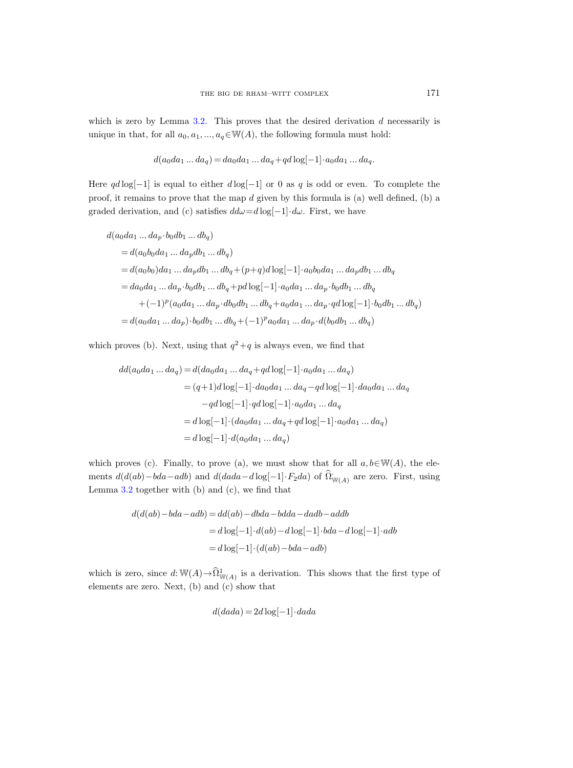which is zero by Lemma  $3.2$ . This proves that the desired derivation  $d$  necessarily is unique in that, for all  $a_0, a_1, ..., a_q \in W(A)$ , the following formula must hold:

$$
d(a_0da_1...da_q) = da_0da_1...da_q + qd\log[-1] \cdot a_0da_1...da_q.
$$

Here  $qd \log[-1]$  is equal to either  $d \log[-1]$  or 0 as q is odd or even. To complete the proof, it remains to prove that the map  $d$  given by this formula is (a) well defined, (b) a graded derivation, and (c) satisfies  $dd\omega=d\log[-1]\cdot d\omega$ . First, we have

$$
d(a_0da_1...da_p \cdot b_0db_1...db_q)
$$
  
=  $d(a_0b_0da_1...da_pdb_1...db_q)$   
=  $d(a_0b_0)da_1...da_pdb_1...db_q + (p+q)d \log[-1] \cdot a_0b_0da_1...da_pdb_1...db_q$   
=  $da_0da_1...da_p \cdot b_0db_1...db_q + pd \log[-1] \cdot a_0da_1...da_p \cdot b_0db_1...db_q$   
+  $(-1)^p(a_0da_1...da_p \cdot db_0db_1...db_q + a_0da_1...da_p \cdot qd \log[-1] \cdot b_0db_1...db_q)$   
=  $d(a_0da_1...da_p) \cdot b_0db_1...db_q + (-1)^p a_0da_1...da_p \cdot d(b_0db_1...db_q)$ 

which proves (b). Next, using that  $q^2+q$  is always even, we find that

$$
dd(a_0da_1...da_q) = d(da_0da_1...da_q + qd \log[-1] \cdot a_0da_1...da_q)
$$
  
=  $(q+1)d \log[-1] \cdot da_0da_1...da_q - qd \log[-1] \cdot da_0da_1...da_q$   
 $-qd \log[-1] \cdot qd \log[-1] \cdot a_0da_1...da_q$   
=  $d \log[-1] \cdot (da_0da_1...da_q + qd \log[-1] \cdot a_0da_1...da_q)$   
=  $d \log[-1] \cdot d(a_0da_1...da_q)$ 

which proves (c). Finally, to prove (a), we must show that for all  $a, b \in W(A)$ , the elements  $d(d(ab) - bda - adb)$  and  $d(dada - d \log[-1] \cdot F_2 da)$  of  $\hat{\Omega}_{\mathbb{W}(A)}$  are zero. First, using Lemma [3.2](#page-35-0) together with (b) and (c), we find that

$$
d(d(ab) - bda - adb) = dd(ab) - dbda - bdda - dadb - addb
$$

$$
= d \log[-1] \cdot d(ab) - d \log[-1] \cdot bda - d \log[-1] \cdot adb
$$

$$
= d \log[-1] \cdot (d(ab) - bda - adb)
$$

which is zero, since  $d: \mathbb{W}(A) \to \widehat{\Omega}^1_{\mathbb{W}(A)}$  is a derivation. This shows that the first type of elements are zero. Next, (b) and (c) show that

$$
d(dada) = 2d \log[-1] \cdot dada
$$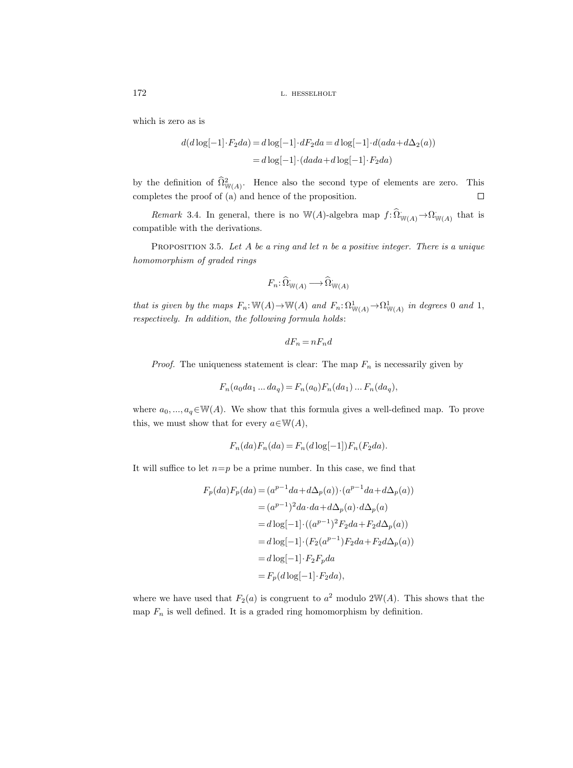which is zero as is

$$
d(d \log[-1] \cdot F_2 da) = d \log[-1] \cdot dF_2 da = d \log[-1] \cdot d(ada + d\Delta_2(a))
$$

$$
= d \log[-1] \cdot (dada + d \log[-1] \cdot F_2 da)
$$

by the definition of  $\hat{\Omega}^2_{\mathbb{W}(A)}$ . Hence also the second type of elements are zero. This completes the proof of (a) and hence of the proposition.  $\Box$ 

Remark 3.4. In general, there is no W(A)-algebra map  $f: \widehat{\Omega}_{W(A)} \to \Omega_{W(A)}$  that is compatible with the derivations.

<span id="page-37-0"></span>PROPOSITION 3.5. Let  $A$  be a ring and let  $n$  be a positive integer. There is a unique homomorphism of graded rings

$$
F_n\colon\widehat{\Omega}_{\mathbb{W}(A)}^{\cdot}\longrightarrow\widehat{\Omega}_{\mathbb{W}(A)}^{\cdot}
$$

that is given by the maps  $F_n: \mathbb{W}(A) \to \mathbb{W}(A)$  and  $F_n: \Omega^1_{\mathbb{W}(A)} \to \Omega^1_{\mathbb{W}(A)}$  in degrees 0 and 1, respectively. In addition, the following formula holds:

$$
dF_n=nF_nd
$$

*Proof.* The uniqueness statement is clear: The map  $F_n$  is necessarily given by

$$
F_n(a_0da_1...da_q) = F_n(a_0)F_n(da_1)...F_n(da_q),
$$

where  $a_0, ..., a_q \in W(A)$ . We show that this formula gives a well-defined map. To prove this, we must show that for every  $a \in W(A)$ ,

$$
F_n(da)F_n(da) = F_n(d\log[-1])F_n(F_2da).
$$

It will suffice to let  $n=p$  be a prime number. In this case, we find that

$$
F_p(da)F_p(da) = (a^{p-1}da + d\Delta_p(a)) \cdot (a^{p-1}da + d\Delta_p(a))
$$
  
=  $(a^{p-1})^2 da \cdot da + d\Delta_p(a) \cdot d\Delta_p(a)$   
=  $d \log[-1] \cdot ((a^{p-1})^2 F_2 da + F_2 d\Delta_p(a))$   
=  $d \log[-1] \cdot (F_2(a^{p-1}) F_2 da + F_2 d\Delta_p(a))$   
=  $d \log[-1] \cdot F_2 F_p da$   
=  $F_p(d \log[-1] \cdot F_2 da),$ 

where we have used that  $F_2(a)$  is congruent to  $a^2$  modulo  $2\mathbb{W}(A)$ . This shows that the map  $F_n$  is well defined. It is a graded ring homomorphism by definition.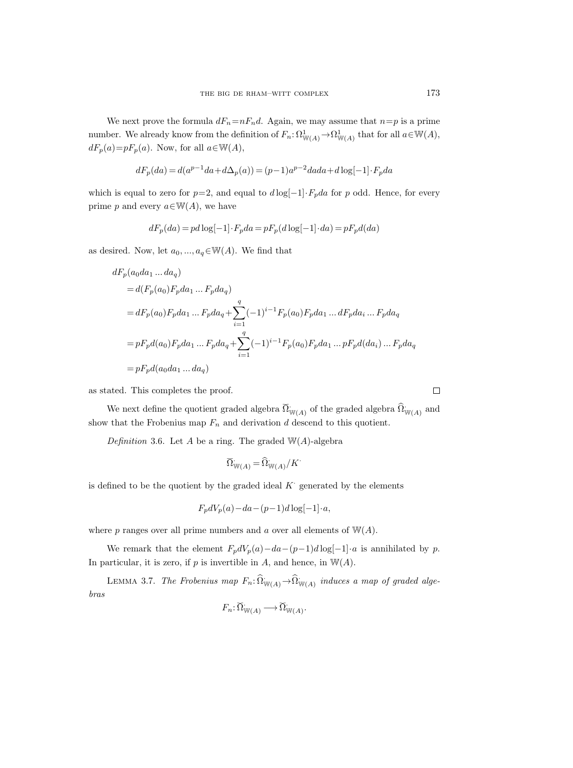We next prove the formula  $dF_n=nF_nd$ . Again, we may assume that  $n=p$  is a prime number. We already know from the definition of  $F_n: \Omega^1_{\mathbb{W}(A)} \to \Omega^1_{\mathbb{W}(A)}$  that for all  $a \in \mathbb{W}(A)$ ,  $dF_p(a)=pF_p(a)$ . Now, for all  $a\in W(A)$ ,

$$
dF_p(da) = d(a^{p-1}da + d\Delta_p(a)) = (p-1)a^{p-2}dada + d\log[-1] \cdot F_p da
$$

which is equal to zero for  $p=2$ , and equal to  $d \log[-1] \cdot F_p da$  for p odd. Hence, for every prime p and every  $a \in W(A)$ , we have

$$
dF_p(da) = pd \log[-1] \cdot F_p da = pF_p(d \log[-1] \cdot da) = pF_p d(da)
$$

as desired. Now, let  $a_0, ..., a_q \in W(A)$ . We find that

$$
dF_p(a_0da_1...da_q)
$$
  
=  $d(F_p(a_0)F_pda_1...F_pda_q)$   
=  $dF_p(a_0)F_pda_1...F_pda_q + \sum_{i=1}^q (-1)^{i-1}F_p(a_0)F_pda_1...dF_pda_i...F_pda_q$   
=  $pF_p d(a_0)F_pda_1...F_pda_q + \sum_{i=1}^q (-1)^{i-1}F_p(a_0)F_pda_1...pF_p d(da_i)...F_pda_q$   
=  $pF_p d(a_0da_1...da_q)$ 

as stated. This completes the proof.

We next define the quotient graded algebra  $\widetilde{\Omega}_{\mathbb{W}(A)}$  of the graded algebra  $\widehat{\Omega}_{\mathbb{W}(A)}$  and show that the Frobenius map  $F_n$  and derivation d descend to this quotient.

<span id="page-38-0"></span>Definition 3.6. Let A be a ring. The graded  $W(A)$ -algebra

$$
\widecheck{\Omega}_{\mathbb{W}(A)}^{\cdot} = \widehat{\Omega}_{\mathbb{W}(A)}/K^{\cdot}
$$

is defined to be the quotient by the graded ideal  $K<sup>3</sup>$  generated by the elements

$$
F_p dV_p(a) - da - (p-1)d \log[-1] \cdot a,
$$

where p ranges over all prime numbers and a over all elements of  $W(A)$ .

We remark that the element  $F_p dV_p(a) - da - (p-1)d \log[-1] \cdot a$  is annihilated by p. In particular, it is zero, if  $p$  is invertible in  $A$ , and hence, in  $\mathbb{W}(A)$ .

<span id="page-38-1"></span>LEMMA 3.7. The Frobenius map  $F_n: \widehat{\Omega}_{\mathbb{W}(A)}^{\cdot} \to \widehat{\Omega}_{\mathbb{W}(A)}^{\cdot}$  induces a map of graded algebras

$$
F_n: \widetilde{\Omega}_{\mathbb{W}(A)}^{\cdot} \longrightarrow \widetilde{\Omega}_{\mathbb{W}(A)}^{\cdot}.
$$

 $\Box$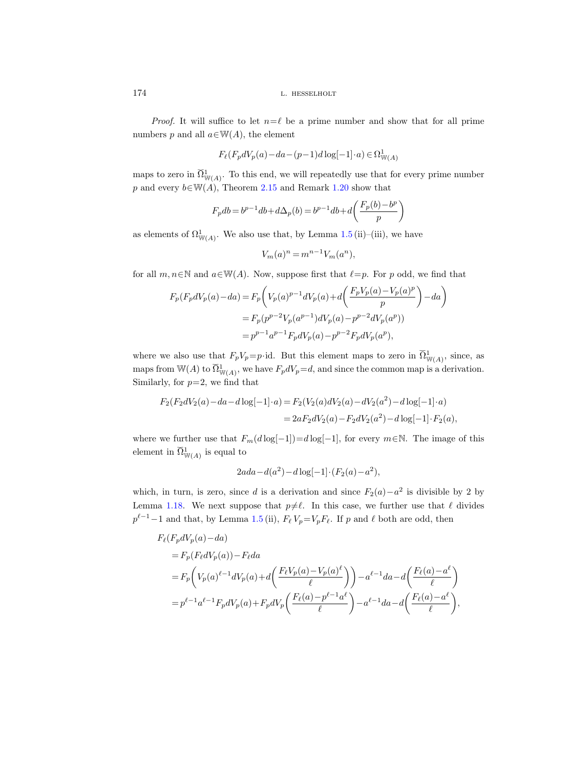*Proof.* It will suffice to let  $n=\ell$  be a prime number and show that for all prime numbers p and all  $a \in W(A)$ , the element

$$
F_{\ell}(F_p dV_p(a) - da - (p-1)d \log[-1] \cdot a) \in \Omega^1_{\mathbb{W}(A)}
$$

maps to zero in  $\widetilde{\Omega}^1_{\mathbb{W}(A)}$ . To this end, we will repeatedly use that for every prime number p and every  $b \in W(A)$ , Theorem [2.15](#page-34-0) and Remark [1.20](#page-18-0) show that

$$
F_pdb = b^{p-1}db + d\Delta_p(b) = b^{p-1}db + d\bigg(\frac{F_p(b)-b^p}{p}\bigg)
$$

as elements of  $\Omega^1_{\mathbb{W}(A)}$ . We also use that, by Lemma [1.5](#page-8-0) (ii)–(iii), we have

$$
V_m(a)^n = m^{n-1} V_m(a^n),
$$

for all  $m, n \in \mathbb{N}$  and  $a \in \mathbb{W}(A)$ . Now, suppose first that  $\ell=p$ . For p odd, we find that

$$
F_p(F_p dV_p(a) - da) = F_p\left(V_p(a)^{p-1} dV_p(a) + d\left(\frac{F_p V_p(a) - V_p(a)^p}{p}\right) - da\right)
$$
  
=  $F_p(p^{p-2}V_p(a^{p-1}) dV_p(a) - p^{p-2}dV_p(a^p))$   
=  $p^{p-1}a^{p-1}F_p dV_p(a) - p^{p-2}F_p dV_p(a^p),$ 

where we also use that  $F_pV_p=p\cdot$  id. But this element maps to zero in  $\widetilde{\Omega}_{\mathbb{W}(A)}^1$ , since, as maps from W(A) to  $\widetilde{\Omega}^1_{\mathbb{W}(A)}$ , we have  $F_p dV_p = d$ , and since the common map is a derivation. Similarly, for  $p=2$ , we find that

$$
F_2(F_2dV_2(a) - da - d\log[-1] \cdot a) = F_2(V_2(a)dV_2(a) - dV_2(a^2) - d\log[-1] \cdot a)
$$
  
=  $2aF_2dV_2(a) - F_2dV_2(a^2) - d\log[-1] \cdot F_2(a)$ ,

where we further use that  $F_m(d \log[-1])=d \log[-1]$ , for every  $m \in \mathbb{N}$ . The image of this element in  $\widetilde{\Omega}^1_{\mathbb{W}(A)}$  is equal to

$$
2ada - d(a2) - d \log[-1] \cdot (F_2(a) - a2),
$$

which, in turn, is zero, since d is a derivation and since  $F_2(a) - a^2$  is divisible by 2 by Lemma [1.18.](#page-16-0) We next suppose that  $p\neq\ell$ . In this case, we further use that  $\ell$  divides  $p^{\ell-1}-1$  and that, by Lemma [1.5](#page-8-0) (ii),  $F_{\ell}$   $V_{p}=V_{p}F_{\ell}$ . If p and  $\ell$  both are odd, then

$$
F_{\ell}(F_p dV_p(a) - da)
$$
  
=  $F_p(F_{\ell} dV_p(a)) - F_{\ell} da$   
=  $F_p\left(V_p(a)^{\ell-1} dV_p(a) + d\left(\frac{F_{\ell} V_p(a) - V_p(a)^{\ell}}{\ell}\right)\right) - a^{\ell-1} da - d\left(\frac{F_{\ell}(a) - a^{\ell}}{\ell}\right)$   
=  $p^{\ell-1} a^{\ell-1} F_p dV_p(a) + F_p dV_p\left(\frac{F_{\ell}(a) - p^{\ell-1} a^{\ell}}{\ell}\right) - a^{\ell-1} da - d\left(\frac{F_{\ell}(a) - a^{\ell}}{\ell}\right),$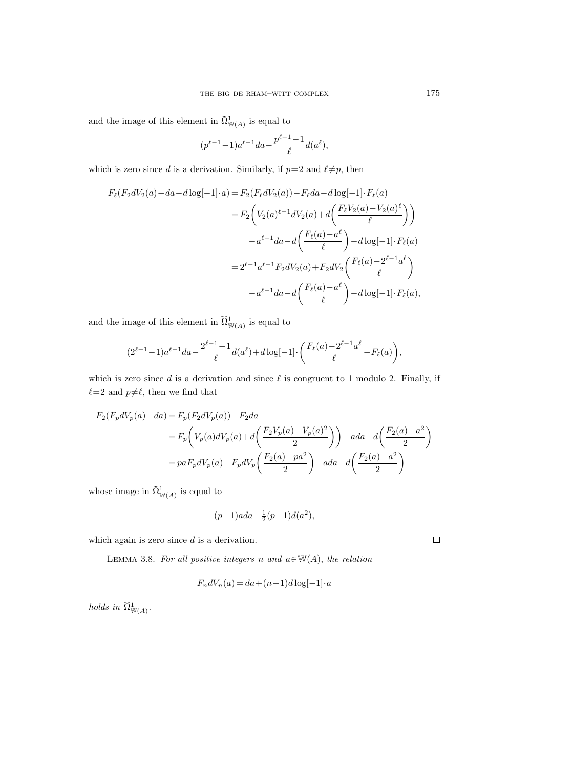and the image of this element in  $\widetilde{\Omega}^1_{\mathbb{W}(A)}$  is equal to

$$
(p^{\ell-1}-1)a^{\ell-1}da - \frac{p^{\ell-1}-1}{\ell}d(a^{\ell}),
$$

which is zero since d is a derivation. Similarly, if  $p=2$  and  $\ell \neq p$ , then

$$
F_{\ell}(F_2 dV_2(a) - da - d\log[-1] \cdot a) = F_2(F_{\ell} dV_2(a)) - F_{\ell} da - d\log[-1] \cdot F_{\ell}(a)
$$
  

$$
= F_2 \left(V_2(a)^{\ell-1} dV_2(a) + d\left(\frac{F_{\ell} V_2(a) - V_2(a)^{\ell}}{\ell}\right)\right)
$$
  

$$
-a^{\ell-1} da - d\left(\frac{F_{\ell}(a) - a^{\ell}}{\ell}\right) - d\log[-1] \cdot F_{\ell}(a)
$$
  

$$
= 2^{\ell-1} a^{\ell-1} F_2 dV_2(a) + F_2 dV_2\left(\frac{F_{\ell}(a) - 2^{\ell-1} a^{\ell}}{\ell}\right)
$$
  

$$
-a^{\ell-1} da - d\left(\frac{F_{\ell}(a) - a^{\ell}}{\ell}\right) - d\log[-1] \cdot F_{\ell}(a),
$$

and the image of this element in  $\widetilde{\Omega}^1_{\mathbb{W}(A)}$  is equal to

$$
(2^{\ell-1}-1) a^{\ell-1} da - \frac{2^{\ell-1}-1}{\ell} d(a^\ell) + d\log[-1] \cdot \bigg( \frac{F_\ell(a)-2^{\ell-1}a^\ell}{\ell} - F_\ell(a) \bigg),
$$

which is zero since  $d$  is a derivation and since  $\ell$  is congruent to 1 modulo 2. Finally, if  $\ell=2$  and  $p\neq\ell$ , then we find that

$$
F_2(F_p dV_p(a) - da) = F_p(F_2 dV_p(a)) - F_2 da
$$
  
=  $F_p\left(V_p(a) dV_p(a) + d\left(\frac{F_2 V_p(a) - V_p(a)^2}{2}\right)\right) - ada - d\left(\frac{F_2(a) - a^2}{2}\right)$   
=  $p a F_p dV_p(a) + F_p dV_p\left(\frac{F_2(a) - pa^2}{2}\right) - ada - d\left(\frac{F_2(a) - a^2}{2}\right)$ 

whose image in  $\breve{\Omega}_{\mathbb{W}(A)}^1$  is equal to

$$
(p-1)ada - \frac{1}{2}(p-1)d(a^2),
$$

<span id="page-40-0"></span>which again is zero since  $d$  is a derivation.

LEMMA 3.8. For all positive integers n and  $a \in W(A)$ , the relation

$$
F_n dV_n(a) = da + (n-1)d \log[-1] \cdot a
$$

holds in  $\widetilde{\Omega}_{\mathbb{W}(A)}^1$ .

 $\Box$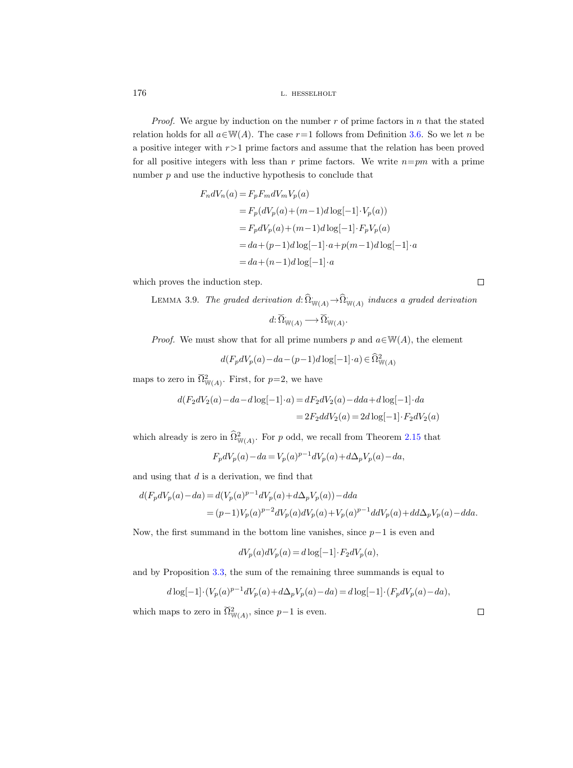*Proof.* We argue by induction on the number  $r$  of prime factors in  $n$  that the stated relation holds for all  $a \in W(A)$ . The case  $r=1$  follows from Definition [3.6.](#page-38-0) So we let n be a positive integer with  $r>1$  prime factors and assume that the relation has been proved for all positive integers with less than r prime factors. We write  $n=pm$  with a prime number  $p$  and use the inductive hypothesis to conclude that

$$
F_n dV_n(a) = F_p F_m dV_m V_p(a)
$$
  
=  $F_p (dV_p(a) + (m-1)d \log[-1] \cdot V_p(a))$   
=  $F_p dV_p(a) + (m-1)d \log[-1] \cdot F_p V_p(a)$   
=  $da + (p-1)d \log[-1] \cdot a + p(m-1)d \log[-1] \cdot a$   
=  $da + (n-1)d \log[-1] \cdot a$ 

which proves the induction step.

 $\Box$ 

LEMMA 3.9. The graded derivation  $d\colon\widehat{\Omega}_{\mathbb{W}(A)} \to \widehat{\Omega}_{\mathbb{W}(A)}$  induces a graded derivation  $d: \widetilde{\Omega}_{\mathbb{W}(A)}^{\cdot} \longrightarrow \widetilde{\Omega}_{\mathbb{W}(A)}^{\cdot}.$ 

*Proof.* We must show that for all prime numbers p and  $a \in W(A)$ , the element

$$
d(F_p dV_p(a) - da - (p-1)d \log[-1] \cdot a) \in \widehat{\Omega}^2_{\mathbb{W}(A)}
$$

maps to zero in  $\widetilde{\Omega}_{\mathbb{W}(A)}^2$ . First, for  $p=2$ , we have

$$
d(F_2 dV_2(a) - da - d\log[-1] \cdot a) = dF_2 dV_2(a) - dda + d\log[-1] \cdot da
$$
  
= 
$$
2F_2 ddV_2(a) = 2d\log[-1] \cdot F_2 dV_2(a)
$$

which already is zero in  $\hat{\Omega}^2_{\mathbb{W}(A)}$ . For p odd, we recall from Theorem [2.15](#page-34-0) that

$$
F_p dV_p(a) - da = V_p(a)^{p-1} dV_p(a) + d\Delta_p V_p(a) - da,
$$

and using that  $d$  is a derivation, we find that

$$
\begin{aligned} d(F_p dV_p(a) - da) &= d(V_p(a)^{p-1} dV_p(a) + d\Delta_p V_p(a)) - dda \\ &= (p-1)V_p(a)^{p-2} dV_p(a) dV_p(a) + V_p(a)^{p-1} ddV_p(a) + dd\Delta_p V_p(a) - dda. \end{aligned}
$$

Now, the first summand in the bottom line vanishes, since  $p-1$  is even and

$$
dV_p(a)dV_p(a) = d\log[-1] \cdot F_2 dV_p(a),
$$

and by Proposition [3.3,](#page-35-1) the sum of the remaining three summands is equal to

$$
d \log[-1] \cdot (V_p(a)^{p-1} dV_p(a) + d\Delta_p V_p(a) - da) = d \log[-1] \cdot (F_p dV_p(a) - da),
$$

which maps to zero in  $\widetilde{\Omega}_{\mathbb{W}(A)}^2$ , since  $p-1$  is even.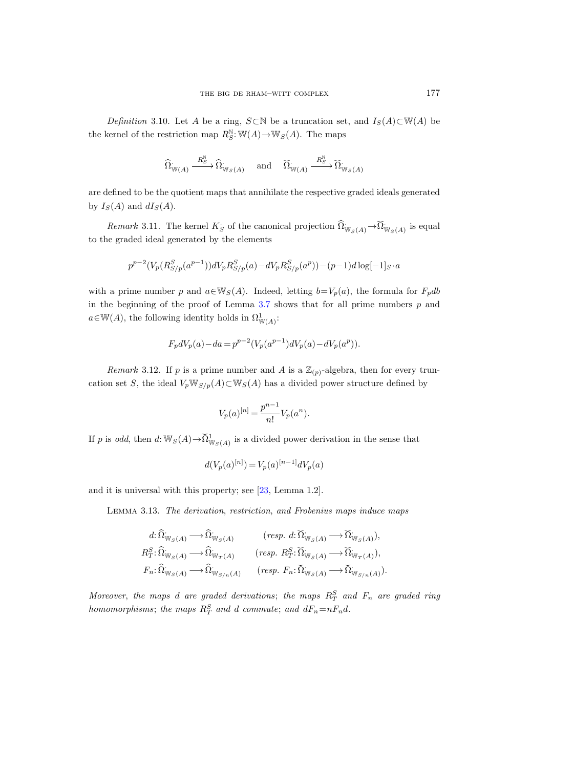Definition 3.10. Let A be a ring, S⊂N be a truncation set, and  $I_S(A) \subset W(A)$  be the kernel of the restriction map  $R_S^{\mathbb{N}}$ :  $\mathbb{W}(A) \to \mathbb{W}_S(A)$ . The maps

$$
\widehat{\Omega}_{\mathbb{W}(A)} \xrightarrow{R_S^{\mathbb{N}}} \widehat{\Omega}_{\mathbb{W}_S(A)} \quad \text{ and } \quad \widetilde{\Omega}_{\mathbb{W}(A)} \xrightarrow{R_S^{\mathbb{N}}} \widetilde{\Omega}_{\mathbb{W}_S(A)}
$$

are defined to be the quotient maps that annihilate the respective graded ideals generated by  $I_S(A)$  and  $dI_S(A)$ .

<span id="page-42-0"></span>Remark 3.11. The kernel  $K_S$  of the canonical projection  $\widehat{\Omega}_{W_S(A)}^{\cdot} \to \widehat{\Omega}_{W_S(A)}^{\cdot}$  is equal to the graded ideal generated by the elements

$$
p^{p-2}(V_p(R_{S/p}^S(a^{p-1}))dV_pR_{S/p}^S(a)-dV_pR_{S/p}^S(a^p))-(p-1)d\log[-1]_S\cdot a
$$

with a prime number p and  $a \in W_S(A)$ . Indeed, letting  $b=V_p(a)$ , the formula for  $F_pdb$ in the beginning of the proof of Lemma  $3.7$  shows that for all prime numbers  $p$  and  $a \in W(A)$ , the following identity holds in  $\Omega^1_{W(A)}$ :

$$
F_p dV_p(a) - da = p^{p-2} (V_p(a^{p-1}) dV_p(a) - dV_p(a^p)).
$$

*Remark* 3.12. If p is a prime number and A is a  $\mathbb{Z}_{(p)}$ -algebra, then for every truncation set S, the ideal  $V_p \mathbb{W}_{S/p}(A) \subset \mathbb{W}_S(A)$  has a divided power structure defined by

$$
V_p(a)^{[n]} = \frac{p^{n-1}}{n!} V_p(a^n).
$$

If p is odd, then  $d: \mathbb{W}_S(A) \to \widetilde{\Omega}^1_{\mathbb{W}_S(A)}$  is a divided power derivation in the sense that

$$
d(V_p(a)^{[n]}) = V_p(a)^{[n-1]}dV_p(a)
$$

<span id="page-42-1"></span>and it is universal with this property; see [\[23,](#page-71-0) Lemma 1.2].

Lemma 3.13. The derivation, restriction, and Frobenius maps induce maps

$$
\begin{aligned} d \colon& \widehat{\Omega}_{\mathbb{W}_S(A)} \longrightarrow \widehat{\Omega}_{\mathbb{W}_S(A)} &\quad & (resp. \,\, d \colon& \widetilde{\Omega}_{\mathbb{W}_S(A)} \longrightarrow \widetilde{\Omega}_{\mathbb{W}_S(A)}),\\ R_T^S \colon& \widehat{\Omega}_{\mathbb{W}_S(A)} \longrightarrow \widehat{\Omega}_{\mathbb{W}_T(A)} &\quad & (resp. \,\, R_T^S \colon& \widetilde{\Omega}_{\mathbb{W}_S(A)} \longrightarrow \widetilde{\Omega}_{\mathbb{W}_T(A)}),\\ F_n \colon& \widehat{\Omega}_{\mathbb{W}_S(A)} \longrightarrow \widehat{\Omega}_{\mathbb{W}_{S/n}(A)} &\quad & (resp. \,\, F_n \colon& \widetilde{\Omega}_{\mathbb{W}_S(A)} \longrightarrow \widetilde{\Omega}_{\mathbb{W}_{S/n}(A)}). \end{aligned}
$$

Moreover, the maps d are graded derivations; the maps  $R_T^S$  and  $F_n$  are graded ring homomorphisms; the maps  $R_T^S$  and d commute; and  $dF_n=nF_nd$ .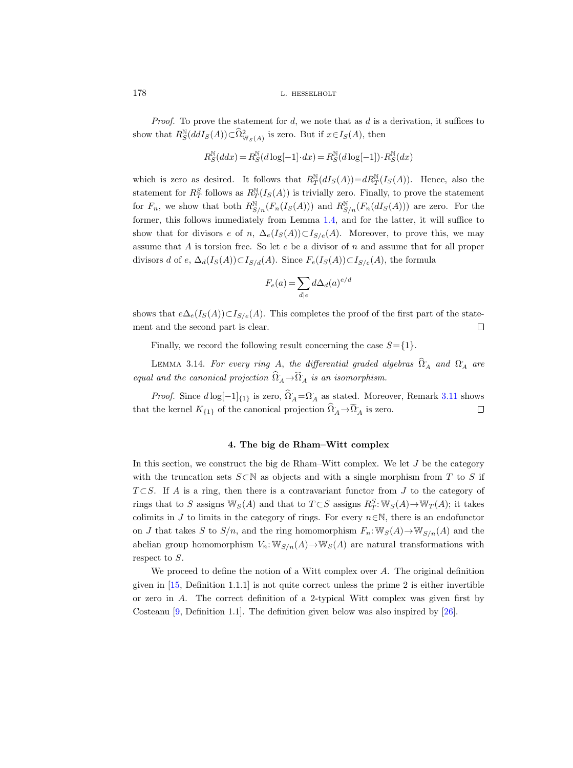*Proof.* To prove the statement for  $d$ , we note that as  $d$  is a derivation, it suffices to show that  $R_S^{\mathbb{N}}(ddI_S(A)) \subset \widehat{\Omega}^2_{\mathbb{W}_S(A)}$  is zero. But if  $x \in I_S(A)$ , then

$$
R_S^{\mathbb{N}}(ddx) = R_S^{\mathbb{N}}(d\log[-1]\cdot dx) = R_S^{\mathbb{N}}(d\log[-1])\cdot R_S^{\mathbb{N}}(dx)
$$

which is zero as desired. It follows that  $R_T^{\mathbb{N}}(dI_S(A))=dR_T^{\mathbb{N}}(I_S(A))$ . Hence, also the statement for  $R_T^S$  follows as  $R_T^{\mathbb{N}}(I_S(A))$  is trivially zero. Finally, to prove the statement for  $F_n$ , we show that both  $R^{\mathbb{N}}_{S/n}(F_n(I_S(A)))$  and  $R^{\mathbb{N}}_{S/n}(F_n(dI_S(A)))$  are zero. For the former, this follows immediately from Lemma [1.4,](#page-8-1) and for the latter, it will suffice to show that for divisors e of n,  $\Delta_e(I_S(A))\subset I_{S/e}(A)$ . Moreover, to prove this, we may assume that  $A$  is torsion free. So let  $e$  be a divisor of  $n$  and assume that for all proper divisors d of e,  $\Delta_d(I_S(A)) \subset I_{S/d}(A)$ . Since  $F_e(I_S(A)) \subset I_{S/e}(A)$ , the formula

$$
F_e(a) = \sum_{d|e} d\Delta_d(a)^{e/d}
$$

shows that  $e\Delta_e(I_S(A))\subset I_{S/e}(A)$ . This completes the proof of the first part of the statement and the second part is clear.  $\Box$ 

Finally, we record the following result concerning the case  $S = \{1\}$ .

<span id="page-43-1"></span>LEMMA 3.14. For every ring A, the differential graded algebras  $\widehat{\Omega}_A$  and  $\Omega_A$  are equal and the canonical projection  $\widehat{\Omega}_A \rightarrow \widehat{\Omega}_A$  is an isomorphism.

*Proof.* Since  $d \log[-1]_{\{1\}}$  is zero,  $\Omega_A = \Omega_A$  as stated. Moreover, Remark [3.11](#page-42-0) shows that the kernel  $K_{\{1\}}$  of the canonical projection  $\widehat{\Omega}_A \rightarrow \widehat{\Omega}_A$  is zero.  $\Box$ 

# 4. The big de Rham–Witt complex

In this section, we construct the big de Rham–Witt complex. We let  $J$  be the category with the truncation sets  $S\subset\mathbb{N}$  as objects and with a single morphism from T to S if  $T \subset S$ . If A is a ring, then there is a contravariant functor from J to the category of rings that to S assigns  $\mathbb{W}_S(A)$  and that to  $T \subset S$  assigns  $R^S_T : \mathbb{W}_S(A) \to \mathbb{W}_T(A)$ ; it takes colimits in J to limits in the category of rings. For every  $n \in \mathbb{N}$ , there is an endofunctor on J that takes S to  $S/n$ , and the ring homomorphism  $F_n: \mathbb{W}_S(A) \to \mathbb{W}_{S/n}(A)$  and the abelian group homomorphism  $V_n: \mathbb{W}_{S/n}(A) \to \mathbb{W}_S(A)$  are natural transformations with respect to S.

<span id="page-43-0"></span>We proceed to define the notion of a Witt complex over  $A$ . The original definition given in  $[15,$  Definition 1.1.1 is not quite correct unless the prime 2 is either invertible or zero in A. The correct definition of a 2-typical Witt complex was given first by Costeanu [\[9,](#page-71-2) Definition 1.1]. The definition given below was also inspired by [\[26\]](#page-71-3).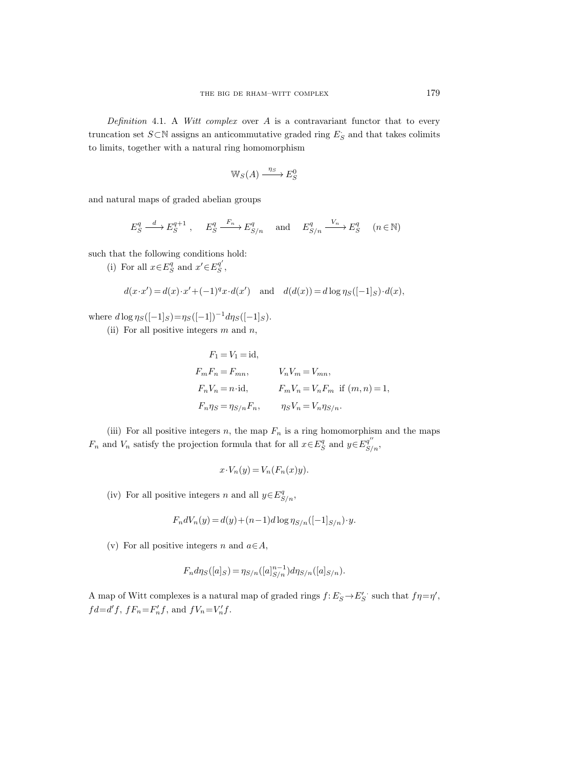Definition 4.1. A Witt complex over  $A$  is a contravariant functor that to every truncation set  $S \subset \mathbb{N}$  assigns an anticommutative graded ring  $E_S$  and that takes colimits to limits, together with a natural ring homomorphism

$$
\mathbb{W}_S(A) \xrightarrow{\eta_S} E^0_S
$$

and natural maps of graded abelian groups

$$
E_S^q \xrightarrow{d} E_S^{q+1} , \quad E_S^q \xrightarrow{F_n} E_{S/n}^q \quad \text{and} \quad E_{S/n}^q \xrightarrow{V_n} E_S^q \quad (n \in \mathbb{N})
$$

such that the following conditions hold:

(i) For all  $x{\in}E_S^q$  and  $x'{\in}E_S^{q'}$  $S^q$  ,

$$
d(x \cdot x') = d(x) \cdot x' + (-1)^q x \cdot d(x') \quad \text{and} \quad d(d(x)) = d \log \eta_S([-1]_S) \cdot d(x),
$$

where  $d \log \eta_S([-1]_S) = \eta_S([-1])^{-1} d \eta_S([-1]_S)$ .

(ii) For all positive integers  $m$  and  $n$ ,

$$
F_1 = V_1 = id,
$$
  
\n
$$
F_m F_n = F_{mn}, \t V_n V_m = V_{mn},
$$
  
\n
$$
F_n V_n = n \cdot id, \t F_m V_n = V_n F_m \text{ if } (m, n) = 1,
$$
  
\n
$$
F_n \eta_S = \eta_{S/n} F_n, \t \eta_S V_n = V_n \eta_{S/n}.
$$

(iii) For all positive integers n, the map  $F_n$  is a ring homomorphism and the maps  $F_n$  and  $V_n$  satisfy the projection formula that for all  $x \in E_S^q$  and  $y \in E_{S/n}^{q''}$ ,

$$
x \cdot V_n(y) = V_n(F_n(x)y).
$$

(iv) For all positive integers n and all  $y \in E_{S/n}^q$ ,

$$
F_n dV_n(y) = d(y) + (n-1)d \log \eta_{S/n}([-1]_{S/n}) \cdot y.
$$

(v) For all positive integers n and  $a \in A$ ,

$$
F_n d\eta_S([a]_S) = \eta_{S/n}([a]_{S/n}^{n-1}) d\eta_{S/n}([a]_{S/n}).
$$

<span id="page-44-0"></span>A map of Witt complexes is a natural map of graded rings  $f: E_S \to E_S'$  such that  $f\eta = \eta'$ ,  $fd = d'f$ ,  $fF_n = F'_n f$ , and  $fV_n = V'_n f$ .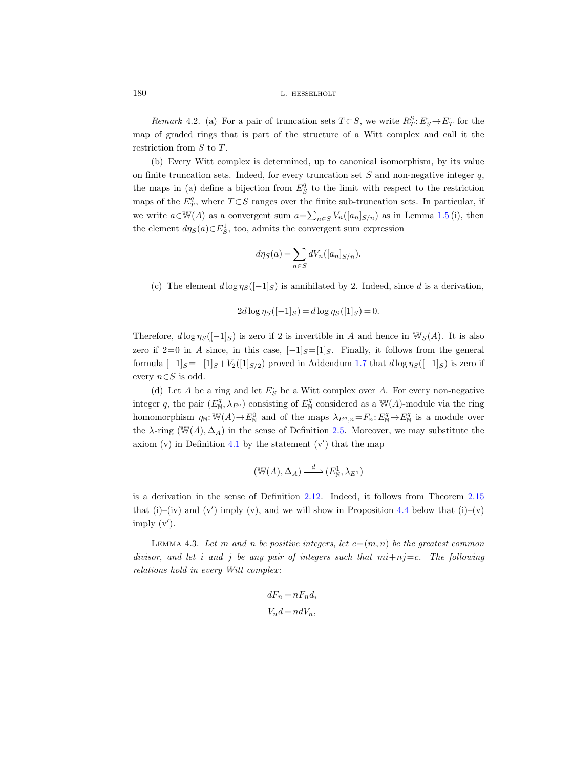Remark 4.2. (a) For a pair of truncation sets  $T \subset S$ , we write  $R_T^S: E_S \to E_T$  for the map of graded rings that is part of the structure of a Witt complex and call it the restriction from S to T.

(b) Every Witt complex is determined, up to canonical isomorphism, by its value on finite truncation sets. Indeed, for every truncation set  $S$  and non-negative integer  $q$ , the maps in (a) define a bijection from  $E_S^q$  to the limit with respect to the restriction maps of the  $E_T^q$ , where  $T \subset S$  ranges over the finite sub-truncation sets. In particular, if we write  $a \in W(A)$  as a convergent sum  $a = \sum_{n \in S} V_n([a_n]_{S/n})$  as in Lemma [1.5](#page-8-0) (i), then the element  $d\eta_S(a) \in E_S^1$ , too, admits the convergent sum expression

$$
d\eta_S(a) = \sum_{n \in S} dV_n([a_n]_{S/n}).
$$

(c) The element  $d \log \eta_S([-1]_S)$  is annihilated by 2. Indeed, since d is a derivation,

$$
2d \log \eta_S([-1]_S) = d \log \eta_S([1]_S) = 0
$$

Therefore,  $d \log \eta_S([-1]_S)$  is zero if 2 is invertible in A and hence in  $\mathbb{W}_S(A)$ . It is also zero if 2=0 in A since, in this case,  $[-1]_S=[1]_S$ . Finally, it follows from the general formula  $[-1]_S=-[1]_S+V_2([1]_{S/2})$  proved in Addendum [1.7](#page-10-0) that  $d \log \eta_S([-1]_S)$  is zero if every  $n \in S$  is odd.

(d) Let  $A$  be a ring and let  $E_S$  be a Witt complex over  $A$ . For every non-negative integer q, the pair  $(E_N^q, \lambda_{E^q})$  consisting of  $E_N^q$  considered as a W(A)-module via the ring homomorphism  $\eta_N: \mathbb{W}(A) \to E^0_N$  and of the maps  $\lambda_{E^q,n} = F_n: E^q_N \to E^q_N$  is a module over the  $\lambda$ -ring (W(A),  $\Delta_A$ ) in the sense of Definition [2.5.](#page-25-0) Moreover, we may substitute the axiom  $(v)$  in Definition [4.1](#page-43-0) by the statement  $(v')$  that the map

$$
(\mathbb{W}(A), \Delta_A) \xrightarrow{d} (E^1_{\mathbb{N}}, \lambda_{E^1})
$$

is a derivation in the sense of Definition [2.12.](#page-31-0) Indeed, it follows from Theorem [2.15](#page-34-0) that (i)–(iv) and (v') imply (v), and we will show in Proposition [4.4](#page-48-0) below that (i)–(v) imply  $(v')$ .

<span id="page-45-0"></span>LEMMA 4.3. Let m and n be positive integers, let  $c=(m, n)$  be the greatest common divisor, and let i and j be any pair of integers such that  $mi+nj=c$ . The following relations hold in every Witt complex:

$$
dF_n = nF_n d,
$$
  

$$
V_n d = n dV_n,
$$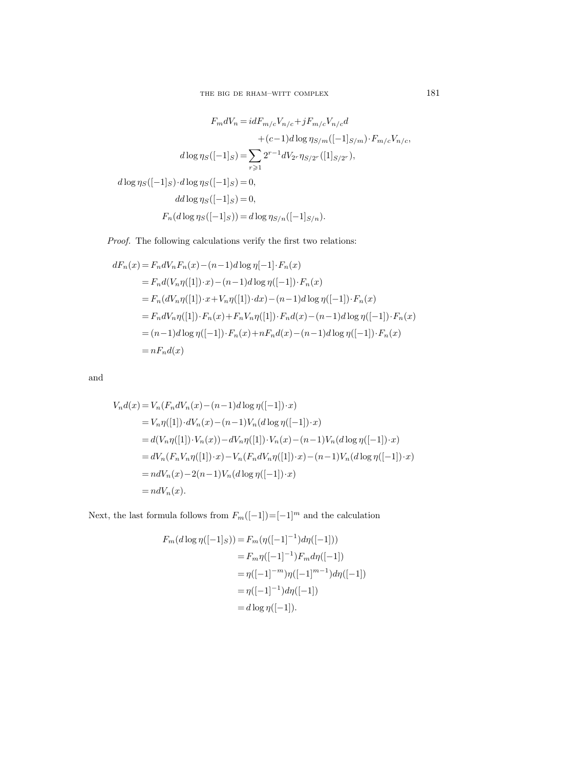$$
F_m dV_n = idF_{m/c} V_{n/c} + jF_{m/c} V_{n/c} d
$$

$$
+ (c-1)d \log \eta_{S/m} ([-1]_{S/m}) \cdot F_{m/c} V_{n/c},
$$

$$
d \log \eta_S ([-1]_S) = \sum_{r \ge 1} 2^{r-1} dV_{2r} \eta_{S/2r} ([1]_{S/2r}),
$$

$$
d \log \eta_S ([-1]_S) \cdot d \log \eta_S ([-1]_S) = 0,
$$

$$
d d \log \eta_S ([-1]_S) = 0,
$$

$$
F_n (d \log \eta_S ([-1]_S)) = d \log \eta_{S/n} ([-1]_{S/n}).
$$

Proof. The following calculations verify the first two relations:

$$
dF_n(x) = F_n dV_n F_n(x) - (n-1)d \log \eta[-1] \cdot F_n(x)
$$
  
=  $F_n d(V_n \eta([1]) \cdot x) - (n-1)d \log \eta([-1]) \cdot F_n(x)$   
=  $F_n (dV_n \eta([1]) \cdot x + V_n \eta([1]) \cdot dx) - (n-1)d \log \eta([-1]) \cdot F_n(x)$   
=  $F_n dV_n \eta([1]) \cdot F_n(x) + F_n V_n \eta([1]) \cdot F_n d(x) - (n-1)d \log \eta([-1]) \cdot F_n(x)$   
=  $(n-1)d \log \eta([-1]) \cdot F_n(x) + nF_n d(x) - (n-1)d \log \eta([-1]) \cdot F_n(x)$   
=  $nF_n d(x)$ 

and

$$
V_n d(x) = V_n(F_n dV_n(x) - (n-1)d \log \eta([-1]) \cdot x)
$$
  
=  $V_n \eta([1]) \cdot dV_n(x) - (n-1)V_n(d \log \eta([-1]) \cdot x)$   
=  $d(V_n \eta([1]) \cdot V_n(x)) - dV_n \eta([1]) \cdot V_n(x) - (n-1)V_n(d \log \eta([-1]) \cdot x)$   
=  $dV_n(F_n V_n \eta([1]) \cdot x) - V_n(F_n dV_n \eta([1]) \cdot x) - (n-1)V_n(d \log \eta([-1]) \cdot x)$   
=  $n dV_n(x) - 2(n-1)V_n(d \log \eta([-1]) \cdot x)$   
=  $n dV_n(x)$ .

Next, the last formula follows from  $F_m([-1])\!=\![-1]^m$  and the calculation

$$
F_m(d \log \eta([-1]_S)) = F_m(\eta([-1]^{-1})d\eta([-1]))
$$
  
=  $F_m \eta([-1]^{-1})F_m d\eta([-1])$   
=  $\eta([-1]^{-m})\eta([-1]^{m-1})d\eta([-1])$   
=  $\eta([-1]^{-1})d\eta([-1])$   
=  $d \log \eta([-1]).$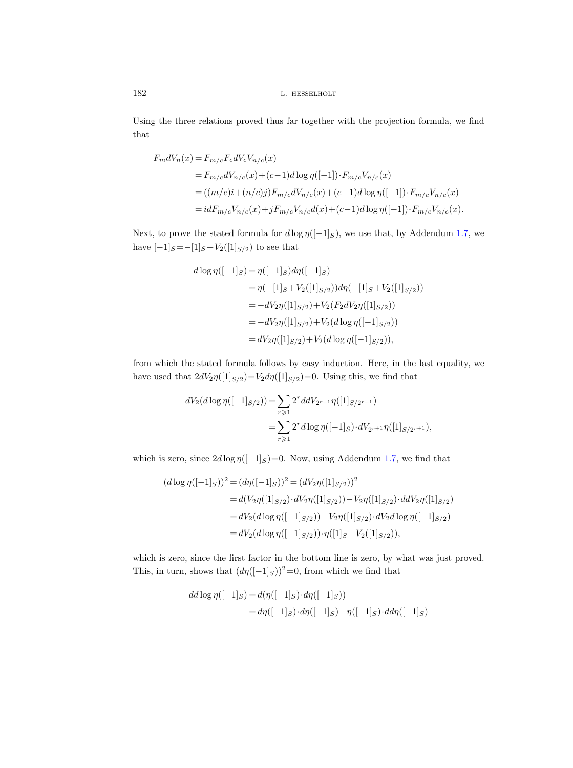Using the three relations proved thus far together with the projection formula, we find that

$$
F_m dV_n(x) = F_{m/c} F_c dV_c V_{n/c}(x)
$$
  
=  $F_{m/c} dV_{n/c}(x) + (c-1)d \log \eta([-1]) \cdot F_{m/c} V_{n/c}(x)$   
=  $((m/c)i + (n/c)j) F_{m/c} dV_{n/c}(x) + (c-1)d \log \eta([-1]) \cdot F_{m/c} V_{n/c}(x)$   
=  $i dF_{m/c} V_{n/c}(x) + j F_{m/c} V_{n/c} d(x) + (c-1)d \log \eta([-1]) \cdot F_{m/c} V_{n/c}(x).$ 

Next, to prove the stated formula for  $d \log \eta([-1]_S)$ , we use that, by Addendum [1.7,](#page-10-0) we have  $[-1]_S\!=\!-[1]_S\!+\!V_2([1]_{S/2})$  to see that

$$
d \log \eta([-1]_S) = \eta([-1]_S) d\eta([-1]_S)
$$
  
=  $\eta(-[1]_S + V_2([1]_{S/2})) d\eta(-[1]_S + V_2([1]_{S/2}))$   
=  $-dV_2 \eta([1]_{S/2}) + V_2(F_2 dV_2 \eta([1]_{S/2}))$   
=  $-dV_2 \eta([1]_{S/2}) + V_2(d \log \eta([-1]_{S/2}))$   
=  $dV_2 \eta([1]_{S/2}) + V_2(d \log \eta([-1]_{S/2})),$ 

from which the stated formula follows by easy induction. Here, in the last equality, we have used that  $2dV_2\eta([1]_{S/2})=V_2d\eta([1]_{S/2})=0$ . Using this, we find that

$$
dV_2(d \log \eta([-1]_{S/2})) = \sum_{r \geq 1} 2^r d dV_{2r+1} \eta([1]_{S/2r+1})
$$
  
= 
$$
\sum_{r \geq 1} 2^r d \log \eta([-1]_S) \cdot dV_{2r+1} \eta([1]_{S/2r+1}),
$$

which is zero, since  $2d \log \eta([-1]_S)=0$ . Now, using Addendum [1.7,](#page-10-0) we find that

$$
(d \log \eta([-1]_S))^2 = (d\eta([-1]_S))^2 = (dV_2\eta([1]_{S/2}))^2
$$
  
=  $d(V_2\eta([1]_{S/2}) \cdot dV_2\eta([1]_{S/2})) - V_2\eta([1]_{S/2}) \cdot ddV_2\eta([1]_{S/2})$   
=  $dV_2(d \log \eta([-1]_{S/2})) - V_2\eta([1]_{S/2}) \cdot dV_2d \log \eta([-1]_{S/2}))$   
=  $dV_2(d \log \eta([-1]_{S/2})) \cdot \eta([1]_S - V_2([1]_{S/2})),$ 

which is zero, since the first factor in the bottom line is zero, by what was just proved. This, in turn, shows that  $(d\eta([-1]_S))^2=0$ , from which we find that

$$
dd \log \eta([-1]_S) = d(\eta([-1]_S) \cdot d\eta([-1]_S))
$$
  
= 
$$
d\eta([-1]_S) \cdot d\eta([-1]_S) + \eta([-1]_S) \cdot d\eta([-1]_S)
$$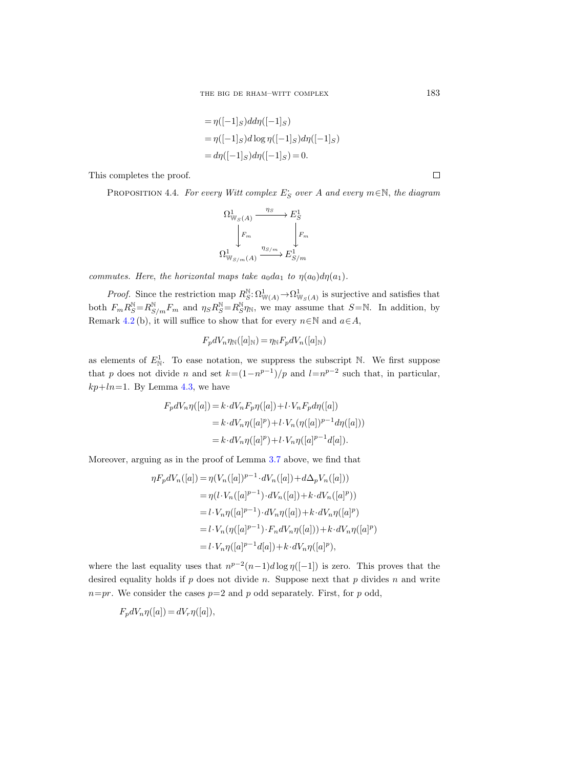$$
= \eta([-1]_S)dd\eta([-1]_S)
$$
  
=  $\eta([-1]_S)dd\log \eta([-1]_S)d\eta([-1]_S)$   
=  $d\eta([-1]_S)d\eta([-1]_S) = 0.$ 

<span id="page-48-0"></span>This completes the proof.

PROPOSITION 4.4. For every Witt complex  $E_S$  over A and every  $m \in \mathbb{N}$ , the diagram

$$
\Omega^1_{\mathbb{W}_S(A)} \xrightarrow{\eta_S} E^1_S
$$
\n
$$
\downarrow F_m
$$
\n
$$
\Omega^1_{\mathbb{W}_{S/m}(A)} \xrightarrow{\eta_{S/m}} E^1_{S/m}
$$

commutes. Here, the horizontal maps take  $a_0da_1$  to  $\eta(a_0)d\eta(a_1)$ .

*Proof.* Since the restriction map  $R_S^N \colon \Omega^1_{\mathbb{W}(A)} \to \Omega^1_{\mathbb{W}_S(A)}$  is surjective and satisfies that both  $F_m R_S^{\mathbb{N}} = R_{S/m}^{\mathbb{N}} F_m$  and  $\eta_S R_S^{\mathbb{N}} = R_S^{\mathbb{N}} \eta_{\mathbb{N}}$ , we may assume that  $S = \mathbb{N}$ . In addition, by Remark [4.2](#page-44-0) (b), it will suffice to show that for every  $n \in \mathbb{N}$  and  $a \in A$ ,

$$
F_p dV_n \eta_{\mathbb{N}}([a]_{\mathbb{N}}) = \eta_{\mathbb{N}} F_p dV_n([a]_{\mathbb{N}})
$$

as elements of  $E^1_N$ . To ease notation, we suppress the subscript N. We first suppose that p does not divide n and set  $k=(1-n^{p-1})/p$  and  $l=n^{p-2}$  such that, in particular,  $kp+ln=1$ . By Lemma [4.3,](#page-45-0) we have

$$
F_p dV_n \eta([a]) = k \cdot dV_n F_p \eta([a]) + l \cdot V_n F_p d\eta([a])
$$
  
= 
$$
k \cdot dV_n \eta([a]^p) + l \cdot V_n(\eta([a])^{p-1} d\eta([a]))
$$
  
= 
$$
k \cdot dV_n \eta([a]^p) + l \cdot V_n \eta([a]^{p-1} d[a]).
$$

Moreover, arguing as in the proof of Lemma [3.7](#page-38-1) above, we find that

$$
\eta F_p dV_n([a]) = \eta (V_n([a])^{p-1} \cdot dV_n([a]) + d\Delta_p V_n([a]))
$$
  
\n
$$
= \eta (l \cdot V_n([a]^{p-1}) \cdot dV_n([a]) + k \cdot dV_n([a]^p))
$$
  
\n
$$
= l \cdot V_n \eta([a]^{p-1}) \cdot dV_n \eta([a]) + k \cdot dV_n \eta([a]^p)
$$
  
\n
$$
= l \cdot V_n \eta([a]^{p-1}) \cdot F_n dV_n \eta([a]) + k \cdot dV_n \eta([a]^p)
$$
  
\n
$$
= l \cdot V_n \eta([a]^{p-1} d[a]) + k \cdot dV_n \eta([a]^p),
$$

where the last equality uses that  $n^{p-2}(n-1)d \log n([-1])$  is zero. This proves that the desired equality holds if  $p$  does not divide n. Suppose next that p divides n and write  $n=pr$ . We consider the cases  $p=2$  and p odd separately. First, for p odd,

$$
F_p dV_n \eta([a]) = dV_r \eta([a]),
$$

 $\Box$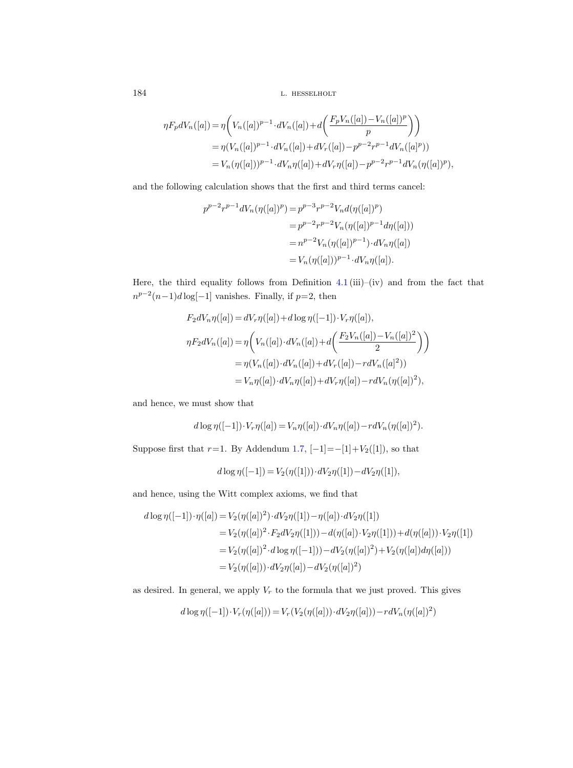$$
\eta F_p dV_n([a]) = \eta \bigg( V_n([a])^{p-1} \cdot dV_n([a]) + d \bigg( \frac{F_p V_n([a]) - V_n([a])^p}{p} \bigg) \bigg) \n= \eta (V_n([a])^{p-1} \cdot dV_n([a]) + dV_r([a]) - p^{p-2} r^{p-1} dV_n([a]^p)) \n= V_n(\eta([a]))^{p-1} \cdot dV_n \eta([a]) + dV_r \eta([a]) - p^{p-2} r^{p-1} dV_n(\eta([a])^p),
$$

and the following calculation shows that the first and third terms cancel:

$$
p^{p-2}r^{p-1}dV_n(\eta([a])^p) = p^{p-3}r^{p-2}V_nd(\eta([a])^p)
$$
  
=  $p^{p-2}r^{p-2}V_n(\eta([a])^{p-1}d\eta([a]))$   
=  $n^{p-2}V_n(\eta([a])^{p-1}) \cdot dV_n\eta([a])$   
=  $V_n(\eta([a]))^{p-1} \cdot dV_n\eta([a]).$ 

Here, the third equality follows from Definition [4.1](#page-43-0) (iii)–(iv) and from the fact that  $n^{p-2}(n-1)d\log[-1]$  vanishes. Finally, if  $p=2$ , then

$$
F_2 dV_n \eta([a]) = dV_r \eta([a]) + d \log \eta([-1]) \cdot V_r \eta([a]),
$$
  
\n
$$
\eta F_2 dV_n([a]) = \eta \left( V_n([a]) \cdot dV_n([a]) + d \left( \frac{F_2 V_n([a]) - V_n([a])^2}{2} \right) \right)
$$
  
\n
$$
= \eta (V_n([a]) \cdot dV_n([a]) + dV_r([a]) - r dV_n([a]^2))
$$
  
\n
$$
= V_n \eta([a]) \cdot dV_n \eta([a]) + dV_r \eta([a]) - r dV_n(\eta([a]^2),
$$

and hence, we must show that

$$
d \log \eta([-1]) \cdot V_r \eta([a]) = V_n \eta([a]) \cdot dV_n \eta([a]) - r dV_n(\eta([a])^2).
$$

Suppose first that  $r=1$ . By Addendum [1.7,](#page-10-0)  $[-1] = -[1] + V_2([1])$ , so that

$$
d \log \eta([-1]) = V_2(\eta([1])) \cdot dV_2\eta([1]) - dV_2\eta([1]),
$$

and hence, using the Witt complex axioms, we find that

$$
d \log \eta([-1]) \cdot \eta([a]) = V_2(\eta([a])^2) \cdot dV_2\eta([1]) - \eta([a]) \cdot dV_2\eta([1])
$$
  
=  $V_2(\eta([a])^2 \cdot F_2 dV_2\eta([1])) - d(\eta([a]) \cdot V_2\eta([1])) + d(\eta([a])) \cdot V_2\eta([1])$   
=  $V_2(\eta([a])^2 \cdot d \log \eta([-1])) - dV_2(\eta([a])^2) + V_2(\eta([a])d\eta([a]))$   
=  $V_2(\eta([a])) \cdot dV_2\eta([a]) - dV_2(\eta([a])^2)$ 

as desired. In general, we apply  $V_r$  to the formula that we just proved. This gives

$$
d \log \eta([-1]) \cdot V_r(\eta([a])) = V_r(V_2(\eta([a])) \cdot dV_2\eta([a])) - r dV_n(\eta([a])^2)
$$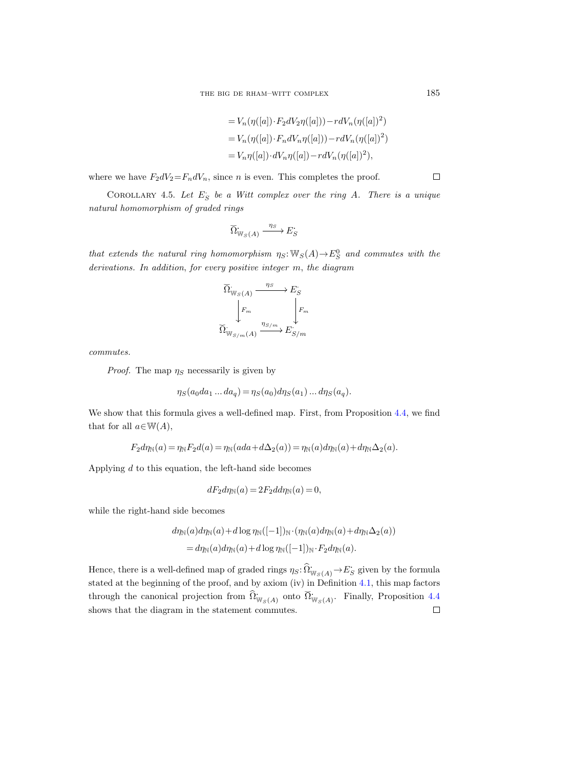$$
= V_n(\eta([a]) \cdot F_2 dV_2 \eta([a])) - r dV_n(\eta([a])^2)
$$
  
=  $V_n(\eta([a]) \cdot F_n dV_n \eta([a])) - r dV_n(\eta([a])^2)$   
=  $V_n \eta([a]) \cdot dV_n \eta([a]) - r dV_n(\eta([a])^2)$ ,

where we have  $F_2dV_2 = F_ndV_n$ , since *n* is even. This completes the proof.

<span id="page-50-0"></span>COROLLARY 4.5. Let  $E_S$  be a Witt complex over the ring A. There is a unique natural homomorphism of graded rings

$$
\widecheck{\Omega}^{\boldsymbol{\cdot}}_{\mathbb{W}_S(A)} \xrightarrow{\eta_S} E^{\boldsymbol{\cdot}}_S
$$

that extends the natural ring homomorphism  $\eta_S: \mathbb{W}_S(A) \to E^0_S$  and commutes with the derivations. In addition, for every positive integer m, the diagram

$$
\begin{array}{ccc}\n\widetilde{\Omega}_{\mathbb{W}_S(A)} & \xrightarrow{\eta_S} & E_S \\
\Big\downarrow F_m & & \Big\downarrow F_m \\
\widetilde{\Omega}_{\mathbb{W}_{S/m}(A)} & \xrightarrow{\eta_{S/m}} & E_{S/m}.\n\end{array}
$$

commutes.

*Proof.* The map  $\eta_s$  necessarily is given by

$$
\eta_S(a_0da_1\ldots da_q) = \eta_S(a_0)d\eta_S(a_1)\ldots d\eta_S(a_q).
$$

We show that this formula gives a well-defined map. First, from Proposition [4.4,](#page-48-0) we find that for all  $a \in W(A)$ ,

$$
F_2 d\eta_{\mathbb{N}}(a) = \eta_{\mathbb{N}} F_2 d(a) = \eta_{\mathbb{N}}(ada + d\Delta_2(a)) = \eta_{\mathbb{N}}(a) d\eta_{\mathbb{N}}(a) + d\eta_{\mathbb{N}}\Delta_2(a).
$$

Applying  $d$  to this equation, the left-hand side becomes

$$
dF_2d\eta_{\mathbb{N}}(a) = 2F_2dd\eta_{\mathbb{N}}(a) = 0,
$$

while the right-hand side becomes

$$
d\eta_{\mathbb{N}}(a)d\eta_{\mathbb{N}}(a) + d\log \eta_{\mathbb{N}}([-1])_{\mathbb{N}} \cdot (\eta_{\mathbb{N}}(a)d\eta_{\mathbb{N}}(a) + d\eta_{\mathbb{N}}\Delta_2(a))
$$
  
= 
$$
d\eta_{\mathbb{N}}(a)d\eta_{\mathbb{N}}(a) + d\log \eta_{\mathbb{N}}([-1])_{\mathbb{N}} \cdot F_2 d\eta_{\mathbb{N}}(a).
$$

Hence, there is a well-defined map of graded rings  $\eta_S: \widehat{\Omega}_{\mathbb{W}_S(A)} \to E_S$  given by the formula stated at the beginning of the proof, and by axiom (iv) in Definition [4.1,](#page-43-0) this map factors through the canonical projection from  $\hat{\Omega}_{W_S(A)}^{\cdot}$  onto  $\check{\Omega}_{W_S(A)}^{\cdot}$ . Finally, Proposition [4.4](#page-48-0) shows that the diagram in the statement commutes. $\Box$ 

 $\Box$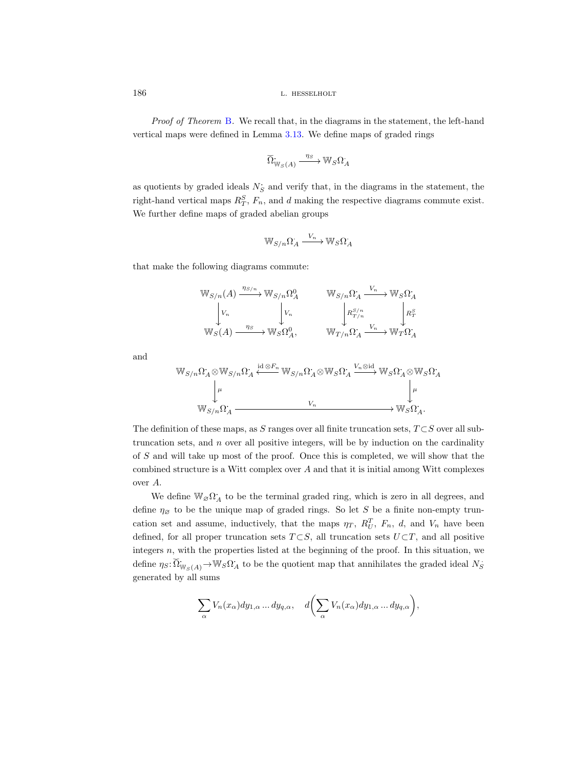Proof of Theorem [B](#page-3-0). We recall that, in the diagrams in the statement, the left-hand vertical maps were defined in Lemma [3.13.](#page-42-1) We define maps of graded rings

$$
\overline{\Omega}_{\mathbb{W}_S(A)} \xrightarrow{\eta_S} \mathbb{W}_S \Omega_A.
$$

as quotients by graded ideals  $N_S$  and verify that, in the diagrams in the statement, the right-hand vertical maps  $R_T^S$ ,  $F_n$ , and d making the respective diagrams commute exist. We further define maps of graded abelian groups

$$
\mathbb{W}_{S/n}\Omega^{\cdot}_{A} \xrightarrow{V_n} \mathbb{W}_{S}\Omega^{\cdot}_{A}
$$

that make the following diagrams commute:

$$
\begin{array}{ccc}\mathbb{W}_{S/n}(A) & \xrightarrow{\eta_{S/n}} \mathbb{W}_{S/n}\Omega_A^0 & \mathbb{W}_{S/n}\Omega_A \xrightarrow{V_n} \mathbb{W}_S\Omega_A^{\bullet} \\
\downarrow V_n & \downarrow V_n & \downarrow R_{T/n}^{S/n} & \downarrow R_T^S \\
\mathbb{W}_S(A) & \xrightarrow{\eta_S} \mathbb{W}_S\Omega_A^0, & \mathbb{W}_{T/n}\Omega_A^{\bullet} \xrightarrow{V_n} \mathbb{W}_T\Omega_A^{\bullet}\n\end{array}
$$

and

$$
\mathbb{W}_{S/n}\Omega_A\otimes\mathbb{W}_{S/n}\Omega_A' \xleftarrow{\text{id}\otimes F_n}\mathbb{W}_{S/n}\Omega_A\otimes\mathbb{W}_S\Omega_A' \xrightarrow{V_n\otimes\text{id}}\mathbb{W}_S\Omega_A'\otimes\mathbb{W}_S\Omega_A'
$$
  
\n
$$
\downarrow^{\mu}
$$
  
\n
$$
\mathbb{W}_{S/n}\Omega_A \xrightarrow{V_n} \mathbb{W}_S\Omega_A.
$$

The definition of these maps, as S ranges over all finite truncation sets,  $T \subset S$  over all subtruncation sets, and  $n$  over all positive integers, will be by induction on the cardinality of S and will take up most of the proof. Once this is completed, we will show that the combined structure is a Witt complex over A and that it is initial among Witt complexes over A.

We define  $\mathbb{W}_{\varnothing}\Omega_A^*$  to be the terminal graded ring, which is zero in all degrees, and define  $\eta_{\emptyset}$  to be the unique map of graded rings. So let S be a finite non-empty truncation set and assume, inductively, that the maps  $\eta_T$ ,  $R_U^T$ ,  $F_n$ , d, and  $V_n$  have been defined, for all proper truncation sets  $T \subset S$ , all truncation sets  $U \subset T$ , and all positive integers  $n$ , with the properties listed at the beginning of the proof. In this situation, we define  $\eta_S: \widetilde{\Omega}_{\mathbb{W}_S(A)}^{\bullet} \to \mathbb{W}_S \Omega_A^{\bullet}$  to be the quotient map that annihilates the graded ideal  $N_S^{\bullet}$ generated by all sums

$$
\sum_{\alpha} V_n(x_{\alpha}) dy_{1,\alpha} \dots dy_{q,\alpha}, \quad d\bigg(\sum_{\alpha} V_n(x_{\alpha}) dy_{1,\alpha} \dots dy_{q,\alpha}\bigg),
$$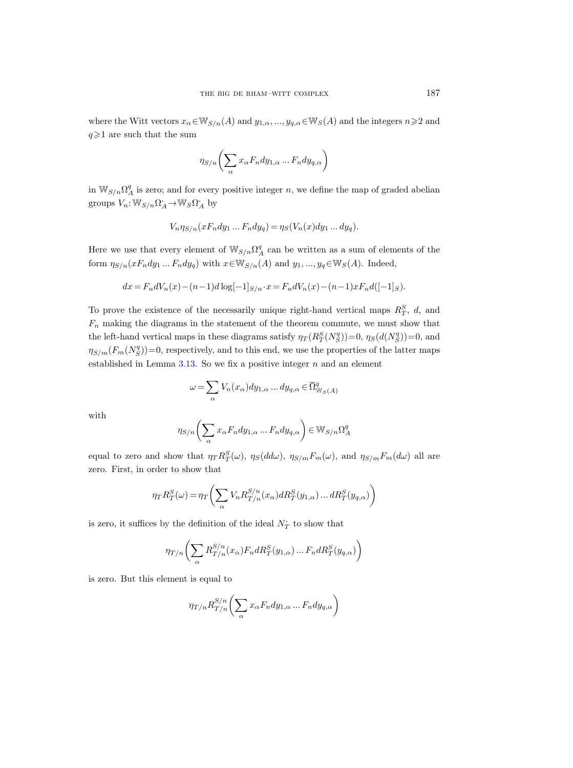where the Witt vectors  $x_{\alpha} \in W_{S/n}(A)$  and  $y_{1,\alpha}, ..., y_{q,\alpha} \in W_S(A)$  and the integers  $n \geq 2$  and  $q\geqslant 1$  are such that the sum

$$
\eta_{S/n}\biggl(\sum_{\alpha}x_{\alpha}F_ndy_{1,\alpha}\ldots F_ndy_{q,\alpha}\biggr)
$$

in  $\mathbb{W}_{S/n}\Omega^q_A$  is zero; and for every positive integer n, we define the map of graded abelian groups  $V_n: \mathbb{W}_{S/n}\Omega_A^* \to \mathbb{W}_S \Omega_A^*$  by

$$
V_n \eta_{S/n}(xF_n dy_1 \dots F_n dy_q) = \eta_S(V_n(x) dy_1 \dots dy_q).
$$

Here we use that every element of  $\mathbb{W}_{S/n}\Omega^q_A$  can be written as a sum of elements of the form  $\eta_{S/n}(xF_ndy_1...F_ndy_q)$  with  $x\in W_{S/n}(A)$  and  $y_1,...,y_q\in W_S(A)$ . Indeed,

$$
dx = F_ndV_n(x) - (n-1)d\log[-1]_{S/n} \cdot x = F_ndV_n(x) - (n-1)xF_nd([-1]_S).
$$

To prove the existence of the necessarily unique right-hand vertical maps  $R_T^S$ , d, and  $F_n$  making the diagrams in the statement of the theorem commute, we must show that the left-hand vertical maps in these diagrams satisfy  $\eta_T(R_T^S(N_S^q))=0$ ,  $\eta_S(d(N_S^q))=0$ , and  $\eta_{S/m}(F_m(N_S^q))=0$ , respectively, and to this end, we use the properties of the latter maps established in Lemma  $3.13$ . So we fix a positive integer n and an element

$$
\omega=\sum_\alpha V_n(x_\alpha) dy_{1,\alpha}\dots dy_{q,\alpha}\in{\widetilde{\Omega}}^q_{\mathbb{W}_S(A)}
$$

with

$$
\eta_{S/n}\bigg(\sum_{\alpha}x_{\alpha}F_ndy_{1,\alpha}\ldots F_ndy_{q,\alpha}\bigg)\in \mathbb{W}_{S/n}\Omega^q_A
$$

equal to zero and show that  $\eta_T R_T^S(\omega)$ ,  $\eta_S(d d\omega)$ ,  $\eta_{S/m} F_m(\omega)$ , and  $\eta_{S/m} F_m(d\omega)$  all are zero. First, in order to show that

$$
\eta_T R_T^S(\omega) = \eta_T \Bigg(\sum_{\alpha} V_n R_{T/n}^{S/n}(x_\alpha) dR_T^S(y_{1,\alpha}) \dots dR_T^S(y_{q,\alpha}) \Bigg)
$$

is zero, it suffices by the definition of the ideal  $N_T^{\star}$  to show that

$$
\eta_{T/n}\bigg(\sum_{\alpha}R^{S/n}_{T/n}(x_{\alpha})F_ndR^S_T(y_{1,\alpha})\ldots F_ndR^S_T(y_{q,\alpha})\bigg)
$$

is zero. But this element is equal to

$$
\eta_{T/n} R_{T/n}^{S/n} \bigg( \sum_{\alpha} x_{\alpha} F_n dy_{1,\alpha} \dots F_n dy_{q,\alpha} \bigg)
$$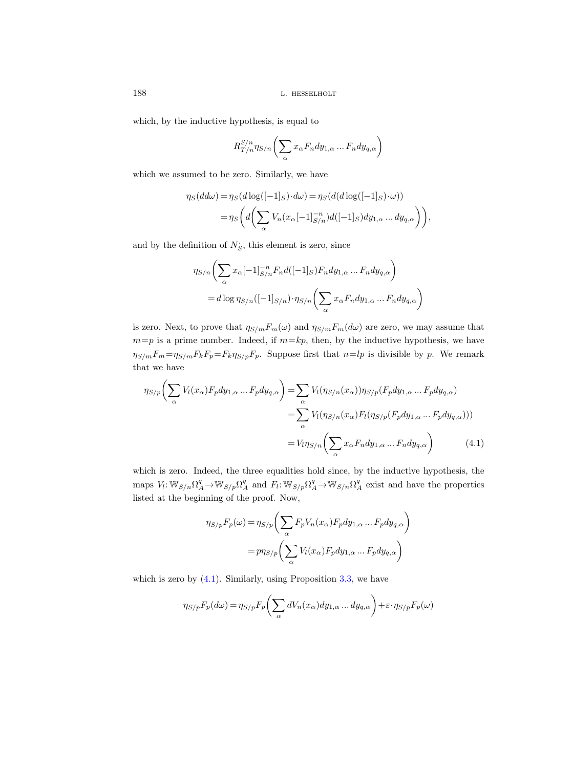which, by the inductive hypothesis, is equal to

$$
R_{T/n}^{S/n} \eta_{S/n} \bigg( \sum_{\alpha} x_{\alpha} F_n dy_{1,\alpha} \dots F_n dy_{q,\alpha} \bigg)
$$

which we assumed to be zero. Similarly, we have

$$
\eta_S(d d\omega) = \eta_S(d \log([-1]_S) \cdot d\omega) = \eta_S(d(d \log([-1]_S) \cdot \omega))
$$
  
= 
$$
\eta_S\left(d\left(\sum_{\alpha} V_n(x_{\alpha}[-1]_{S/n}^{-n}) d([-1]_S) dy_{1,\alpha} \dots dy_{q,\alpha}\right)\right),
$$

and by the definition of  $N_S$ , this element is zero, since

$$
\eta_{S/n}\bigg(\sum_{\alpha} x_{\alpha}[-1]_{S/n}^{-n}F_nd([-1]_S)F_ndy_{1,\alpha} \dots F_ndy_{q,\alpha}\bigg)
$$

$$
=d\log\eta_{S/n}([-1]_{S/n})\cdot\eta_{S/n}\bigg(\sum_{\alpha} x_{\alpha}F_ndy_{1,\alpha} \dots F_ndy_{q,\alpha}\bigg)
$$

is zero. Next, to prove that  $\eta_{S/m}F_m(\omega)$  and  $\eta_{S/m}F_m(d\omega)$  are zero, we may assume that  $m=p$  is a prime number. Indeed, if  $m=kp$ , then, by the inductive hypothesis, we have  $\eta_{S/m}F_m=\eta_{S/m}F_kF_p=F_k\eta_{S/p}F_p$ . Suppose first that  $n=lp$  is divisible by p. We remark that we have

$$
\eta_{S/p}\bigg(\sum_{\alpha} V_l(x_{\alpha})F_p dy_{1,\alpha} \dots F_p dy_{q,\alpha}\bigg) = \sum_{\alpha} V_l(\eta_{S/n}(x_{\alpha}))\eta_{S/p}(F_p dy_{1,\alpha} \dots F_p dy_{q,\alpha})
$$

$$
= \sum_{\alpha} V_l(\eta_{S/n}(x_{\alpha})F_l(\eta_{S/p}(F_p dy_{1,\alpha} \dots F_p dy_{q,\alpha})))
$$

$$
= V_l \eta_{S/n}\bigg(\sum_{\alpha} x_{\alpha}F_n dy_{1,\alpha} \dots F_n dy_{q,\alpha}\bigg) \tag{4.1}
$$

which is zero. Indeed, the three equalities hold since, by the inductive hypothesis, the maps  $V_l: \mathbb{W}_{S/n}\Omega^q_A \to \mathbb{W}_{S/p}\Omega^q_A$  and  $F_l: \mathbb{W}_{S/p}\Omega^q_A \to \mathbb{W}_{S/n}\Omega^q_A$  exist and have the properties listed at the beginning of the proof. Now,

<span id="page-53-0"></span>
$$
\eta_{S/p}F_p(\omega) = \eta_{S/p}\left(\sum_{\alpha} F_p V_n(x_{\alpha}) F_p dy_{1,\alpha} \dots F_p dy_{q,\alpha}\right)
$$

$$
= p\eta_{S/p}\left(\sum_{\alpha} V_l(x_{\alpha}) F_p dy_{1,\alpha} \dots F_p dy_{q,\alpha}\right)
$$

which is zero by  $(4.1)$ . Similarly, using Proposition [3.3,](#page-35-1) we have

$$
\eta_{S/p}F_p(d\omega) = \eta_{S/p}F_p\bigg(\sum_{\alpha} dV_n(x_{\alpha})dy_{1,\alpha} \dots dy_{q,\alpha}\bigg) + \varepsilon \cdot \eta_{S/p}F_p(\omega)
$$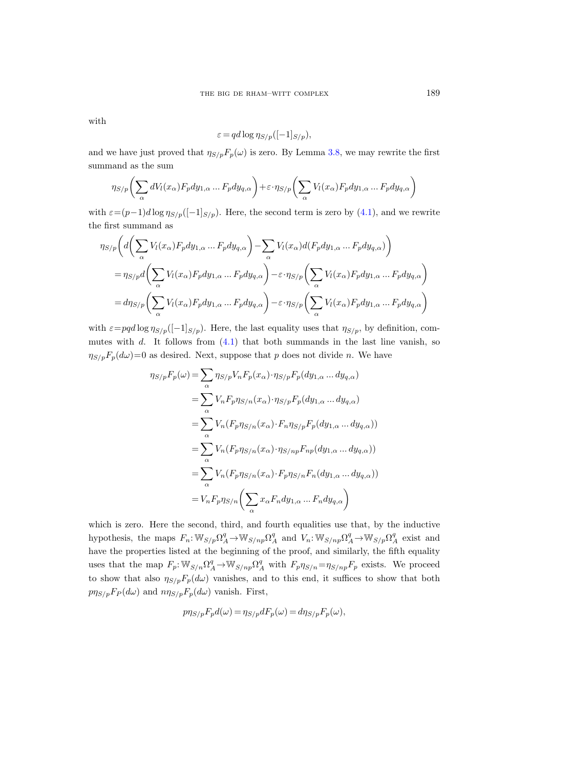with

$$
\varepsilon = qd \log \eta_{S/p}([-1]_{S/p}),
$$

and we have just proved that  $\eta_{S/p}F_p(\omega)$  is zero. By Lemma [3.8,](#page-40-0) we may rewrite the first summand as the sum

$$
\eta_{S/p}\bigg(\sum_{\alpha} dV_l(x_{\alpha}) F_p dy_{1,\alpha} \dots F_p dy_{q,\alpha}\bigg) + \varepsilon \cdot \eta_{S/p}\bigg(\sum_{\alpha} V_l(x_{\alpha}) F_p dy_{1,\alpha} \dots F_p dy_{q,\alpha}\bigg)
$$

with  $\varepsilon=(p-1)d\log\eta_{S/p}([-1]_{S/p})$ . Here, the second term is zero by [\(4.1\)](#page-53-0), and we rewrite the first summand as

$$
\eta_{S/p}\bigg(d\bigg(\sum_{\alpha}V_l(x_{\alpha})F_pdy_{1,\alpha} \dots F_pdy_{q,\alpha}\bigg) - \sum_{\alpha}V_l(x_{\alpha})d(F_pdy_{1,\alpha} \dots F_pdy_{q,\alpha})\bigg)
$$
  

$$
= \eta_{S/p}d\bigg(\sum_{\alpha}V_l(x_{\alpha})F_pdy_{1,\alpha} \dots F_pdy_{q,\alpha}\bigg) - \varepsilon \cdot \eta_{S/p}\bigg(\sum_{\alpha}V_l(x_{\alpha})F_pdy_{1,\alpha} \dots F_pdy_{q,\alpha}\bigg)
$$
  

$$
= d\eta_{S/p}\bigg(\sum_{\alpha}V_l(x_{\alpha})F_pdy_{1,\alpha} \dots F_pdy_{q,\alpha}\bigg) - \varepsilon \cdot \eta_{S/p}\bigg(\sum_{\alpha}V_l(x_{\alpha})F_pdy_{1,\alpha} \dots F_pdy_{q,\alpha}\bigg)
$$

with  $\varepsilon=pqd\log\eta_{S/p}([-1]_{S/p})$ . Here, the last equality uses that  $\eta_{S/p}$ , by definition, commutes with  $d$ . It follows from  $(4.1)$  that both summands in the last line vanish, so  $\eta_{S/p}F_p(d\omega)=0$  as desired. Next, suppose that p does not divide n. We have

$$
\eta_{S/p}F_p(\omega) = \sum_{\alpha} \eta_{S/p} V_n F_p(x_{\alpha}) \cdot \eta_{S/p} F_p(dy_{1,\alpha} \dots dy_{q,\alpha})
$$
  
\n
$$
= \sum_{\alpha} V_n F_p \eta_{S/n}(x_{\alpha}) \cdot \eta_{S/p} F_p(dy_{1,\alpha} \dots dy_{q,\alpha})
$$
  
\n
$$
= \sum_{\alpha} V_n(F_p \eta_{S/n}(x_{\alpha}) \cdot F_n \eta_{S/p} F_p(dy_{1,\alpha} \dots dy_{q,\alpha}))
$$
  
\n
$$
= \sum_{\alpha} V_n(F_p \eta_{S/n}(x_{\alpha}) \cdot \eta_{S/np} F_{np}(dy_{1,\alpha} \dots dy_{q,\alpha}))
$$
  
\n
$$
= \sum_{\alpha} V_n(F_p \eta_{S/n}(x_{\alpha}) \cdot F_p \eta_{S/n} F_n(dy_{1,\alpha} \dots dy_{q,\alpha}))
$$
  
\n
$$
= V_n F_p \eta_{S/n} \left( \sum_{\alpha} x_{\alpha} F_n dy_{1,\alpha} \dots F_n dy_{q,\alpha} \right)
$$

which is zero. Here the second, third, and fourth equalities use that, by the inductive hypothesis, the maps  $F_n: \mathbb{W}_{S/p}\Omega^q_A \to \mathbb{W}_{S/np}\Omega^q_A$  and  $V_n: \mathbb{W}_{S/np}\Omega^q_A \to \mathbb{W}_{S/p}\Omega^q_A$  exist and have the properties listed at the beginning of the proof, and similarly, the fifth equality uses that the map  $F_p: \mathbb{W}_{S/n} \Omega^q_A \to \mathbb{W}_{S/np} \Omega^q_A$  with  $F_p \eta_{S/n} = \eta_{S/np} F_p$  exists. We proceed to show that also  $\eta_{S/p}F_p(d\omega)$  vanishes, and to this end, it suffices to show that both  $p\eta_{S/p}F_P(d\omega)$  and  $n\eta_{S/p}F_p(d\omega)$  vanish. First,

$$
p\eta_{S/p}F_p d(\omega) = \eta_{S/p}dF_p(\omega) = d\eta_{S/p}F_p(\omega),
$$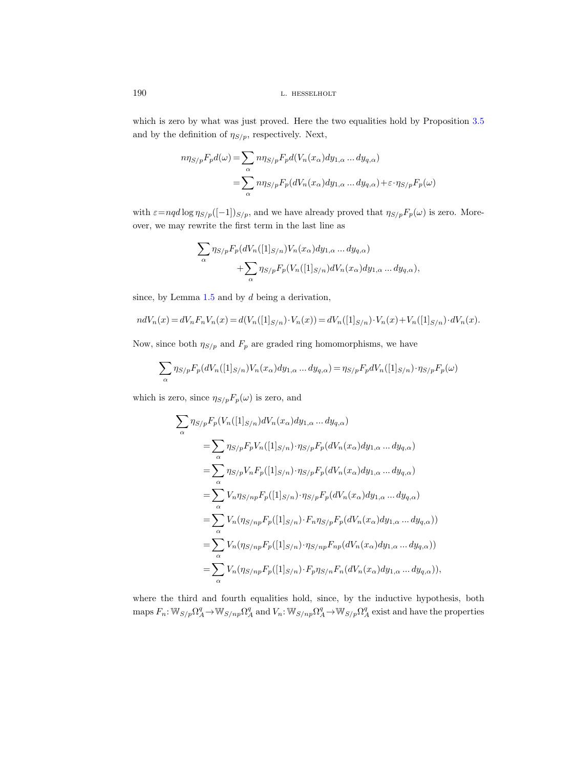which is zero by what was just proved. Here the two equalities hold by Proposition [3.5](#page-37-0) and by the definition of  $\eta_{S/p}$ , respectively. Next,

$$
n\eta_{S/p}F_p d(\omega) = \sum_{\alpha} n\eta_{S/p}F_p d(V_n(x_{\alpha})dy_{1,\alpha} \dots dy_{q,\alpha})
$$
  
= 
$$
\sum_{\alpha} n\eta_{S/p}F_p (dV_n(x_{\alpha})dy_{1,\alpha} \dots dy_{q,\alpha}) + \varepsilon \cdot \eta_{S/p}F_p(\omega)
$$

with  $\varepsilon = nq d \log \eta_{S/p}([-1])_{S/p}$ , and we have already proved that  $\eta_{S/p}F_p(\omega)$  is zero. Moreover, we may rewrite the first term in the last line as

$$
\sum_{\alpha} \eta_{S/p} F_p(dV_n([1]_{S/n})V_n(x_{\alpha}) dy_{1,\alpha} \dots dy_{q,\alpha}) + \sum_{\alpha} \eta_{S/p} F_p(V_n([1]_{S/n}) dV_n(x_{\alpha}) dy_{1,\alpha} \dots dy_{q,\alpha}),
$$

since, by Lemma  $1.5$  and by  $d$  being a derivation,

$$
ndV_n(x) = dV_nF_nV_n(x) = d(V_n([1]_{S/n}) \cdot V_n(x)) = dV_n([1]_{S/n}) \cdot V_n(x) + V_n([1]_{S/n}) \cdot dV_n(x).
$$

Now, since both  $\eta_{S/p}$  and  $F_p$  are graded ring homomorphisms, we have

$$
\sum_{\alpha} \eta_{S/p} F_p(dV_n([1]_{S/n})V_n(x_{\alpha}) dy_{1,\alpha} \dots dy_{q,\alpha}) = \eta_{S/p} F_p dV_n([1]_{S/n}) \cdot \eta_{S/p} F_p(\omega)
$$

which is zero, since  $\eta_{S/p}F_p(\omega)$  is zero, and

$$
\sum_{\alpha} \eta_{S/p} F_p(V_n([1]_{S/n}) dV_n(x_{\alpha}) dy_{1,\alpha} \dots dy_{q,\alpha})
$$
  
\n
$$
= \sum_{\alpha} \eta_{S/p} F_pV_n([1]_{S/n}) \cdot \eta_{S/p} F_p(dV_n(x_{\alpha}) dy_{1,\alpha} \dots dy_{q,\alpha})
$$
  
\n
$$
= \sum_{\alpha} \eta_{S/p} V_n F_p([1]_{S/n}) \cdot \eta_{S/p} F_p(dV_n(x_{\alpha}) dy_{1,\alpha} \dots dy_{q,\alpha})
$$
  
\n
$$
= \sum_{\alpha} V_n \eta_{S/np} F_p([1]_{S/n}) \cdot \eta_{S/p} F_p(dV_n(x_{\alpha}) dy_{1,\alpha} \dots dy_{q,\alpha})
$$
  
\n
$$
= \sum_{\alpha} V_n(\eta_{S/np} F_p([1]_{S/n}) \cdot F_n \eta_{S/p} F_p(dV_n(x_{\alpha}) dy_{1,\alpha} \dots dy_{q,\alpha}))
$$
  
\n
$$
= \sum_{\alpha} V_n(\eta_{S/np} F_p([1]_{S/n}) \cdot \eta_{S/np} F_{np}(dV_n(x_{\alpha}) dy_{1,\alpha} \dots dy_{q,\alpha})),
$$
  
\n
$$
= \sum_{\alpha} V_n(\eta_{S/np} F_p([1]_{S/n}) \cdot F_p \eta_{S/n} F_n(dV_n(x_{\alpha}) dy_{1,\alpha} \dots dy_{q,\alpha})),
$$

where the third and fourth equalities hold, since, by the inductive hypothesis, both maps  $F_n: \mathbb{W}_{S/p}\Omega^q_A \to \mathbb{W}_{S/np}\Omega^q_A$  and  $V_n: \mathbb{W}_{S/np}\Omega^q_A \to \mathbb{W}_{S/p}\Omega^q_A$  exist and have the properties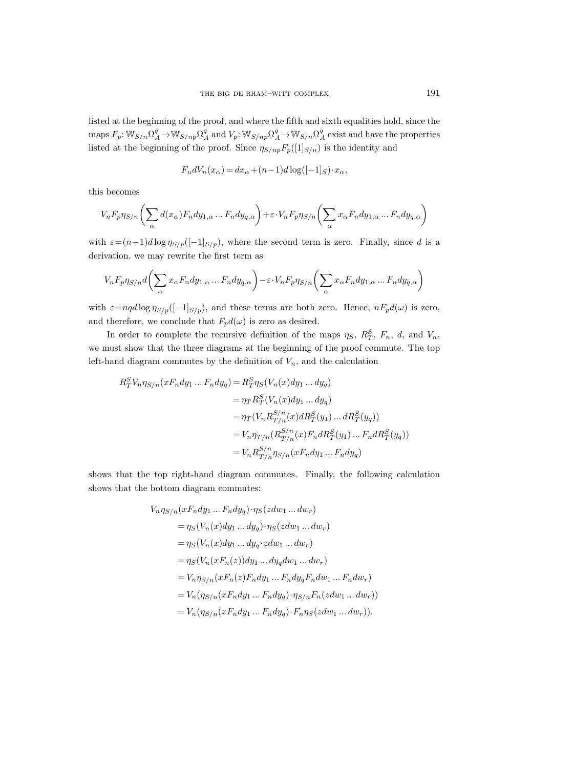listed at the beginning of the proof, and where the fifth and sixth equalities hold, since the maps  $F_p: \mathbb{W}_{S/n} \Omega^q_A \to \mathbb{W}_{S/np} \Omega^q_A$  and  $V_p: \mathbb{W}_{S/np} \Omega^q_A \to \mathbb{W}_{S/n} \Omega^q_A$  exist and have the properties listed at the beginning of the proof. Since  $\eta_{S/np}F_p([1]_{S/n})$  is the identity and

$$
F_n dV_n(x_\alpha) = dx_\alpha + (n-1)d\log([-1]_S) \cdot x_\alpha,
$$

this becomes

$$
V_nF_p\eta_{S/n}\bigg(\sum_{\alpha}d(x_{\alpha})F_ndy_{1,\alpha}\ldots F_ndy_{q,\alpha}\bigg)+\varepsilon\cdot V_nF_p\eta_{S/n}\bigg(\sum_{\alpha}x_{\alpha}F_ndy_{1,\alpha}\ldots F_ndy_{q,\alpha}\bigg)
$$

with  $\varepsilon=(n-1)d\log\eta_{S/p}([-1]_{S/p})$ , where the second term is zero. Finally, since d is a derivation, we may rewrite the first term as

$$
V_nF_p\eta_{S/n}d\bigg(\sum_{\alpha}x_{\alpha}F_ndy_{1,\alpha}\ldots F_ndy_{q,\alpha}\bigg)-\varepsilon\cdot V_nF_p\eta_{S/n}\bigg(\sum_{\alpha}x_{\alpha}F_ndy_{1,\alpha}\ldots F_ndy_{q,\alpha}\bigg)
$$

with  $\varepsilon=nq d\log \eta_{S/p}([-1]_{S/p})$ , and these terms are both zero. Hence,  $nF_p d(\omega)$  is zero, and therefore, we conclude that  $F_p d(\omega)$  is zero as desired.

In order to complete the recursive definition of the maps  $\eta_S$ ,  $R_T^S$ ,  $F_n$ , d, and  $V_n$ , we must show that the three diagrams at the beginning of the proof commute. The top left-hand diagram commutes by the definition of  $V_n$ , and the calculation

$$
R_T^S V_n \eta_{S/n} (xF_n dy_1 \dots F_n dy_q) = R_T^S \eta_S (V_n(x) dy_1 \dots dy_q)
$$
  
=  $\eta_T R_T^S (V_n(x) dy_1 \dots dy_q)$   
=  $\eta_T (V_n R_{T/n}^{S/n}(x) dR_T^S(y_1) \dots dR_T^S(y_q))$   
=  $V_n \eta_{T/n} (R_{T/n}^{S/n}(x) F_n dR_T^S(y_1) \dots F_n dR_T^S(y_q))$   
=  $V_n R_{T/n}^{S/n} \eta_{S/n}(xF_n dy_1 \dots F_n dy_q)$ 

shows that the top right-hand diagram commutes. Finally, the following calculation shows that the bottom diagram commutes:

$$
V_n \eta_{S/n}(xF_n dy_1 \dots F_n dy_q) \cdot \eta_S( zdw_1 \dots dw_r)
$$
  
=  $\eta_S(V_n(x)dy_1 \dots dy_q) \cdot \eta_S( zdw_1 \dots dw_r)$   
=  $\eta_S(V_n(x)dy_1 \dots dy_q \cdot zdw_1 \dots dw_r)$   
=  $\eta_S(V_n(xF_n(z))dy_1 \dots dy_q dw_1 \dots dw_r)$   
=  $V_n \eta_{S/n}(xF_n(z)F_n dy_1 \dots F_n dy_qF_n dw_1 \dots F_n dw_r)$   
=  $V_n(\eta_{S/n}(xF_n dy_1 \dots F_n dy_q) \cdot \eta_{S/n}F_n(zdw_1 \dots dw_r))$   
=  $V_n(\eta_{S/n}(xF_n dy_1 \dots F_n dy_q) \cdot F_n \eta_S( zdw_1 \dots dw_r)).$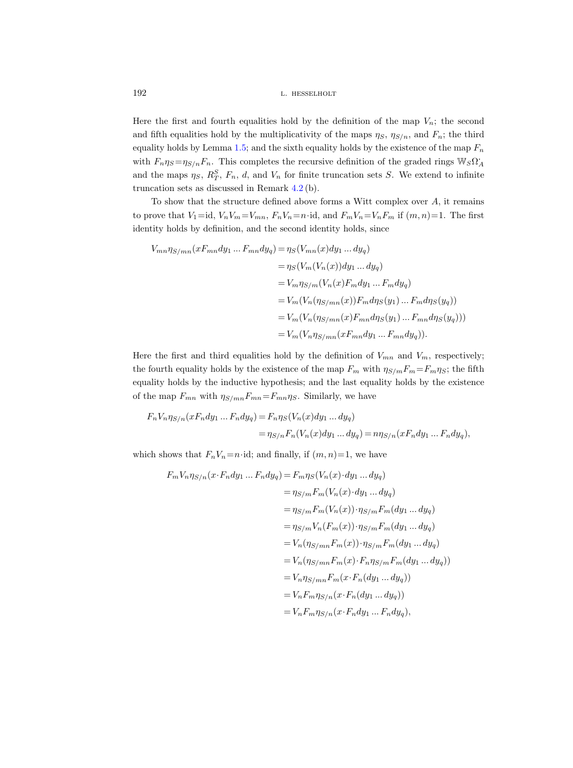Here the first and fourth equalities hold by the definition of the map  $V_n$ ; the second and fifth equalities hold by the multiplicativity of the maps  $\eta_S$ ,  $\eta_{S/n}$ , and  $F_n$ ; the third equality holds by Lemma [1.5;](#page-8-0) and the sixth equality holds by the existence of the map  $F_n$ with  $F_n \eta_S = \eta_{S/n} F_n$ . This completes the recursive definition of the graded rings  $\mathbb{W}_S \Omega_A^*$ and the maps  $\eta_S$ ,  $R_T^S$ ,  $F_n$ , d, and  $V_n$  for finite truncation sets S. We extend to infinite truncation sets as discussed in Remark [4.2](#page-44-0) (b).

To show that the structure defined above forms a Witt complex over  $A$ , it remains to prove that  $V_1 = id$ ,  $V_n V_m = V_{mn}$ ,  $F_n V_n = n \cdot id$ , and  $F_m V_n = V_n F_m$  if  $(m, n) = 1$ . The first identity holds by definition, and the second identity holds, since

$$
V_{mn}\eta_{S/mn}(xF_{mn}dy_1...F_{mn}dy_q) = \eta_S(V_{mn}(x)dy_1...dy_q)
$$
  
\n
$$
= \eta_S(V_m(V_n(x))dy_1...dy_q)
$$
  
\n
$$
= V_m\eta_{S/m}(V_n(x)F_mdy_1...F_mdy_q)
$$
  
\n
$$
= V_m(V_n(\eta_{S/mn}(x))F_m d\eta_S(y_1)...F_m d\eta_S(y_q))
$$
  
\n
$$
= V_m(V_n(\eta_{S/mn}(x)F_{mn}d\eta_S(y_1)...F_{mn}d\eta_S(y_q)))
$$
  
\n
$$
= V_m(V_n\eta_{S/mn}(xF_{mn}dy_1...F_{mn}dy_q)).
$$

Here the first and third equalities hold by the definition of  $V_{mn}$  and  $V_m$ , respectively; the fourth equality holds by the existence of the map  $F_m$  with  $\eta_{S/m}F_m = F_m \eta_S$ ; the fifth equality holds by the inductive hypothesis; and the last equality holds by the existence of the map  $F_{mn}$  with  $\eta_{S/mn}F_{mn}=F_{mn}\eta_S$ . Similarly, we have

$$
F_n V_n \eta_{S/n} (x F_n dy_1 \dots F_n dy_q) = F_n \eta_S (V_n(x) dy_1 \dots dy_q)
$$
  
= 
$$
\eta_{S/n} F_n (V_n(x) dy_1 \dots dy_q) = n \eta_{S/n} (x F_n dy_1 \dots F_n dy_q),
$$

which shows that  $F_nV_n=n\cdot{\rm id}$ ; and finally, if  $(m, n)=1$ , we have

$$
F_m V_n \eta_{S/n}(x \cdot F_n dy_1 \dots F_n dy_q) = F_m \eta_S(V_n(x) \cdot dy_1 \dots dy_q)
$$
  
\n
$$
= \eta_{S/m} F_m(V_n(x) \cdot dy_1 \dots dy_q)
$$
  
\n
$$
= \eta_{S/m} F_m(V_n(x)) \cdot \eta_{S/m} F_m(dy_1 \dots dy_q)
$$
  
\n
$$
= \eta_{S/m} V_n(F_m(x)) \cdot \eta_{S/m} F_m(dy_1 \dots dy_q)
$$
  
\n
$$
= V_n(\eta_{S/mn} F_m(x)) \cdot \eta_{S/m} F_m(dy_1 \dots dy_q)
$$
  
\n
$$
= V_n(\eta_{S/mn} F_m(x) \cdot F_n \eta_{S/m} F_m(dy_1 \dots dy_q))
$$
  
\n
$$
= V_n \eta_{S/mn} F_m(x \cdot F_n(dy_1 \dots dy_q))
$$
  
\n
$$
= V_n F_m \eta_{S/n}(x \cdot F_n(dy_1 \dots dy_q))
$$
  
\n
$$
= V_n F_m \eta_{S/n}(x \cdot F_n dy_1 \dots F_n dy_q),
$$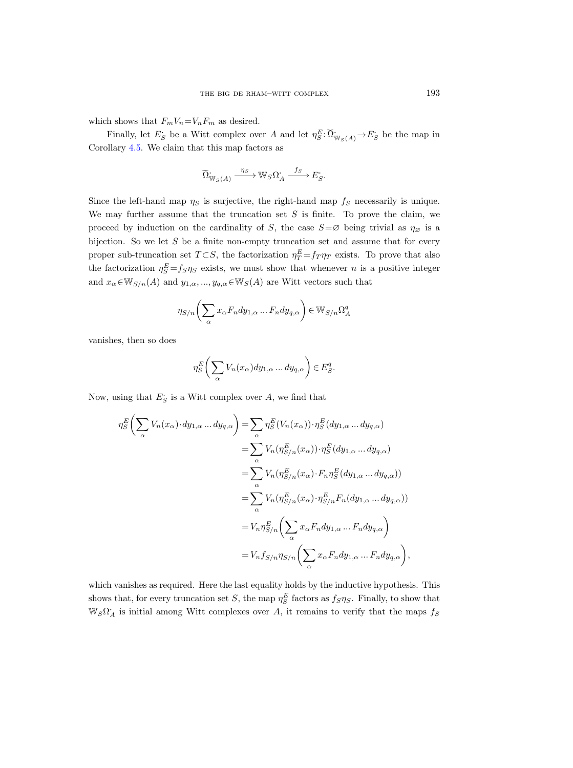which shows that  $F_mV_n=V_nF_m$  as desired.

Finally, let  $E_S$  be a Witt complex over A and let  $\eta_S^E: \Omega^{\bullet}_{\mathbb{W}_S(A)} \to E_S^{\bullet}$  be the map in Corollary [4.5.](#page-50-0) We claim that this map factors as

$$
\widetilde{\Omega}_{\mathbb{W}_S(A)} \xrightarrow{\eta_S} \mathbb{W}_S \Omega_A \xrightarrow{f_S} E_S^*.
$$

Since the left-hand map  $\eta_S$  is surjective, the right-hand map  $f_S$  necessarily is unique. We may further assume that the truncation set  $S$  is finite. To prove the claim, we proceed by induction on the cardinality of S, the case  $S = \varnothing$  being trivial as  $\eta_{\varnothing}$  is a bijection. So we let  $S$  be a finite non-empty truncation set and assume that for every proper sub-truncation set  $T \subset S$ , the factorization  $\eta_T^E = f_T \eta_T$  exists. To prove that also the factorization  $\eta_S^E = f_S \eta_S$  exists, we must show that whenever *n* is a positive integer and  $x_{\alpha} \in W_{S/n}(A)$  and  $y_{1,\alpha},...,y_{q,\alpha} \in W_S(A)$  are Witt vectors such that

$$
\eta_{S/n}\bigg(\sum_{\alpha}x_{\alpha}F_ndy_{1,\alpha}\ldots F_ndy_{q,\alpha}\bigg) \in W_{S/n}\Omega^q_A
$$

vanishes, then so does

$$
\eta_S^E\bigg(\sum_{\alpha} V_n(x_{\alpha}) dy_{1,\alpha} \dots dy_{q,\alpha}\bigg) \in E_S^q.
$$

Now, using that  $E_S$  is a Witt complex over A, we find that

$$
\eta_S^E \bigg( \sum_{\alpha} V_n(x_{\alpha}) \cdot dy_{1,\alpha} \dots dy_{q,\alpha} \bigg) = \sum_{\alpha} \eta_S^E (V_n(x_{\alpha})) \cdot \eta_S^E (dy_{1,\alpha} \dots dy_{q,\alpha})
$$
  
\n
$$
= \sum_{\alpha} V_n(\eta_{S/n}^E(x_{\alpha})) \cdot \eta_S^E (dy_{1,\alpha} \dots dy_{q,\alpha})
$$
  
\n
$$
= \sum_{\alpha} V_n(\eta_{S/n}^E(x_{\alpha}) \cdot F_n \eta_S^E (dy_{1,\alpha} \dots dy_{q,\alpha}))
$$
  
\n
$$
= \sum_{\alpha} V_n(\eta_{S/n}^E(x_{\alpha}) \cdot \eta_{S/n}^E F_n (dy_{1,\alpha} \dots dy_{q,\alpha}))
$$
  
\n
$$
= V_n \eta_{S/n}^E \bigg( \sum_{\alpha} x_{\alpha} F_n dy_{1,\alpha} \dots F_n dy_{q,\alpha} \bigg)
$$
  
\n
$$
= V_n f_{S/n} \eta_{S/n} \bigg( \sum_{\alpha} x_{\alpha} F_n dy_{1,\alpha} \dots F_n dy_{q,\alpha} \bigg),
$$

which vanishes as required. Here the last equality holds by the inductive hypothesis. This shows that, for every truncation set S, the map  $\eta_S^E$  factors as  $f_S \eta_S$ . Finally, to show that  $\mathbb{W}_S \Omega_A^*$  is initial among Witt complexes over A, it remains to verify that the maps  $f_S$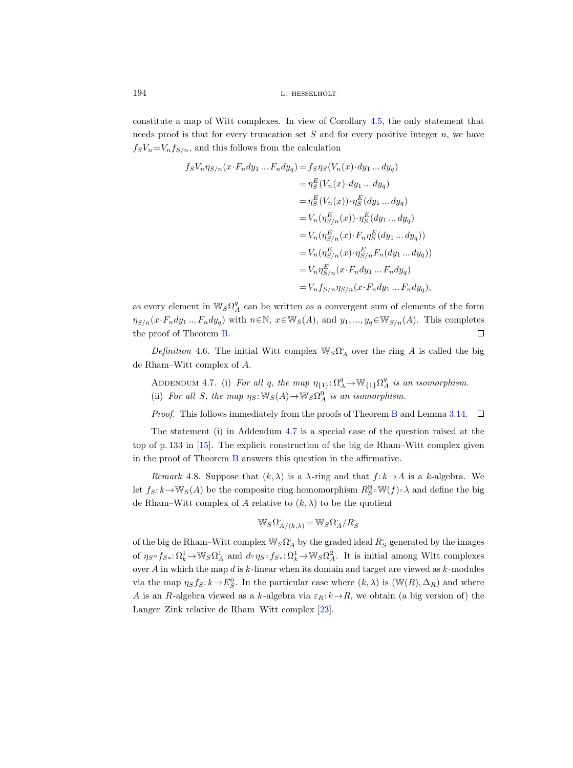constitute a map of Witt complexes. In view of Corollary [4.5,](#page-50-0) the only statement that needs proof is that for every truncation set  $S$  and for every positive integer  $n$ , we have  $f_sV_n=V_nf_{S/n}$ , and this follows from the calculation

$$
f_S V_n \eta_{S/n}(x \cdot F_n dy_1 \dots F_n dy_q) = f_S \eta_S (V_n(x) \cdot dy_1 \dots dy_q)
$$
  
\n
$$
= \eta_S^E (V_n(x) \cdot dy_1 \dots dy_q)
$$
  
\n
$$
= \eta_S^E (V_n(x)) \cdot \eta_S^E (dy_1 \dots dy_q)
$$
  
\n
$$
= V_n(\eta_{S/n}^E(x)) \cdot \eta_S^E (dy_1 \dots dy_q)
$$
  
\n
$$
= V_n(\eta_{S/n}^E(x) \cdot F_n \eta_S^E (dy_1 \dots dy_q))
$$
  
\n
$$
= V_n(\eta_{S/n}^E(x) \cdot \eta_{S/n}^E F_n (dy_1 \dots dy_q))
$$
  
\n
$$
= V_n \eta_{S/n}^E (x \cdot F_n dy_1 \dots F_n dy_q)
$$
  
\n
$$
= V_n f_{S/n} \eta_{S/n}(x \cdot F_n dy_1 \dots F_n dy_q),
$$

as every element in  $\mathbb{W}_S \Omega^q_A$  can be written as a convergent sum of elements of the form  $\eta_{S/n}(x\cdot F_n dy_1 ... F_n dy_q)$  with  $n \in \mathbb{N}$ ,  $x \in \mathbb{W}_S(A)$ , and  $y_1, ..., y_q \in \mathbb{W}_{S/n}(A)$ . This completes the proof of Theorem [B.](#page-3-0)  $\Box$ 

Definition 4.6. The initial Witt complex  $\mathbb{W}_S \Omega_A^*$  over the ring A is called the big de Rham–Witt complex of A.

<span id="page-59-0"></span>ADDENDUM 4.7. (i) For all q, the map  $\eta_{\{1\}} \colon \Omega^q_A \to \mathbb{W}_{\{1\}} \Omega^q_A$  is an isomorphism. (ii) For all S, the map  $\eta_S: \mathbb{W}_S(A) \to \mathbb{W}_S \Omega_A^0$  is an isomorphism.

*Proof.* This follows immediately from the proofs of Theorem [B](#page-3-0) and Lemma [3.14.](#page-43-1)  $\Box$ 

The statement (i) in Addendum [4.7](#page-59-0) is a special case of the question raised at the top of p. 133 in [\[15\]](#page-71-1). The explicit construction of the big de Rham–Witt complex given in the proof of Theorem [B](#page-3-0) answers this question in the affirmative.

Remark 4.8. Suppose that  $(k, \lambda)$  is a  $\lambda$ -ring and that  $f: k \rightarrow A$  is a k-algebra. We let  $f_S: k \to \mathbb{W}_S(A)$  be the composite ring homomorphism  $R_S^{\mathbb{N}} \circ \mathbb{W}(f) \circ \lambda$  and define the big de Rham–Witt complex of A relative to  $(k, \lambda)$  to be the quotient

$$
\mathbb{W}_S \Omega^{\cdot}_{A/(k,\lambda)} = \mathbb{W}_S \Omega^{\cdot}_A / R^{\cdot}_S
$$

of the big de Rham–Witt complex  $\mathbb{W}_S \Omega_A^*$  by the graded ideal  $R_S$  generated by the images of  $\eta_S \circ f_{S*}: \Omega^1_k \to \mathbb{W}_S \Omega^1_A$  and  $d \circ \eta_S \circ f_{S*}: \Omega^1_k \to \mathbb{W}_S \Omega^2_A$ . It is initial among Witt complexes over  $A$  in which the map  $d$  is  $k$ -linear when its domain and target are viewed as  $k$ -modules via the map  $\eta_S f_S : k \to E_S^0$ . In the particular case where  $(k, \lambda)$  is  $(\mathbb{W}(R), \Delta_R)$  and where A is an R-algebra viewed as a k-algebra via  $\varepsilon_R: k \to R$ , we obtain (a big version of) the Langer–Zink relative de Rham–Witt complex [\[23\]](#page-71-0).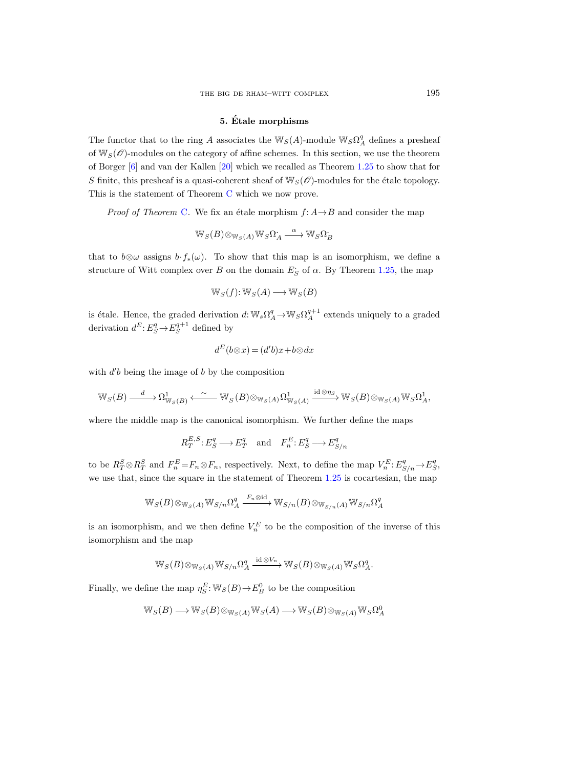# 5. Etale morphisms ´

The functor that to the ring A associates the  $\mathbb{W}_S(A)$ -module  $\mathbb{W}_S\Omega^q_A$  defines a presheaf of  $W_S(\mathscr{O})$ -modules on the category of affine schemes. In this section, we use the theorem of Borger [\[6\]](#page-71-4) and van der Kallen [\[20\]](#page-71-5) which we recalled as Theorem [1.25](#page-20-0) to show that for S finite, this presheaf is a quasi-coherent sheaf of  $\mathbb{W}_{S}(\mathscr{O})$ -modules for the étale topology. This is the statement of Theorem [C](#page-4-0) which we now prove.

*Proof of Theorem [C](#page-4-0).* We fix an étale morphism  $f: A \rightarrow B$  and consider the map

$$
\mathbb{W}_S(B) \otimes_{\mathbb{W}_S(A)} \mathbb{W}_S \Omega_A \xrightarrow{\alpha} \mathbb{W}_S \Omega_B
$$

that to  $b\otimes\omega$  assigns  $b \cdot f_*(\omega)$ . To show that this map is an isomorphism, we define a structure of Witt complex over B on the domain  $E_S$  of  $\alpha$ . By Theorem [1.25,](#page-20-0) the map

$$
\mathbb{W}_S(f) \colon \mathbb{W}_S(A) \longrightarrow \mathbb{W}_S(B)
$$

is étale. Hence, the graded derivation  $d: W_s \Omega_A^q \to W_S \Omega_A^{q+1}$  extends uniquely to a graded derivation  $d^E: E^q_S \to E^{q+1}_S$  defined by

$$
d^E(b \otimes x) = (d'b)x + b \otimes dx
$$

with  $d'b$  being the image of  $b$  by the composition

$$
\mathbb{W}_S(B) \xrightarrow{d} \Omega^1_{\mathbb{W}_S(B)} \xleftarrow{\sim} \mathbb{W}_S(B) \otimes_{\mathbb{W}_S(A)} \Omega^1_{\mathbb{W}_S(A)} \xrightarrow{\mathrm{id} \otimes \eta_S} \mathbb{W}_S(B) \otimes_{\mathbb{W}_S(A)} \mathbb{W}_S \Omega^1_A,
$$

where the middle map is the canonical isomorphism. We further define the maps

$$
R_T^{E,S}: E_S^q \longrightarrow E_T^q
$$
 and  $F_n^E: E_S^q \longrightarrow E_{S/n}^q$ 

to be  $R_T^S \otimes R_T^S$  and  $F_n^E = F_n \otimes F_n$ , respectively. Next, to define the map  $V_n^E: E_{S/n}^q \to E_S^q$ , we use that, since the square in the statement of Theorem [1.25](#page-20-0) is cocartesian, the map

$$
\mathbb{W}_S(B) \otimes_{\mathbb{W}_S(A)} \mathbb{W}_{S/n} \Omega^q_A \xrightarrow{F_n \otimes \mathrm{id}} \mathbb{W}_{S/n}(B) \otimes_{\mathbb{W}_{S/n}(A)} \mathbb{W}_{S/n} \Omega^q_A
$$

is an isomorphism, and we then define  $V_n^E$  to be the composition of the inverse of this isomorphism and the map

$$
\mathbb{W}_S(B) \otimes_{\mathbb{W}_S(A)} \mathbb{W}_{S/n} \Omega^q_A \xrightarrow{\mathrm{id} \otimes V_n} \mathbb{W}_S(B) \otimes_{\mathbb{W}_S(A)} \mathbb{W}_S \Omega^q_A.
$$

Finally, we define the map  $\eta_S^E$ :  $\mathbb{W}_S(B) \to E_B^0$  to be the composition

$$
\mathbb{W}_S(B) \longrightarrow \mathbb{W}_S(B) \otimes_{\mathbb{W}_S(A)} \mathbb{W}_S(A) \longrightarrow \mathbb{W}_S(B) \otimes_{\mathbb{W}_S(A)} \mathbb{W}_S \Omega^0_A
$$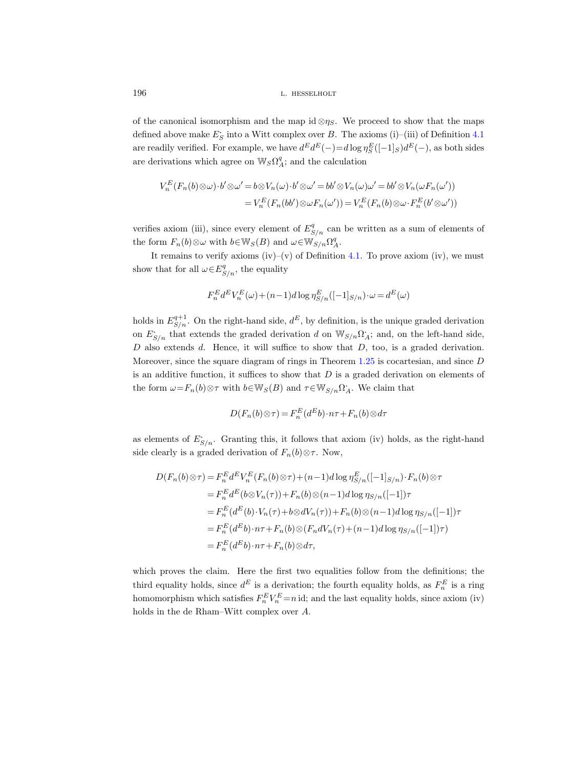of the canonical isomorphism and the map id ⊗ $\eta_s$ . We proceed to show that the maps defined above make  $E_S$  into a Witt complex over B. The axioms (i)–(iii) of Definition [4.1](#page-43-0) are readily verified. For example, we have  $d^E d^E(-) = d \log \eta_S^E([-1]_S) d^E(-)$ , as both sides are derivations which agree on  $\mathbb{W}_S\Omega^q_A$ ; and the calculation

$$
V_n^E(F_n(b) \otimes \omega) \cdot b' \otimes \omega' = b \otimes V_n(\omega) \cdot b' \otimes \omega' = bb' \otimes V_n(\omega) \omega' = bb' \otimes V_n(\omega F_n(\omega'))
$$
  

$$
= V_n^E(F_n(bb') \otimes \omega F_n(\omega')) = V_n^E(F_n(b) \otimes \omega \cdot F_n^E(b' \otimes \omega'))
$$

verifies axiom (iii), since every element of  $E_{S/n}^q$  can be written as a sum of elements of the form  $F_n(b) \otimes \omega$  with  $b \in \mathbb{W}_S(B)$  and  $\omega \in \mathbb{W}_{S/n}\Omega_A^q$ .

It remains to verify axioms (iv)–(v) of Definition [4.1.](#page-43-0) To prove axiom (iv), we must show that for all  $\omega \in E_{S/n}^q$ , the equality

$$
F_n^E d^E V_n^E(\omega) + (n-1)d \log \eta_{S/n}^E([-1]_{S/n}) \cdot \omega = d^E(\omega)
$$

holds in  $E_{S/n}^{q+1}$ . On the right-hand side,  $d^E$ , by definition, is the unique graded derivation on  $E_{S/n}$  that extends the graded derivation d on  $\mathbb{W}_{S/n}\Omega_A$ ; and, on the left-hand side,  $D$  also extends  $d$ . Hence, it will suffice to show that  $D$ , too, is a graded derivation. Moreover, since the square diagram of rings in Theorem [1.25](#page-20-0) is cocartesian, and since D is an additive function, it suffices to show that  $D$  is a graded derivation on elements of the form  $\omega = F_n(b) \otimes \tau$  with  $b \in \mathbb{W}_S(B)$  and  $\tau \in \mathbb{W}_{S/n} \Omega_A^{\bullet}$ . We claim that

$$
D(F_n(b)\otimes \tau) = F_n^E(d^Eb) \cdot n\tau + F_n(b)\otimes d\tau
$$

as elements of  $E_{S/n}$ . Granting this, it follows that axiom (iv) holds, as the right-hand side clearly is a graded derivation of  $F_n(b) \otimes \tau$ . Now,

$$
D(F_n(b) \otimes \tau) = F_n^E d^E V_n^E(F_n(b) \otimes \tau) + (n-1)d \log \eta_{S/n}^E([-1]_{S/n}) \cdot F_n(b) \otimes \tau
$$
  
\n
$$
= F_n^E d^E (b \otimes V_n(\tau)) + F_n(b) \otimes (n-1)d \log \eta_{S/n}([-1])\tau
$$
  
\n
$$
= F_n^E (d^E(b) \cdot V_n(\tau) + b \otimes dV_n(\tau)) + F_n(b) \otimes (n-1)d \log \eta_{S/n}([-1])\tau
$$
  
\n
$$
= F_n^E (d^E b) \cdot n\tau + F_n(b) \otimes (F_n dV_n(\tau) + (n-1)d \log \eta_{S/n}([-1])\tau)
$$
  
\n
$$
= F_n^E (d^E b) \cdot n\tau + F_n(b) \otimes d\tau,
$$

which proves the claim. Here the first two equalities follow from the definitions; the third equality holds, since  $d^E$  is a derivation; the fourth equality holds, as  $F_n^E$  is a ring homomorphism which satisfies  $F_n^E V_n^E = n$  id; and the last equality holds, since axiom (iv) holds in the de Rham–Witt complex over A.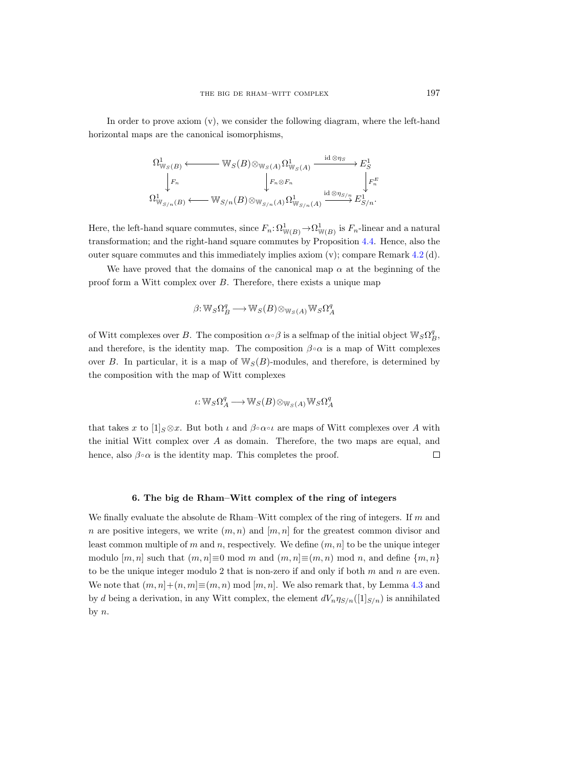In order to prove axiom (v), we consider the following diagram, where the left-hand horizontal maps are the canonical isomorphisms,

$$
\Omega^1_{\mathbb{W}_S(B)} \longleftrightarrow \mathbb{W}_S(B) \otimes_{\mathbb{W}_S(A)} \Omega^1_{\mathbb{W}_S(A)} \xrightarrow{\text{id} \otimes \eta_S} E^1_S
$$
\n
$$
\downarrow F_n \qquad \qquad \downarrow F_n \otimes F_n \qquad \qquad \downarrow F^E_n
$$
\n
$$
\Omega^1_{\mathbb{W}_{S/n}(B)} \longleftrightarrow \mathbb{W}_{S/n}(B) \otimes_{\mathbb{W}_{S/n}(A)} \Omega^1_{\mathbb{W}_{S/n}(A)} \xrightarrow{\text{id} \otimes \eta_{S/n}} E^1_{S/n}.
$$

Here, the left-hand square commutes, since  $F_n: \Omega^1_{\mathbb{W}(B)} \to \Omega^1_{\mathbb{W}(B)}$  is  $F_n$ -linear and a natural transformation; and the right-hand square commutes by Proposition [4.4.](#page-48-0) Hence, also the outer square commutes and this immediately implies axiom  $(v)$ ; compare Remark [4.2](#page-44-0) (d).

We have proved that the domains of the canonical map  $\alpha$  at the beginning of the proof form a Witt complex over B. Therefore, there exists a unique map

$$
\beta{:}\,\mathbb{W}_S{\Omega}_B^q \longrightarrow \mathbb{W}_S(B) \otimes_{\mathbb{W}_S(A)} \mathbb{W}_S{\Omega}_A^q
$$

of Witt complexes over B. The composition  $\alpha \circ \beta$  is a selfmap of the initial object  $\mathbb{W}_S \Omega_B^q$ , and therefore, is the identity map. The composition  $\beta \circ \alpha$  is a map of Witt complexes over B. In particular, it is a map of  $\mathbb{W}_S(B)$ -modules, and therefore, is determined by the composition with the map of Witt complexes

$$
\iota\!:\!{\mathbb{W}}_S\Omega^q_A\!\longrightarrow\!{\mathbb{W}}_S(B)\!\otimes_{{\mathbb{W}}_S(A)}\!{\mathbb{W}}_S\Omega^q_A
$$

that takes x to  $[1]_{S} \otimes x$ . But both  $\iota$  and  $\beta \circ \alpha \circ \iota$  are maps of Witt complexes over A with the initial Witt complex over A as domain. Therefore, the two maps are equal, and hence, also  $\beta \circ \alpha$  is the identity map. This completes the proof.  $\Box$ 

## 6. The big de Rham–Witt complex of the ring of integers

<span id="page-62-0"></span>We finally evaluate the absolute de Rham–Witt complex of the ring of integers. If  $m$  and n are positive integers, we write  $(m, n)$  and  $[m, n]$  for the greatest common divisor and least common multiple of m and n, respectively. We define  $(m, n]$  to be the unique integer modulo  $[m, n]$  such that  $(m, n] \equiv 0 \mod m$  and  $(m, n] \equiv (m, n) \mod n$ , and define  $\{m, n\}$ to be the unique integer modulo 2 that is non-zero if and only if both  $m$  and  $n$  are even. We note that  $(m, n] + (n, m] \equiv (m, n) \mod [m, n]$ . We also remark that, by Lemma [4.3](#page-45-0) and by d being a derivation, in any Witt complex, the element  $dV_n \eta_{S/n}([1]_{S/n})$  is annihilated by  $n$ .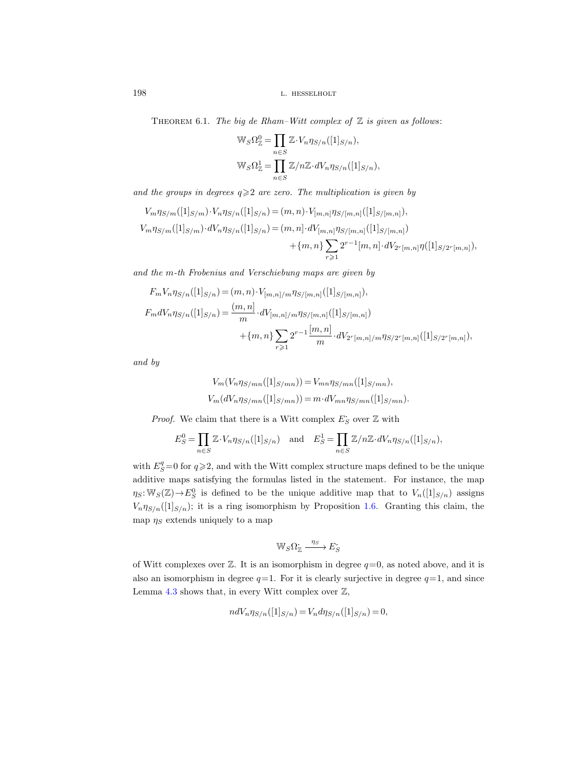THEOREM 6.1. The big de Rham–Witt complex of  $\mathbb Z$  is given as follows:

$$
\mathbb{W}_{S}\Omega_{\mathbb{Z}}^{0} = \prod_{n \in S} \mathbb{Z} \cdot V_{n}\eta_{S/n}([1]_{S/n}),
$$
  

$$
\mathbb{W}_{S}\Omega_{\mathbb{Z}}^{1} = \prod_{n \in S} \mathbb{Z}/n\mathbb{Z} \cdot dV_{n}\eta_{S/n}([1]_{S/n}),
$$

and the groups in degrees  $q \geqslant 2$  are zero. The multiplication is given by

$$
V_m \eta_{S/m}([1]_{S/m}) \cdot V_n \eta_{S/n}([1]_{S/n}) = (m, n) \cdot V_{[m,n]} \eta_{S/[m,n]}([1]_{S/[m,n]}),
$$
  

$$
V_m \eta_{S/m}([1]_{S/m}) \cdot dV_n \eta_{S/n}([1]_{S/n}) = (m, n] \cdot dV_{[m,n]} \eta_{S/[m,n]}([1]_{S/[m,n]})
$$
  

$$
+ \{m, n\} \sum_{r \geq 1} 2^{r-1} [m, n] \cdot dV_{2r[m,n]} \eta([1]_{S/2r[m,n]}),
$$

and the m-th Frobenius and Verschiebung maps are given by

$$
F_m V_n \eta_{S/n}([1]_{S/n}) = (m, n) \cdot V_{[m,n]/m} \eta_{S/[m,n]}([1]_{S/[m,n]}),
$$
  
\n
$$
F_m dV_n \eta_{S/n}([1]_{S/n}) = \frac{(m, n]}{m} \cdot dV_{[m,n]/m} \eta_{S/[m,n]}([1]_{S/[m,n]})
$$
  
\n
$$
+ \{m, n\} \sum_{r \geq 1} 2^{r-1} \frac{[m, n]}{m} \cdot dV_{2^r[m,n]/m} \eta_{S/2^r[m,n]}([1]_{S/2^r[m,n]}),
$$

and by

$$
V_m(V_n \eta_{S/mn}([1]_{S/mn})) = V_{mn} \eta_{S/mn}([1]_{S/mn}),
$$
  
\n
$$
V_m(dV_n \eta_{S/mn}([1]_{S/mn})) = m \cdot dV_{mn} \eta_{S/mn}([1]_{S/mn}).
$$

*Proof.* We claim that there is a Witt complex  $E_S$  over  $\mathbb Z$  with

$$
E_S^0 = \prod_{n \in S} \mathbb{Z} \cdot V_n \eta_{S/n}([1]_{S/n}) \quad \text{and} \quad E_S^1 = \prod_{n \in S} \mathbb{Z}/n\mathbb{Z} \cdot dV_n \eta_{S/n}([1]_{S/n}),
$$

with  $E_S^q=0$  for  $q\geqslant 2$ , and with the Witt complex structure maps defined to be the unique additive maps satisfying the formulas listed in the statement. For instance, the map  $\eta_S: \mathbb{W}_S(\mathbb{Z}) \to E^0_S$  is defined to be the unique additive map that to  $V_n([1]_{S/n})$  assigns  $V_n \eta_{S/n}([1]_{S/n})$ ; it is a ring isomorphism by Proposition [1.6.](#page-9-0) Granting this claim, the map  $\eta_S$  extends uniquely to a map

$$
\mathbb{W}_S\Omega^{\textstyle\cdot}_\mathbb{Z}\xrightarrow{\eta_S}E^{\textstyle\cdot}_S
$$

of Witt complexes over  $\mathbb Z$ . It is an isomorphism in degree  $q=0$ , as noted above, and it is also an isomorphism in degree  $q=1$ . For it is clearly surjective in degree  $q=1$ , and since Lemma [4.3](#page-45-0) shows that, in every Witt complex over  $\mathbb{Z}$ ,

$$
ndV_n \eta_{S/n}([1]_{S/n}) = V_n d\eta_{S/n}([1]_{S/n}) = 0,
$$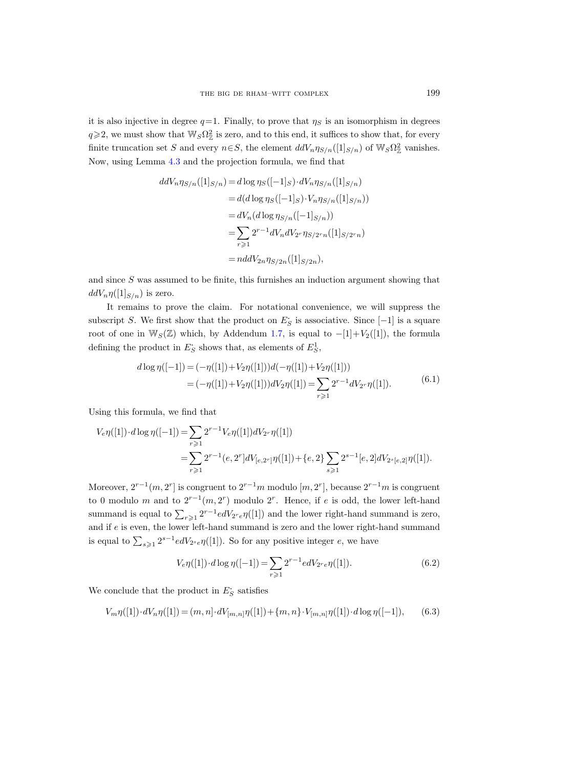it is also injective in degree  $q=1$ . Finally, to prove that  $\eta_S$  is an isomorphism in degrees  $q \geq 2$ , we must show that  $\mathbb{W}_S \Omega^2_{\mathbb{Z}}$  is zero, and to this end, it suffices to show that, for every finite truncation set S and every  $n \in S$ , the element  $ddV_n \eta_{S/n}([1]_{S/n})$  of  $W_S \Omega_{\mathbb{Z}}^2$  vanishes. Now, using Lemma [4.3](#page-45-0) and the projection formula, we find that

$$
ddV_n \eta_{S/n}([1]_{S/n}) = d \log \eta_S([-1]_S) \cdot dV_n \eta_{S/n}([1]_{S/n})
$$
  
=  $d(d \log \eta_S([-1]_S) \cdot V_n \eta_{S/n}([1]_{S/n}))$   
=  $dV_n(d \log \eta_{S/n}([-1]_{S/n}))$   
=  $\sum_{r \geq 1} 2^{r-1} dV_n dV_{2r} \eta_{S/2r_n}([1]_{S/2r_n})$   
=  $nddV_{2n} \eta_{S/2n}([1]_{S/2n}),$ 

and since S was assumed to be finite, this furnishes an induction argument showing that  $ddV_n\eta([1]_{S/n})$  is zero.

It remains to prove the claim. For notational convenience, we will suppress the subscript S. We first show that the product on  $E_S$  is associative. Since [-1] is a square root of one in W<sub>S</sub>( $\mathbb{Z}$ ) which, by Addendum [1.7,](#page-10-0) is equal to  $-[1]+V_2([1])$ , the formula defining the product in  $E_S$  shows that, as elements of  $E_S^1$ ,

$$
d \log \eta([-1]) = (-\eta([1]) + V_2 \eta([1]))d(-\eta([1]) + V_2 \eta([1]))
$$
  
= 
$$
(-\eta([1]) + V_2 \eta([1]))dV_2 \eta([1]) = \sum_{r \geq 1} 2^{r-1} dV_2 \eta([1]).
$$
 (6.1)

<span id="page-64-1"></span>Using this formula, we find that

$$
V_e \eta([1]) \cdot d \log \eta([-1]) = \sum_{r \geq 1} 2^{r-1} V_e \eta([1]) d V_{2r} \eta([1])
$$
  
= 
$$
\sum_{r \geq 1} 2^{r-1} (e, 2^r] d V_{[e, 2^r]} \eta([1]) + \{e, 2\} \sum_{s \geq 1} 2^{s-1} [e, 2] d V_{2^s [e, 2]} \eta([1]).
$$

Moreover,  $2^{r-1}(m, 2^r]$  is congruent to  $2^{r-1}m$  modulo  $[m, 2^r]$ , because  $2^{r-1}m$  is congruent to 0 modulo m and to  $2^{r-1}(m, 2^r)$  modulo  $2^r$ . Hence, if e is odd, the lower left-hand summand is equal to  $\sum_{r\geqslant 1} 2^{r-1} edV_{2^r e}\eta([1])$  and the lower right-hand summand is zero, and if  $e$  is even, the lower left-hand summand is zero and the lower right-hand summand is equal to  $\sum_{s\geqslant 1} 2^{s-1}edV_{2^s e}\eta([1])$ . So for any positive integer e, we have

<span id="page-64-0"></span>
$$
V_e \eta([1]) \cdot d \log \eta([-1]) = \sum_{r \geq 1} 2^{r-1} e dV_{2^r e} \eta([1]). \tag{6.2}
$$

We conclude that the product in  $E_S^{\boldsymbol{\cdot}}$  satisfies

<span id="page-64-2"></span>
$$
V_m\eta([1])\cdot dV_n\eta([1]) = (m,n]\cdot dV_{[m,n]}\eta([1]) + \{m,n\}\cdot V_{[m,n]}\eta([1])\cdot d\log\eta([-1]),\tag{6.3}
$$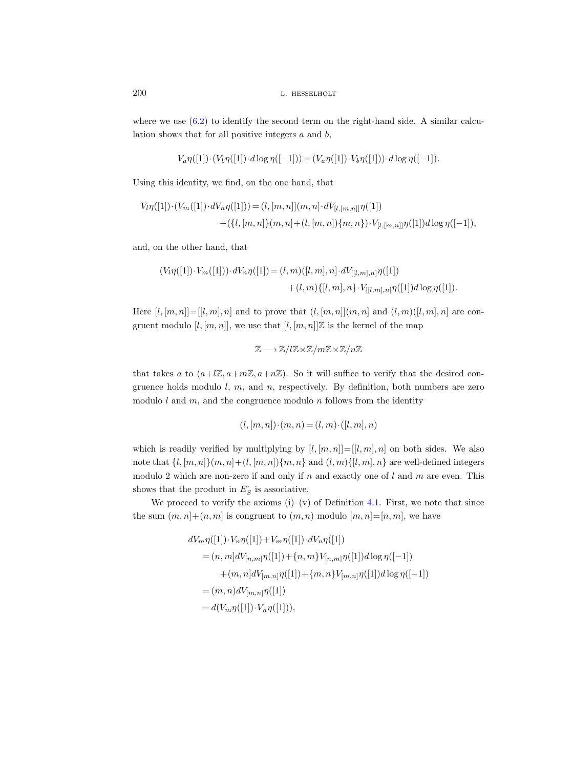where we use  $(6.2)$  to identify the second term on the right-hand side. A similar calculation shows that for all positive integers  $a$  and  $b$ ,

$$
V_a \eta([1]) \cdot (V_b \eta([1]) \cdot d \log \eta([-1])) = (V_a \eta([1]) \cdot V_b \eta([1])) \cdot d \log \eta([-1]).
$$

Using this identity, we find, on the one hand, that

$$
V_l \eta([1]) \cdot (V_m([1]) \cdot dV_n \eta([1])) = (l, [m, n]](m, n] \cdot dV_{[l, [m, n]]} \eta([1]) + (\{l, [m, n]\}(m, n] + (l, [m, n])\{m, n\}) \cdot V_{[l, [m, n]]} \eta([1]) d \log \eta([-1]),
$$

and, on the other hand, that

$$
(V_l\eta([1])\cdot V_m([1]))\cdot dV_n\eta([1]) = (l,m)([l,m],n]\cdot dV_{[[l,m],n]}\eta([1])+(l,m)\{[l,m],n\}\cdot V_{[[l,m],n]}\eta([1])d\log\eta([1]).
$$

Here  $[l, [m,n]] = [l, m], n]$  and to prove that  $(l, [m, n]](m, n]$  and  $(l, m)([l, m], n]$  are congruent modulo  $[l, [m, n]]$ , we use that  $[l, [m, n]]\mathbb{Z}$  is the kernel of the map

$$
\mathbb{Z}\longrightarrow \mathbb{Z}/l\mathbb{Z}\times \mathbb{Z}/m\mathbb{Z}\times \mathbb{Z}/n\mathbb{Z}
$$

that takes a to  $(a+l\mathbb{Z},a+m\mathbb{Z},a+n\mathbb{Z})$ . So it will suffice to verify that the desired congruence holds modulo  $l, m$ , and  $n$ , respectively. By definition, both numbers are zero modulo  $l$  and  $m$ , and the congruence modulo  $n$  follows from the identity

$$
(l, [m, n]) \cdot (m, n) = (l, m) \cdot ([l, m], n)
$$

which is readily verified by multiplying by  $[l, [m, n]] = [[l, m], n]$  on both sides. We also note that  $\{l, [m, n]\}(m, n) + (l, [m, n])\{m, n\}$  and  $(l, m)\{l, m\}$  are well-defined integers modulo 2 which are non-zero if and only if n and exactly one of  $l$  and  $m$  are even. This shows that the product in  $E_S$  is associative.

We proceed to verify the axioms  $(i)$ – $(v)$  of Definition [4.1.](#page-43-0) First, we note that since the sum  $(m, n] + (n, m]$  is congruent to  $(m, n)$  modulo  $[m, n] = [n, m]$ , we have

$$
dV_{m}\eta([1]) \cdot V_{n}\eta([1]) + V_{m}\eta([1]) \cdot dV_{n}\eta([1])
$$
  
=  $(n, m]dV_{[n,m]}\eta([1]) + \{n, m\}V_{[n,m]}\eta([1])d\log \eta([-1])$   
+  $(m, n]dV_{[m,n]}\eta([1]) + \{m, n\}V_{[m,n]}\eta([1])d\log \eta([-1])$   
=  $(m, n)dV_{[m,n]}\eta([1])$   
=  $d(V_{m}\eta([1]) \cdot V_{n}\eta([1]))$ ,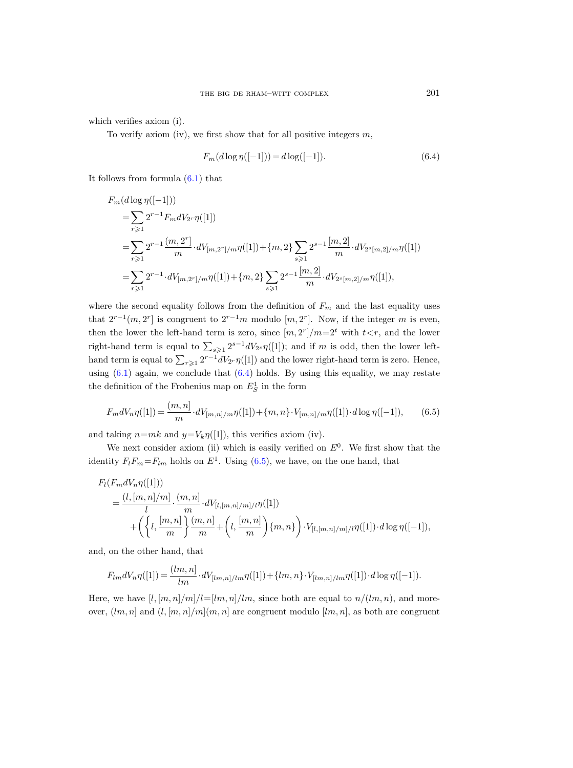which verifies axiom (i).

To verify axiom (iv), we first show that for all positive integers  $m$ ,

<span id="page-66-0"></span>
$$
F_m(d\log\eta([-1])) = d\log([-1]).\tag{6.4}
$$

It follows from formula [\(6.1\)](#page-64-1) that

$$
F_m(d \log \eta([-1]))
$$
  
=  $\sum_{r \geq 1} 2^{r-1} F_m dV_{2r} \eta([1])$   
=  $\sum_{r \geq 1} 2^{r-1} \frac{(m, 2^r)}{m} \cdot dV_{[m, 2^r]/m} \eta([1]) + \{m, 2\} \sum_{s \geq 1} 2^{s-1} \frac{[m, 2]}{m} \cdot dV_{2^s[m, 2]/m} \eta([1])$   
=  $\sum_{r \geq 1} 2^{r-1} \cdot dV_{[m, 2^r]/m} \eta([1]) + \{m, 2\} \sum_{s \geq 1} 2^{s-1} \frac{[m, 2]}{m} \cdot dV_{2^s[m, 2]/m} \eta([1]),$ 

where the second equality follows from the definition of  $F_m$  and the last equality uses that  $2^{r-1}(m, 2^r]$  is congruent to  $2^{r-1}m$  modulo  $[m, 2^r]$ . Now, if the integer m is even, then the lower the left-hand term is zero, since  $[m, 2^r]/m=2^t$  with  $t < r$ , and the lower right-hand term is equal to  $\sum_{s\geqslant 1} 2^{s-1} dV_{2s} \eta([1])$ ; and if m is odd, then the lower lefthand term is equal to  $\sum_{r\geqslant 1} 2^{r-1} dV_{2r} \eta([1])$  and the lower right-hand term is zero. Hence, using  $(6.1)$  again, we conclude that  $(6.4)$  holds. By using this equality, we may restate the definition of the Frobenius map on  $E_S^1$  in the form

<span id="page-66-1"></span>
$$
F_m dV_n \eta([1]) = \frac{(m, n]}{m} \cdot dV_{[m, n] / m} \eta([1]) + \{m, n\} \cdot V_{[m, n] / m} \eta([1]) \cdot d \log \eta([-1]), \qquad (6.5)
$$

and taking  $n=mk$  and  $y=V_k\eta([1])$ , this verifies axiom (iv).

We next consider axiom (ii) which is easily verified on  $E^0$ . We first show that the identity  $F_l F_m = F_{lm}$  holds on  $E^1$ . Using [\(6.5\)](#page-66-1), we have, on the one hand, that

$$
F_l(F_m dV_n \eta([1]))
$$
  
=  $\frac{(l, [m, n]/m]}{l} \cdot \frac{(m, n]}{m} \cdot dV_{[l, [m, n]/m]/l} \eta([1])$   
+  $\left(\left\{l, \frac{[m, n]}{m}\right\} \frac{(m, n]}{m} + \left(l, \frac{[m, n]}{m}\right) \{m, n\}\right) \cdot V_{[l, [m, n]/m]/l} \eta([1]) \cdot d \log \eta([-1]),$ 

and, on the other hand, that

$$
F_{lm}dV_n\eta([1]) = \frac{(lm, n]}{lm} \cdot dV_{[lm, n]/lm}\eta([1]) + \{lm, n\} \cdot V_{[lm, n]/lm}\eta([1]) \cdot d\log\eta([-1]).
$$

Here, we have  $[l, [m, n]/m]/l=[lm, n]/lm$ , since both are equal to  $n/(lm, n)$ , and moreover,  $(lm, n]$  and  $(l, [m, n]/m](m, n]$  are congruent modulo  $[lm, n]$ , as both are congruent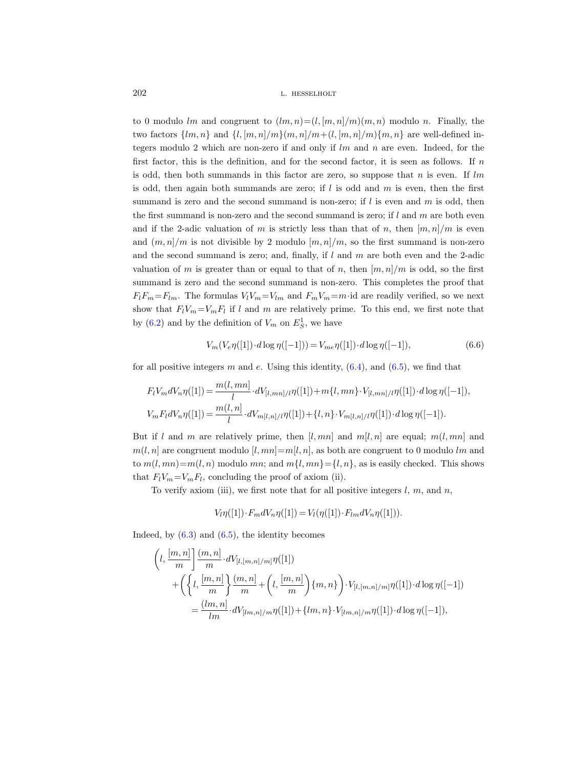to 0 modulo lm and congruent to  $(lm, n)=(l, [m, n]/m)(m, n)$  modulo n. Finally, the two factors  $\{lm, n\}$  and  $\{l, [m, n]/m\}(m, n]/m + (l, [m, n]/m)\{m, n\}$  are well-defined integers modulo 2 which are non-zero if and only if  $lm$  and  $n$  are even. Indeed, for the first factor, this is the definition, and for the second factor, it is seen as follows. If  $n$ is odd, then both summands in this factor are zero, so suppose that  $n$  is even. If  $lm$ is odd, then again both summands are zero; if  $l$  is odd and  $m$  is even, then the first summand is zero and the second summand is non-zero; if  $l$  is even and  $m$  is odd, then the first summand is non-zero and the second summand is zero; if  $l$  and  $m$  are both even and if the 2-adic valuation of m is strictly less than that of n, then  $[m, n]/m$  is even and  $(m, n)/m$  is not divisible by 2 modulo  $[m, n]/m$ , so the first summand is non-zero and the second summand is zero; and, finally, if  $l$  and  $m$  are both even and the 2-adic valuation of m is greater than or equal to that of n, then  $[m, n]/m$  is odd, so the first summand is zero and the second summand is non-zero. This completes the proof that  $F_lF_m=F_{lm}$ . The formulas  $V_lV_m=V_{lm}$  and  $F_mV_m=m$  id are readily verified, so we next show that  $F_l V_m = V_m F_l$  if l and m are relatively prime. To this end, we first note that by [\(6.2\)](#page-64-0) and by the definition of  $V_m$  on  $E_S^1$ , we have

$$
V_m(V_e \eta([1]) \cdot d \log \eta([-1])) = V_{me} \eta([1]) \cdot d \log \eta([-1]), \tag{6.6}
$$

for all positive integers m and e. Using this identity,  $(6.4)$ , and  $(6.5)$ , we find that

$$
F_l V_m dV_n \eta([1]) = \frac{m(l, mn)}{l} \cdot dV_{[l, mn]/l} \eta([1]) + m\{l, mn\} \cdot V_{[l, mn]/l} \eta([1]) \cdot d \log \eta([-1]),
$$
  

$$
V_m F_l dV_n \eta([1]) = \frac{m(l, n]}{l} \cdot dV_{m[l, n]/l} \eta([1]) + \{l, n\} \cdot V_{m[l, n]/l} \eta([1]) \cdot d \log \eta([-1]).
$$

But if l and m are relatively prime, then  $[l, mn]$  and  $m[l, n]$  are equal;  $m(l, mn]$  and  $m(l, n]$  are congruent modulo  $[l, mn] = m[l, n]$ , as both are congruent to 0 modulo lm and to  $m(l, mn)=m(l, n)$  modulo mn; and  $m\{l, mn\} = \{l, n\}$ , as is easily checked. This shows that  $F_l V_m = V_m F_l$ , concluding the proof of axiom (ii).

To verify axiom (iii), we first note that for all positive integers  $l, m$ , and  $n$ ,

$$
V_l \eta([1]) \cdot F_m dV_n \eta([1]) = V_l(\eta([1]) \cdot F_{lm} dV_n \eta([1])).
$$

Indeed, by  $(6.3)$  and  $(6.5)$ , the identity becomes

$$
\begin{split} \bigg(l, \frac{[m,n]}{m} \bigg] \frac{(m,n]}{m} \cdot dV_{[l,[m,n]/m]} \eta([1]) \\ + & \bigg( \bigg\{ l, \frac{[m,n]}{m} \bigg\} \frac{(m,n]}{m} + \bigg(l, \frac{[m,n]}{m} \bigg) \{m,n\} \bigg) \cdot V_{[l,[m,n]/m]} \eta([1]) \cdot d \log \eta([-1]) \\ = & \frac{(lm,n]}{lm} \cdot dV_{[lm,n]/m} \eta([1]) + \{lm,n\} \cdot V_{[lm,n]/m} \eta([1]) \cdot d \log \eta([-1]), \end{split}
$$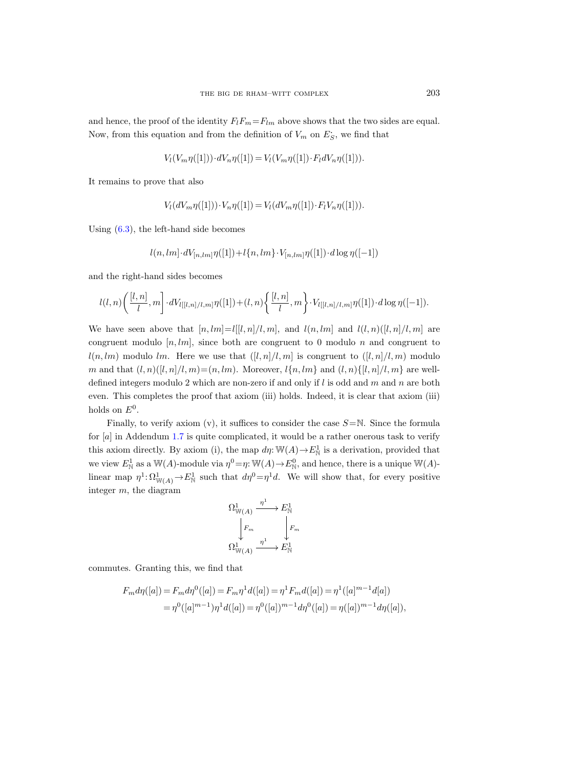and hence, the proof of the identity  $F_lF_m=F_{lm}$  above shows that the two sides are equal. Now, from this equation and from the definition of  $V_m$  on  $E_S$ , we find that

$$
V_l(V_m\eta([1]))\cdot dV_n\eta([1]) = V_l(V_m\eta([1])\cdot F_l dV_n\eta([1])).
$$

It remains to prove that also

$$
V_l(dV_m\eta([1])) \cdot V_n\eta([1]) = V_l(dV_m\eta([1]) \cdot F_lV_n\eta([1])).
$$

Using [\(6.3\)](#page-64-2), the left-hand side becomes

$$
l(n,lm] \cdot dV_{[n,lm]}\eta([1]) + l\{n,lm\} \cdot V_{[n,lm]}\eta([1]) \cdot d\log\eta([-1])
$$

and the right-hand sides becomes

$$
l(l,n)\left(\frac{[l,n]}{l},m\right]\cdot dV_{l[[l,n]/l,m]}\eta([1])+(l,n)\left\{\frac{[l,n]}{l},m\right\}\cdot V_{l[[l,n]/l,m]}\eta([1])\cdot d\log\eta([-1]).
$$

We have seen above that  $[n, lm] = l[[l, n]/l, m]$ , and  $l(n, lm]$  and  $l(l, n)([l, n]/l, m]$  are congruent modulo  $[n, lm]$ , since both are congruent to 0 modulo n and congruent to  $l(n, lm)$  modulo lm. Here we use that  $([l, n]/l, m]$  is congruent to  $([l, n]/l, m)$  modulo m and that  $(l, n)([l, n]/l, m)=(n, lm)$ . Moreover,  $l\{n, lm\}$  and  $(l, n)\{[l, n]/l, m\}$  are welldefined integers modulo 2 which are non-zero if and only if  $l$  is odd and  $m$  and  $n$  are both even. This completes the proof that axiom (iii) holds. Indeed, it is clear that axiom (iii) holds on  $E^0$ .

Finally, to verify axiom (v), it suffices to consider the case  $S=\mathbb{N}$ . Since the formula for  $[a]$  in Addendum [1.7](#page-10-0) is quite complicated, it would be a rather onerous task to verify this axiom directly. By axiom (i), the map  $d\eta \colon \mathbb{W}(A) \to E^1_{\mathbb{N}}$  is a derivation, provided that we view  $E^1_{\mathbb{N}}$  as a W(A)-module via  $\eta^0 = \eta: \mathbb{W}(A) \to E^0_{\mathbb{N}}$ , and hence, there is a unique  $\mathbb{W}(A)$ linear map  $\eta^1 \colon \Omega^1_{\mathbb{W}(A)} \to E^1_{\mathbb{N}}$  such that  $d\eta^0 = \eta^1 d$ . We will show that, for every positive integer m, the diagram

$$
\Omega^1_{\mathbb{W}(A)} \xrightarrow{\eta^1} E^1_{\mathbb{N}}
$$
\n
$$
\downarrow F_m
$$
\n
$$
\Omega^1_{\mathbb{W}(A)} \xrightarrow{\eta^1} E^1_{\mathbb{N}}
$$

commutes. Granting this, we find that

$$
F_m d\eta([a]) = F_m d\eta^0([a]) = F_m \eta^1 d([a]) = \eta^1 F_m d([a]) = \eta^1 ([a]^{m-1} d[a])
$$
  
= 
$$
\eta^0([a]^{m-1}) \eta^1 d([a]) = \eta^0([a])^{m-1} d\eta^0([a]) = \eta([a])^{m-1} d\eta([a]),
$$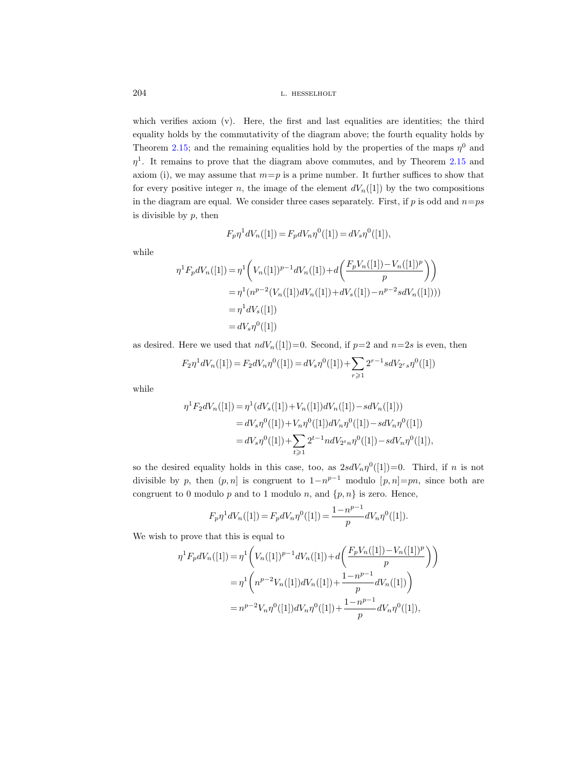which verifies axiom (v). Here, the first and last equalities are identities; the third equality holds by the commutativity of the diagram above; the fourth equality holds by Theorem [2.15;](#page-34-0) and the remaining equalities hold by the properties of the maps  $\eta^0$  and  $\eta$ <sup>1</sup>. It remains to prove that the diagram above commutes, and by Theorem [2.15](#page-34-0) and axiom (i), we may assume that  $m=p$  is a prime number. It further suffices to show that for every positive integer n, the image of the element  $dV_n([1])$  by the two compositions in the diagram are equal. We consider three cases separately. First, if  $p$  is odd and  $n=ps$ is divisible by  $p$ , then

$$
F_p \eta^1 dV_n([1]) = F_p dV_n \eta^0([1]) = dV_s \eta^0([1]),
$$

while

$$
\eta^1 F_p dV_n([1]) = \eta^1 \left( V_n([1])^{p-1} dV_n([1]) + d \left( \frac{F_p V_n([1]) - V_n([1])^p}{p} \right) \right)
$$
  
= 
$$
\eta^1 (n^{p-2} (V_n([1]) dV_n([1]) + dV_s([1]) - n^{p-2} s dV_n([1]))
$$
  
= 
$$
\eta^1 dV_s([1])
$$
  
= 
$$
dV_s \eta^0([1])
$$

as desired. Here we used that  $ndV_n([1])=0$ . Second, if  $p=2$  and  $n=2s$  is even, then

$$
F_2 \eta^1 dV_n([1]) = F_2 dV_n \eta^0([1]) = dV_s \eta^0([1]) + \sum_{r \geq 1} 2^{r-1} s dV_{2r} s \eta^0([1])
$$

while

$$
\eta^{1} F_{2} dV_{n}([1]) = \eta^{1} (dV_{s}([1]) + V_{n}([1])dV_{n}([1]) - sdV_{n}([1]))
$$
  
=  $dV_{s} \eta^{0}([1]) + V_{n} \eta^{0}([1])dV_{n} \eta^{0}([1]) - sdV_{n} \eta^{0}([1])$   
=  $dV_{s} \eta^{0}([1]) + \sum_{t \geq 1} 2^{t-1} ndV_{2^{t}n} \eta^{0}([1]) - sdV_{n} \eta^{0}([1]),$ 

so the desired equality holds in this case, too, as  $2sdV_n\eta^0([1])=0$ . Third, if n is not divisible by p, then  $(p, n]$  is congruent to  $1 - n^{p-1}$  modulo  $[p, n] = pn$ , since both are congruent to 0 modulo p and to 1 modulo n, and  $\{p, n\}$  is zero. Hence,

$$
F_p \eta^1 dV_n([1]) = F_p dV_n \eta^0([1]) = \frac{1 - n^{p-1}}{p} dV_n \eta^0([1]).
$$

We wish to prove that this is equal to

$$
\eta^1 F_p dV_n([1]) = \eta^1 \left( V_n([1])^{p-1} dV_n([1]) + d \left( \frac{F_p V_n([1]) - V_n([1])^p}{p} \right) \right)
$$
  
= 
$$
\eta^1 \left( n^{p-2} V_n([1]) dV_n([1]) + \frac{1 - n^{p-1}}{p} dV_n([1]) \right)
$$
  
= 
$$
n^{p-2} V_n \eta^0([1]) dV_n \eta^0([1]) + \frac{1 - n^{p-1}}{p} dV_n \eta^0([1]),
$$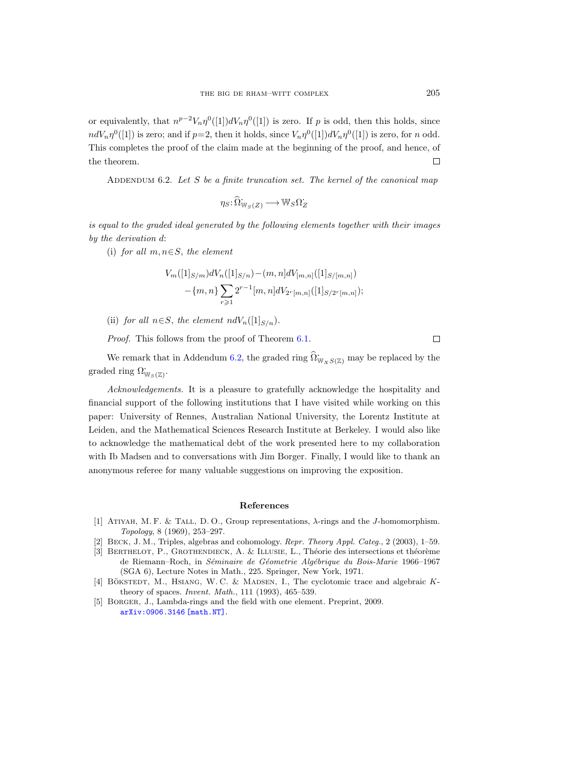or equivalently, that  $n^{p-2}V_n\eta^0([1])dV_n\eta^0([1])$  is zero. If p is odd, then this holds, since  $ndV_n\eta^0([1])$  is zero; and if  $p=2$ , then it holds, since  $V_n\eta^0([1])dV_n\eta^0([1])$  is zero, for n odd. This completes the proof of the claim made at the beginning of the proof, and hence, of  $\Box$ the theorem.

<span id="page-70-0"></span>ADDENDUM 6.2. Let  $S$  be a finite truncation set. The kernel of the canonical map

$$
\eta_S\colon\widehat{\Omega}^{\boldsymbol{\cdot}}_{\mathbb{W}_S(Z)}\longrightarrow\mathbb{W}_S\Omega^{\boldsymbol{\cdot}}_Z
$$

is equal to the graded ideal generated by the following elements together with their images by the derivation d:

(i) for all  $m, n \in S$ , the element

$$
V_m([1]_{S/m})dV_n([1]_{S/n})-(m,n]dV_{[m,n]}([1]_{S/[m,n]})
$$

$$
-\{m,n\}\sum_{r\geq 1}2^{r-1}[m,n]dV_{2r[m,n]}([1]_{S/2r[m,n]});
$$

(ii) for all  $n \in S$ , the element  $ndV_n(1|_{S/n})$ .

Proof. This follows from the proof of Theorem [6.1.](#page-62-0)

We remark that in Addendum [6.2,](#page-70-0) the graded ring  $\hat{\Omega}_{W_XS(\mathbb{Z})}^{\cdot}$  may be replaced by the graded ring  $\Omega^{\textstyle\cdot}_{\mathbb{W}_S(\mathbb{Z})}$ .

Acknowledgements. It is a pleasure to gratefully acknowledge the hospitality and financial support of the following institutions that I have visited while working on this paper: University of Rennes, Australian National University, the Lorentz Institute at Leiden, and the Mathematical Sciences Research Institute at Berkeley. I would also like to acknowledge the mathematical debt of the work presented here to my collaboration with Ib Madsen and to conversations with Jim Borger. Finally, I would like to thank an anonymous referee for many valuable suggestions on improving the exposition.

#### References

- [1] Atiyah, M. F. & Tall, D. O., Group representations, λ-rings and the J-homomorphism. Topology, 8 (1969), 253–297.
- [2] Beck, J. M., Triples, algebras and cohomology. Repr. Theory Appl. Categ., 2 (2003), 1–59.
- [3] BERTHELOT, P., GROTHENDIECK, A. & ILLUSIE, L., Théorie des intersections et théorème de Riemann–Roch, in Séminaire de Géometrie Algébrique du Bois-Marie 1966–1967 (SGA 6), Lecture Notes in Math., 225. Springer, New York, 1971.
- [4] BÖKSTEDT, M., HSIANG, W. C. & MADSEN, I., The cyclotomic trace and algebraic  $K$ theory of spaces. Invent. Math., 111 (1993), 465–539.
- [5] Borger, J., Lambda-rings and the field with one element. Preprint, 2009. [arXiv:0906.3146 \[math.NT\]](http://arxiv.org/abs/0906.3146).

 $\Box$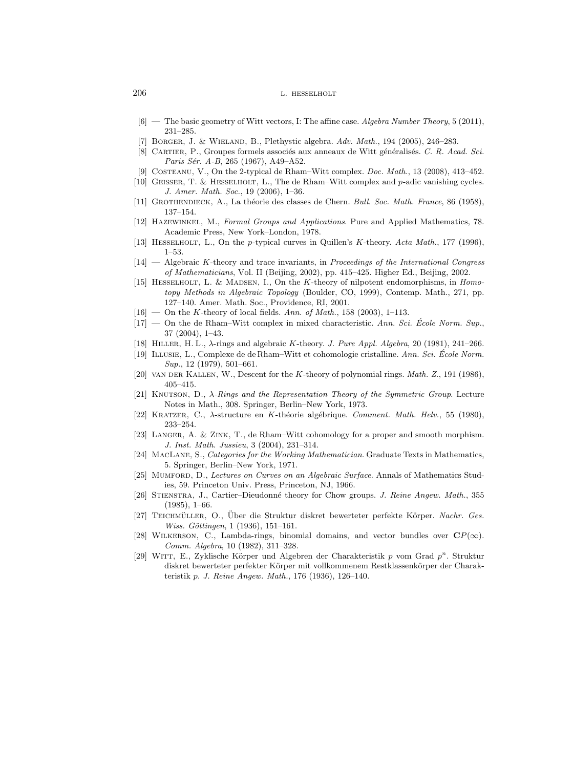- <span id="page-71-4"></span> $[6]$  — The basic geometry of Witt vectors, I: The affine case. Algebra Number Theory, 5 (2011), 231–285.
- [7] BORGER, J. & WIELAND, B., Plethystic algebra. Adv. Math., 194 (2005), 246-283.
- [8] CARTIER, P., Groupes formels associés aux anneaux de Witt généralisés. C. R. Acad. Sci. Paris Sér. A-B, 265 (1967), A49-A52.
- <span id="page-71-2"></span>[9] Costeanu, V., On the 2-typical de Rham–Witt complex. Doc. Math., 13 (2008), 413–452.
- [10] Geisser, T. & Hesselholt, L., The de Rham–Witt complex and p-adic vanishing cycles. J. Amer. Math. Soc., 19 (2006), 1–36.
- [11] GROTHENDIECK, A., La théorie des classes de Chern. Bull. Soc. Math. France, 86 (1958), 137–154.
- [12] Hazewinkel, M., Formal Groups and Applications. Pure and Applied Mathematics, 78. Academic Press, New York–London, 1978.
- [13] HESSELHOLT, L., On the p-typical curves in Quillen's K-theory. Acta Math., 177 (1996), 1–53.
- $[14]$  Algebraic K-theory and trace invariants, in *Proceedings of the International Congress* of Mathematicians, Vol. II (Beijing, 2002), pp. 415–425. Higher Ed., Beijing, 2002.
- <span id="page-71-1"></span>[15] HESSELHOLT, L. & MADSEN, I., On the K-theory of nilpotent endomorphisms, in Homotopy Methods in Algebraic Topology (Boulder, CO, 1999), Contemp. Math., 271, pp. 127–140. Amer. Math. Soc., Providence, RI, 2001.
- $[16]$  On the K-theory of local fields. Ann. of Math., 158 (2003), 1–113.
- $[17]$  On the de Rham–Witt complex in mixed characteristic. Ann. Sci. Ecole Norm. Sup. 37 (2004), 1–43.
- [18] HILLER, H. L.,  $\lambda$ -rings and algebraic K-theory. J. Pure Appl. Algebra, 20 (1981), 241–266.
- [19] ILLUSIE, L., Complexe de de Rham–Witt et cohomologie cristalline. Ann. Sci. École Norm. Sup., 12 (1979), 501–661.
- <span id="page-71-5"></span>[20] VAN DER KALLEN, W., Descent for the K-theory of polynomial rings. Math. Z., 191 (1986), 405–415.
- [21] KNUTSON, D.,  $\lambda$ -Rings and the Representation Theory of the Symmetric Group. Lecture Notes in Math., 308. Springer, Berlin–New York, 1973.
- [22] KRATZER, C.,  $\lambda$ -structure en K-théorie algébrique. Comment. Math. Helv., 55 (1980), 233–254.
- <span id="page-71-0"></span>[23] Langer, A. & Zink, T., de Rham–Witt cohomology for a proper and smooth morphism. J. Inst. Math. Jussieu, 3 (2004), 231–314.
- [24] MacLane, S., Categories for the Working Mathematician. Graduate Texts in Mathematics, 5. Springer, Berlin–New York, 1971.
- [25] Mumford, D., Lectures on Curves on an Algebraic Surface. Annals of Mathematics Studies, 59. Princeton Univ. Press, Princeton, NJ, 1966.
- <span id="page-71-3"></span>[26] STIENSTRA, J., Cartier–Dieudonné theory for Chow groups. J. Reine Angew. Math., 355  $(1985), 1–66.$
- [27] TEICHMÜLLER, O., Uber die Struktur diskret bewerteter perfekte Körper. Nachr. Ges. *Wiss. Göttingen*,  $1(1936)$ ,  $151-161$ .
- [28] WILKERSON, C., Lambda-rings, binomial domains, and vector bundles over  $\mathbf{C}P(\infty)$ . Comm. Algebra, 10 (1982), 311–328.
- [29] WITT, E., Zyklische Körper und Algebren der Charakteristik p vom Grad  $p^n$ . Struktur diskret bewerteter perfekter Körper mit vollkommenem Restklassenkörper der Charakteristik p. J. Reine Angew. Math., 176 (1936), 126–140.